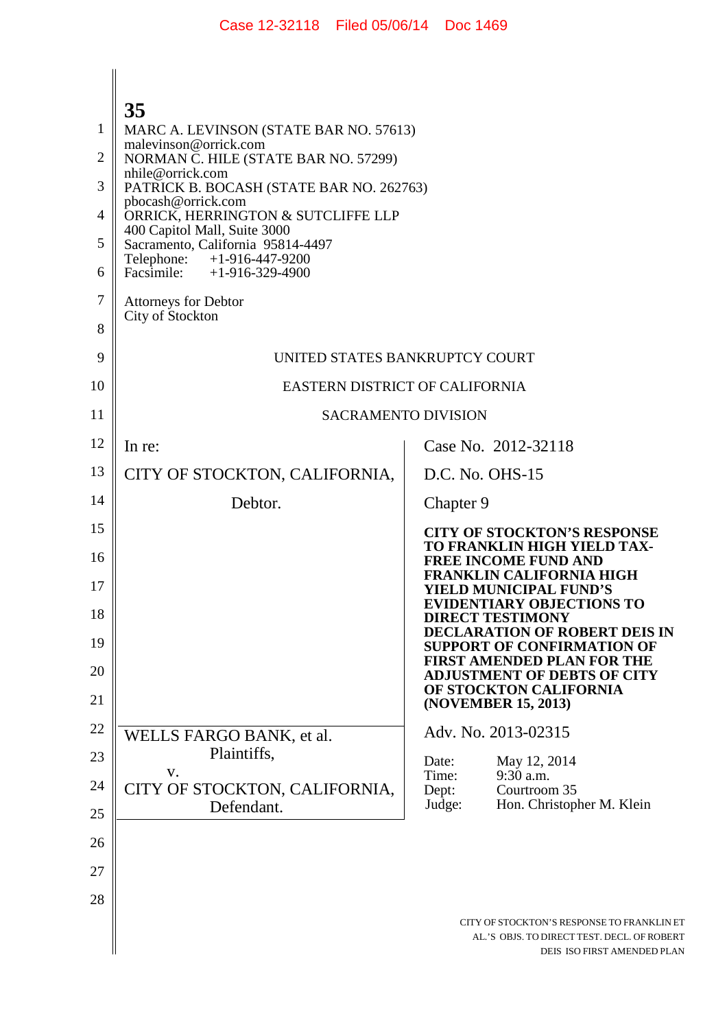| $\overline{\phantom{a}}$ |  |
|--------------------------|--|
|                          |  |

|    | 35                                                                    |                                                                                                                          |
|----|-----------------------------------------------------------------------|--------------------------------------------------------------------------------------------------------------------------|
| 1  | MARC A. LEVINSON (STATE BAR NO. 57613)<br>malevinson@orrick.com       |                                                                                                                          |
| 2  | NORMAN C. HILE (STATE BAR NO. 57299)                                  |                                                                                                                          |
| 3  | nhile@orrick.com<br>PATRICK B. BOCASH (STATE BAR NO. 262763)          |                                                                                                                          |
| 4  | pbocash@orrick.com<br>ORRICK, HERRINGTON & SUTCLIFFE LLP              |                                                                                                                          |
| 5  | 400 Capitol Mall, Suite 3000<br>Sacramento, California 95814-4497     |                                                                                                                          |
| 6  | Telephone:<br>$+1 - 916 - 447 - 9200$<br>Facsimile: $+1-916-329-4900$ |                                                                                                                          |
| 7  | <b>Attorneys for Debtor</b><br>City of Stockton                       |                                                                                                                          |
| 8  |                                                                       |                                                                                                                          |
| 9  | UNITED STATES BANKRUPTCY COURT                                        |                                                                                                                          |
| 10 | EASTERN DISTRICT OF CALIFORNIA                                        |                                                                                                                          |
| 11 | <b>SACRAMENTO DIVISION</b>                                            |                                                                                                                          |
| 12 | In re:                                                                | Case No. 2012-32118                                                                                                      |
| 13 | CITY OF STOCKTON, CALIFORNIA,                                         | D.C. No. OHS-15                                                                                                          |
| 14 | Debtor.                                                               | Chapter 9                                                                                                                |
| 15 |                                                                       | <b>CITY OF STOCKTON'S RESPONSE</b>                                                                                       |
| 16 |                                                                       | TO FRANKLIN HIGH YIELD TAX-<br><b>FREE INCOME FUND AND</b>                                                               |
| 17 |                                                                       | <b>FRANKLIN CALIFORNIA HIGH</b><br>YIELD MUNICIPAL FUND'S                                                                |
| 18 |                                                                       | <b>EVIDENTIARY OBJECTIONS TO</b><br><b>DIRECT TESTIMONY</b>                                                              |
| 19 |                                                                       | <b>DECLARATION OF ROBERT DEIS IN</b><br>SUPPORT OF CONFIRMATION OF                                                       |
| 20 |                                                                       | FIRST AMENDED PLAN FOR THE<br><b>ADJUSTMENT OF DEBTS OF CITY</b>                                                         |
| 21 |                                                                       | OF STOCKTON CALIFORNIA<br>(NOVEMBER 15, 2013)                                                                            |
| 22 | WELLS FARGO BANK, et al.                                              | Adv. No. 2013-02315                                                                                                      |
| 23 | Plaintiffs.                                                           | Date:<br>May 12, 2014                                                                                                    |
| 24 | V.<br>CITY OF STOCKTON, CALIFORNIA,                                   | $9:30$ a.m.<br>Time:<br>Courtroom 35<br>Dept:                                                                            |
| 25 | Defendant.                                                            | Hon. Christopher M. Klein<br>Judge:                                                                                      |
| 26 |                                                                       |                                                                                                                          |
| 27 |                                                                       |                                                                                                                          |
| 28 |                                                                       |                                                                                                                          |
|    |                                                                       | CITY OF STOCKTON'S RESPONSE TO FRANKLIN ET<br>AL.'S OBJS. TO DIRECT TEST. DECL. OF ROBERT<br>DEIS ISO FIRST AMENDED PLAN |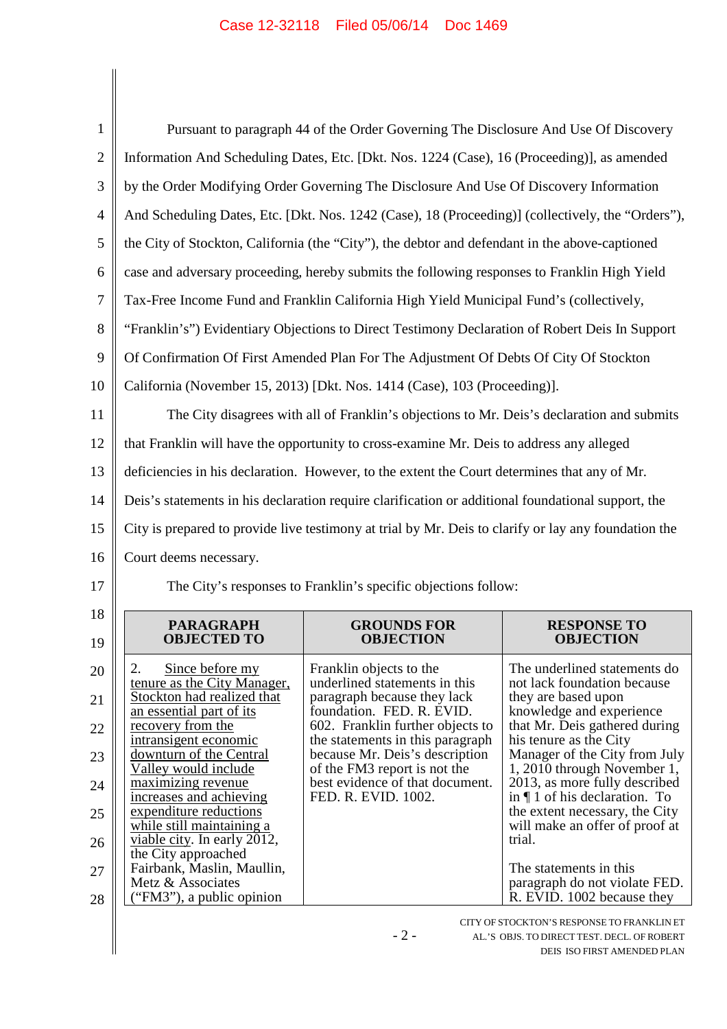| $\mathbf{1}$                                 |                                                           | Pursuant to paragraph 44 of the Order Governing The Disclosure And Use Of Discovery                  |                                                                    |
|----------------------------------------------|-----------------------------------------------------------|------------------------------------------------------------------------------------------------------|--------------------------------------------------------------------|
| $\overline{2}$                               |                                                           | Information And Scheduling Dates, Etc. [Dkt. Nos. 1224 (Case), 16 (Proceeding)], as amended          |                                                                    |
| 3                                            |                                                           | by the Order Modifying Order Governing The Disclosure And Use Of Discovery Information               |                                                                    |
| $\overline{4}$                               |                                                           | And Scheduling Dates, Etc. [Dkt. Nos. 1242 (Case), 18 (Proceeding)] (collectively, the "Orders"),    |                                                                    |
| 5                                            |                                                           | the City of Stockton, California (the "City"), the debtor and defendant in the above-captioned       |                                                                    |
| 6                                            |                                                           | case and adversary proceeding, hereby submits the following responses to Franklin High Yield         |                                                                    |
| $\overline{7}$                               |                                                           | Tax-Free Income Fund and Franklin California High Yield Municipal Fund's (collectively,              |                                                                    |
| 8                                            |                                                           | "Franklin's") Evidentiary Objections to Direct Testimony Declaration of Robert Deis In Support       |                                                                    |
| 9                                            |                                                           | Of Confirmation Of First Amended Plan For The Adjustment Of Debts Of City Of Stockton                |                                                                    |
| 10                                           |                                                           | California (November 15, 2013) [Dkt. Nos. 1414 (Case), 103 (Proceeding)].                            |                                                                    |
| 11                                           |                                                           | The City disagrees with all of Franklin's objections to Mr. Deis's declaration and submits           |                                                                    |
| 12                                           |                                                           | that Franklin will have the opportunity to cross-examine Mr. Deis to address any alleged             |                                                                    |
| 13                                           |                                                           | deficiencies in his declaration. However, to the extent the Court determines that any of Mr.         |                                                                    |
| 14                                           |                                                           | Deis's statements in his declaration require clarification or additional foundational support, the   |                                                                    |
| 15                                           |                                                           | City is prepared to provide live testimony at trial by Mr. Deis to clarify or lay any foundation the |                                                                    |
| 16                                           | Court deems necessary.                                    |                                                                                                      |                                                                    |
| 17                                           |                                                           | The City's responses to Franklin's specific objections follow:                                       |                                                                    |
| 18<br>19                                     | <b>PARAGRAPH</b><br><b>OBJECTED TO</b>                    | <b>GROUNDS FOR</b><br><b>OBJECTION</b>                                                               | <b>RESPONSE TO</b>                                                 |
| 20                                           |                                                           |                                                                                                      | <b>OBJECTION</b>                                                   |
|                                              | Since before my<br>2.                                     | Franklin objects to the                                                                              | The underlined statements do                                       |
|                                              | tenure as the City Manager,<br>Stockton had realized that | underlined statements in this<br>paragraph because they lack                                         | not lack foundation because<br>they are based upon                 |
|                                              | an essential part of its<br>recovery from the             | foundation. FED. R. EVID.<br>602. Franklin further objects to                                        | knowledge and experience<br>that Mr. Deis gathered during          |
|                                              | intransigent economic<br>downturn of the Central          | the statements in this paragraph<br>because Mr. Deis's description                                   | his tenure as the City<br>Manager of the City from July            |
|                                              | Valley would include<br>maximizing revenue                | of the FM3 report is not the<br>best evidence of that document.                                      | 1, 2010 through November 1,<br>2013, as more fully described       |
|                                              | increases and achieving<br>expenditure reductions         | FED. R. EVID. 1002.                                                                                  | in $\P$ 1 of his declaration. To<br>the extent necessary, the City |
|                                              | while still maintaining a<br>viable city. In early 2012,  |                                                                                                      | will make an offer of proof at<br>trial.                           |
|                                              | the City approached<br>Fairbank, Maslin, Maullin,         |                                                                                                      | The statements in this                                             |
| 21<br>22<br>23<br>24<br>25<br>26<br>27<br>28 | Metz & Associates<br>("FM3"), a public opinion            |                                                                                                      | paragraph do not violate FED.<br>R. EVID. 1002 because they        |

AL.'S OBJS. TO DIRECT TEST. DECL. OF ROBERT DEIS ISO FIRST AMENDED PLAN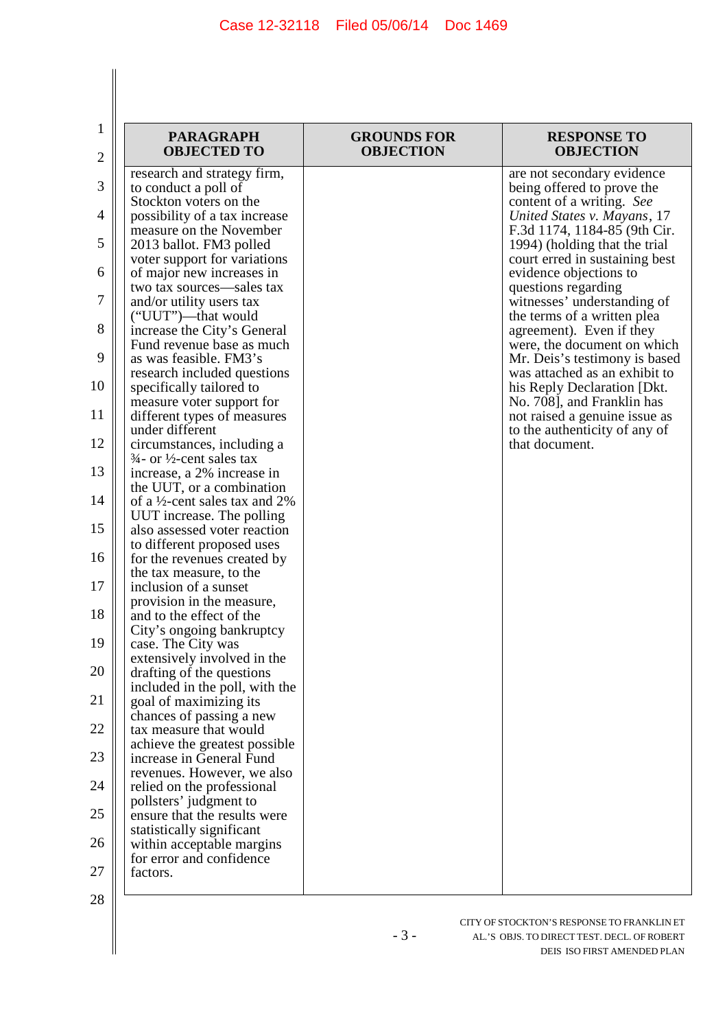| $\mathbf 1$<br>$\overline{2}$ | <b>PARAGRAPH</b><br><b>OBJECTED TO</b>                                         | <b>GROUNDS FOR</b><br><b>OBJECTION</b> | <b>RESPONSE TO</b><br><b>OBJECTION</b>                          |
|-------------------------------|--------------------------------------------------------------------------------|----------------------------------------|-----------------------------------------------------------------|
| 3                             | research and strategy firm,                                                    |                                        | are not secondary evidence<br>being offered to prove the        |
| $\overline{4}$                | to conduct a poll of<br>Stockton voters on the                                 |                                        | content of a writing. See                                       |
|                               | possibility of a tax increase<br>measure on the November                       |                                        | United States v. Mayans, 17<br>F.3d 1174, 1184-85 (9th Cir.     |
| 5                             | 2013 ballot. FM3 polled<br>voter support for variations                        |                                        | 1994) (holding that the trial<br>court erred in sustaining best |
| 6                             | of major new increases in<br>two tax sources-sales tax                         |                                        | evidence objections to<br>questions regarding                   |
| 7                             | and/or utility users tax<br>("UUT")—that would                                 |                                        | witnesses' understanding of<br>the terms of a written plea      |
| 8                             | increase the City's General<br>Fund revenue base as much                       |                                        | agreement). Even if they<br>were, the document on which         |
| 9                             | as was feasible. FM3's<br>research included questions                          |                                        | Mr. Deis's testimony is based<br>was attached as an exhibit to  |
| 10                            | specifically tailored to<br>measure voter support for                          |                                        | his Reply Declaration [Dkt.<br>No. 708], and Franklin has       |
| 11                            | different types of measures<br>under different                                 |                                        | not raised a genuine issue as<br>to the authenticity of any of  |
| 12                            | circumstances, including a<br>$\frac{3}{4}$ - or $\frac{1}{2}$ -cent sales tax |                                        | that document.                                                  |
| 13                            | increase, a 2% increase in<br>the UUT, or a combination                        |                                        |                                                                 |
| 14                            | of a $\frac{1}{2}$ -cent sales tax and 2%<br>UUT increase. The polling         |                                        |                                                                 |
| 15                            | also assessed voter reaction<br>to different proposed uses                     |                                        |                                                                 |
| 16                            | for the revenues created by<br>the tax measure, to the                         |                                        |                                                                 |
| 17                            | inclusion of a sunset                                                          |                                        |                                                                 |
| 18                            | provision in the measure,<br>and to the effect of the                          |                                        |                                                                 |
| 19                            | City's ongoing bankruptcy<br>case. The City was                                |                                        |                                                                 |
| 20                            | extensively involved in the<br>drafting of the questions                       |                                        |                                                                 |
| 21                            | included in the poll, with the<br>goal of maximizing its                       |                                        |                                                                 |
| 22                            | chances of passing a new<br>tax measure that would                             |                                        |                                                                 |
| 23                            | achieve the greatest possible<br>increase in General Fund                      |                                        |                                                                 |
| 24                            | revenues. However, we also<br>relied on the professional                       |                                        |                                                                 |
| 25                            | pollsters' judgment to<br>ensure that the results were                         |                                        |                                                                 |
| 26                            | statistically significant<br>within acceptable margins                         |                                        |                                                                 |
| 27                            | for error and confidence<br>factors.                                           |                                        |                                                                 |
| 28                            |                                                                                |                                        |                                                                 |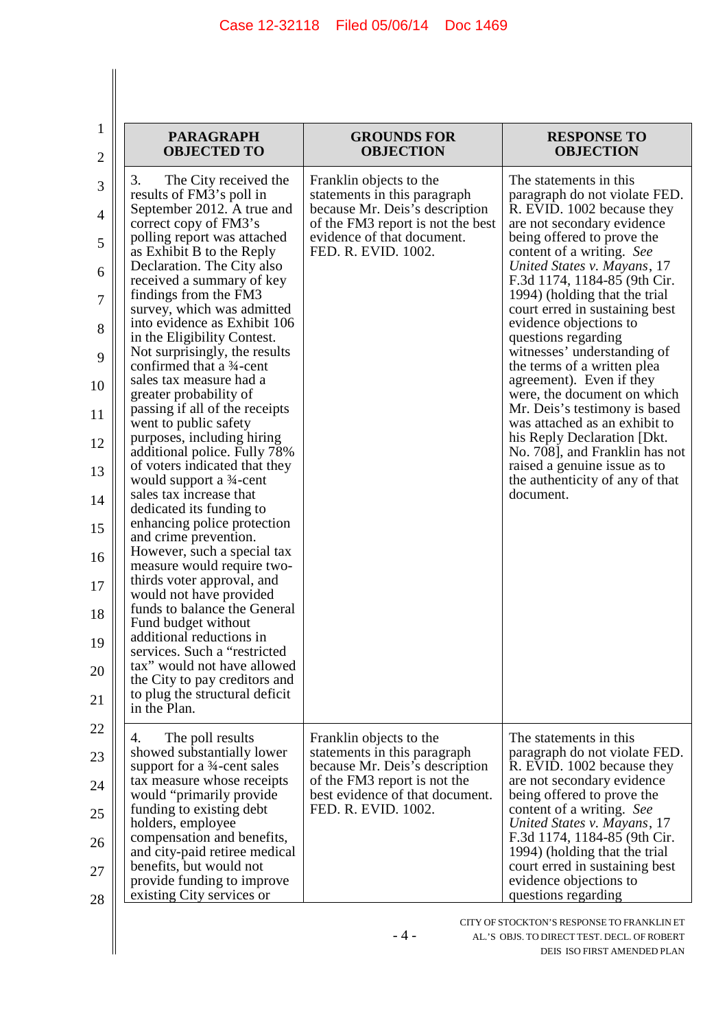| <b>PARAGRAPH</b><br><b>OBJECTED TO</b>                                                                                                                                                                                                                                                                                                                                                                                                                                                                                                                                                                 | <b>GROUNDS FOR</b><br><b>OBJECTION</b>                                                                                                                                              | <b>RESPONSE TO</b><br><b>OBJECTION</b>                                                                                                                                                                                                                                                                                                                                                                                                                                                                                                                                                                                         |
|--------------------------------------------------------------------------------------------------------------------------------------------------------------------------------------------------------------------------------------------------------------------------------------------------------------------------------------------------------------------------------------------------------------------------------------------------------------------------------------------------------------------------------------------------------------------------------------------------------|-------------------------------------------------------------------------------------------------------------------------------------------------------------------------------------|--------------------------------------------------------------------------------------------------------------------------------------------------------------------------------------------------------------------------------------------------------------------------------------------------------------------------------------------------------------------------------------------------------------------------------------------------------------------------------------------------------------------------------------------------------------------------------------------------------------------------------|
| 3.<br>The City received the<br>results of FM3's poll in<br>September 2012. A true and<br>correct copy of FM3's<br>polling report was attached<br>as Exhibit B to the Reply<br>Declaration. The City also<br>received a summary of key<br>findings from the FM3<br>survey, which was admitted<br>into evidence as Exhibit 106<br>in the Eligibility Contest.<br>Not surprisingly, the results<br>confirmed that a 34-cent<br>sales tax measure had a<br>greater probability of<br>passing if all of the receipts<br>went to public safety<br>purposes, including hiring<br>additional police. Fully 78% | Franklin objects to the<br>statements in this paragraph<br>because Mr. Deis's description<br>of the FM3 report is not the best<br>evidence of that document.<br>FED. R. EVID. 1002. | The statements in this<br>paragraph do not violate FED.<br>R. EVID. 1002 because they<br>are not secondary evidence<br>being offered to prove the<br>content of a writing. See<br>United States v. Mayans, 17<br>F.3d 1174, 1184-85 (9th Cir.<br>1994) (holding that the trial<br>court erred in sustaining best<br>evidence objections to<br>questions regarding<br>witnesses' understanding of<br>the terms of a written plea<br>agreement). Even if they<br>were, the document on which<br>Mr. Deis's testimony is based<br>was attached as an exhibit to<br>his Reply Declaration [Dkt.]<br>No. 708], and Franklin has not |
| of voters indicated that they<br>would support a 3/4-cent<br>sales tax increase that<br>dedicated its funding to<br>enhancing police protection                                                                                                                                                                                                                                                                                                                                                                                                                                                        |                                                                                                                                                                                     | raised a genuine issue as to<br>the authenticity of any of that<br>document.                                                                                                                                                                                                                                                                                                                                                                                                                                                                                                                                                   |
| and crime prevention.<br>However, such a special tax<br>measure would require two-<br>thirds voter approval, and                                                                                                                                                                                                                                                                                                                                                                                                                                                                                       |                                                                                                                                                                                     |                                                                                                                                                                                                                                                                                                                                                                                                                                                                                                                                                                                                                                |
| would not have provided<br>funds to balance the General                                                                                                                                                                                                                                                                                                                                                                                                                                                                                                                                                |                                                                                                                                                                                     |                                                                                                                                                                                                                                                                                                                                                                                                                                                                                                                                                                                                                                |
| Fund budget without<br>additional reductions in<br>services. Such a "restricted                                                                                                                                                                                                                                                                                                                                                                                                                                                                                                                        |                                                                                                                                                                                     |                                                                                                                                                                                                                                                                                                                                                                                                                                                                                                                                                                                                                                |
| tax" would not have allowed<br>the City to pay creditors and<br>to plug the structural deficit<br>in the Plan.                                                                                                                                                                                                                                                                                                                                                                                                                                                                                         |                                                                                                                                                                                     |                                                                                                                                                                                                                                                                                                                                                                                                                                                                                                                                                                                                                                |
| The poll results<br>4.<br>showed substantially lower<br>support for a 3/4-cent sales<br>tax measure whose receipts<br>would "primarily provide"<br>funding to existing debt<br>holders, employee<br>compensation and benefits,<br>and city-paid retiree medical<br>benefits, but would not                                                                                                                                                                                                                                                                                                             | Franklin objects to the<br>statements in this paragraph<br>because Mr. Deis's description<br>of the FM3 report is not the<br>best evidence of that document.<br>FED. R. EVID. 1002. | The statements in this<br>paragraph do not violate FED.<br>R. EVID. 1002 because they<br>are not secondary evidence<br>being offered to prove the<br>content of a writing. See<br>United States v. Mayans, 17<br>F.3d 1174, 1184-85 (9th Cir.<br>1994) (holding that the trial<br>court erred in sustaining best                                                                                                                                                                                                                                                                                                               |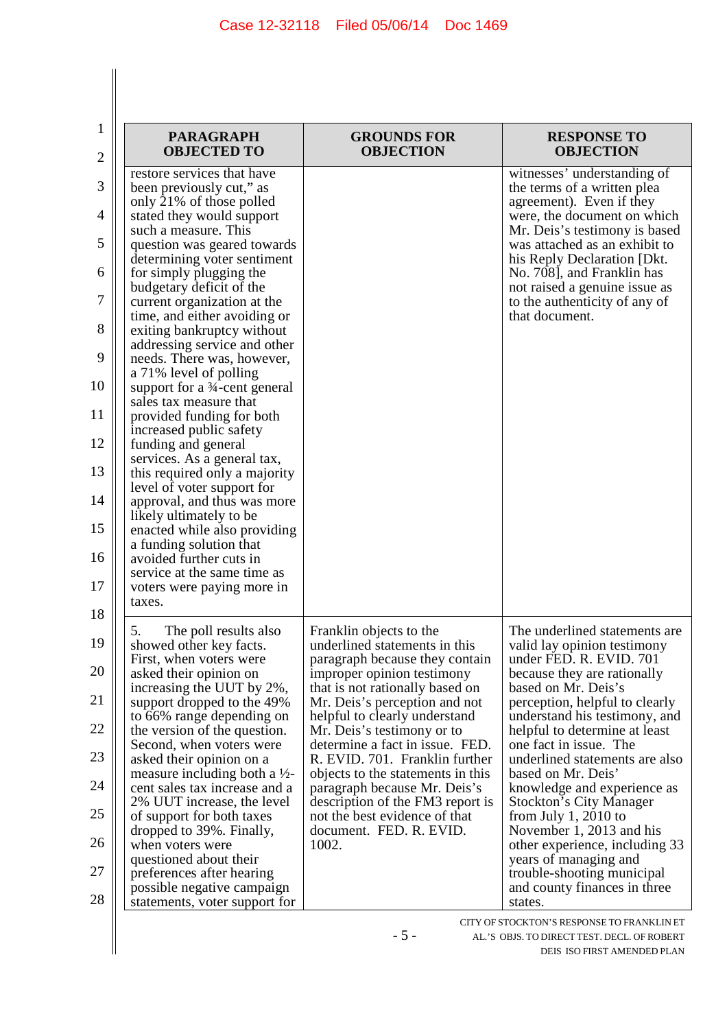$\begin{array}{c} \hline \end{array}$ 

| 1  | <b>PARAGRAPH</b>                                             | <b>GROUNDS FOR</b>                                               | <b>RESPONSE TO</b>                                            |
|----|--------------------------------------------------------------|------------------------------------------------------------------|---------------------------------------------------------------|
| 2  | <b>OBJECTED TO</b>                                           | <b>OBJECTION</b>                                                 | <b>OBJECTION</b>                                              |
| 3  | restore services that have<br>been previously cut," as       |                                                                  | witnesses' understanding of<br>the terms of a written plea    |
|    | only 21% of those polled                                     |                                                                  | agreement). Even if they                                      |
| 4  | stated they would support                                    |                                                                  | were, the document on which                                   |
|    | such a measure. This                                         |                                                                  | Mr. Deis's testimony is based                                 |
| 5  | question was geared towards<br>determining voter sentiment   |                                                                  | was attached as an exhibit to<br>his Reply Declaration [Dkt.] |
| 6  | for simply plugging the                                      |                                                                  | No. 708], and Franklin has                                    |
|    | budgetary deficit of the                                     |                                                                  | not raised a genuine issue as                                 |
| 7  | current organization at the                                  |                                                                  | to the authenticity of any of                                 |
| 8  | time, and either avoiding or<br>exiting bankruptcy without   |                                                                  | that document.                                                |
|    | addressing service and other                                 |                                                                  |                                                               |
| 9  | needs. There was, however,                                   |                                                                  |                                                               |
| 10 | a 71% level of polling                                       |                                                                  |                                                               |
|    | support for a 3/4-cent general<br>sales tax measure that     |                                                                  |                                                               |
| 11 | provided funding for both                                    |                                                                  |                                                               |
|    | increased public safety                                      |                                                                  |                                                               |
| 12 | funding and general                                          |                                                                  |                                                               |
| 13 | services. As a general tax,<br>this required only a majority |                                                                  |                                                               |
|    | level of voter support for                                   |                                                                  |                                                               |
| 14 | approval, and thus was more                                  |                                                                  |                                                               |
| 15 | likely ultimately to be<br>enacted while also providing      |                                                                  |                                                               |
|    | a funding solution that                                      |                                                                  |                                                               |
| 16 | avoided further cuts in                                      |                                                                  |                                                               |
|    | service at the same time as                                  |                                                                  |                                                               |
| 17 | voters were paying more in<br>taxes.                         |                                                                  |                                                               |
| 18 |                                                              |                                                                  |                                                               |
|    | The poll results also<br>5.                                  | Franklin objects to the                                          | The underlined statements are                                 |
| 19 | showed other key facts.                                      | underlined statements in this                                    | valid lay opinion testimony<br>under FED. R. EVID. 701        |
| 20 | First, when voters were<br>asked their opinion on            | paragraph because they contain<br>improper opinion testimony     | because they are rationally                                   |
|    | increasing the UUT by 2%,                                    | that is not rationally based on                                  | based on Mr. Deis's                                           |
| 21 | support dropped to the 49%                                   | Mr. Deis's perception and not                                    | perception, helpful to clearly                                |
| 22 | to 66% range depending on                                    | helpful to clearly understand                                    | understand his testimony, and                                 |
|    | the version of the question.<br>Second, when voters were     | Mr. Deis's testimony or to<br>determine a fact in issue. FED.    | helpful to determine at least<br>one fact in issue. The       |
| 23 | asked their opinion on a                                     | R. EVID. 701. Franklin further                                   | underlined statements are also                                |
|    | measure including both a $\frac{1}{2}$ -                     | objects to the statements in this                                | based on Mr. Deis'                                            |
| 24 | cent sales tax increase and a<br>2% UUT increase, the level  | paragraph because Mr. Deis's<br>description of the FM3 report is | knowledge and experience as<br><b>Stockton's City Manager</b> |
| 25 | of support for both taxes                                    | not the best evidence of that                                    | from July $1, 2010$ to                                        |
|    | dropped to 39%. Finally,                                     | document. FED. R. EVID.                                          | November 1, 2013 and his                                      |
| 26 | when voters were                                             | 1002.                                                            | other experience, including 33                                |
| 27 | questioned about their<br>preferences after hearing          |                                                                  | years of managing and<br>trouble-shooting municipal           |
|    | possible negative campaign                                   |                                                                  | and county finances in three                                  |
| 28 | statements, voter support for                                |                                                                  | states.                                                       |

- 5 -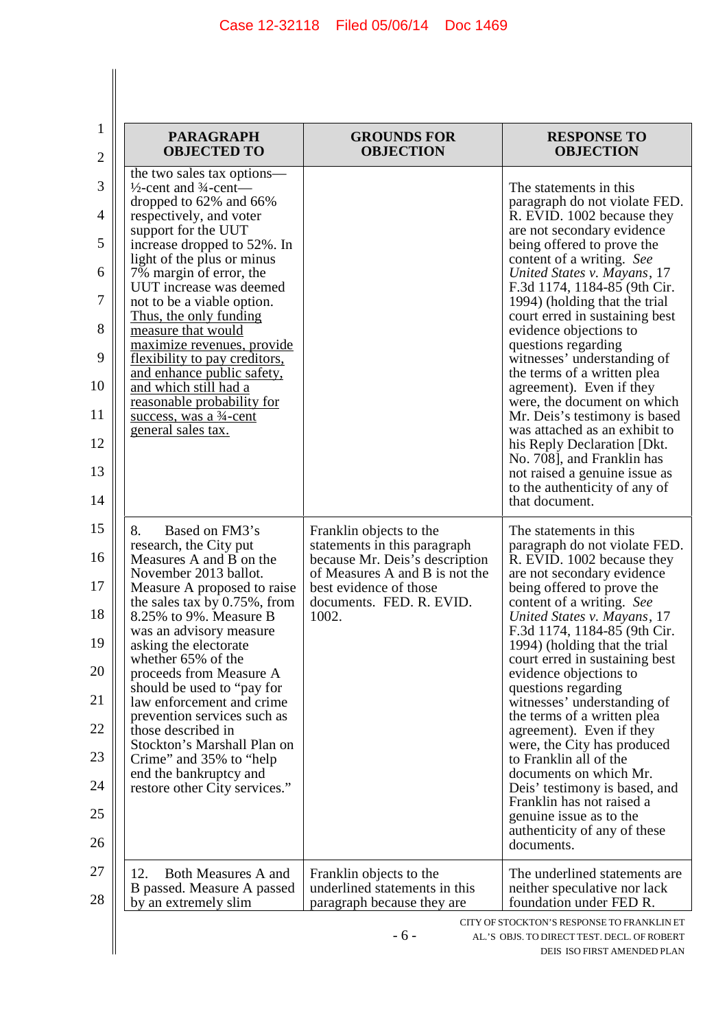| <b>PARAGRAPH</b><br><b>OBJECTED TO</b>                                                                                                                                                                                                                                                                                                                                                                                                                                                                                                                                          | <b>GROUNDS FOR</b><br><b>OBJECTION</b>                                                                                                                                                     | <b>RESPONSE TO</b><br><b>OBJECTION</b>                                                                                                                                                                                                                                                                                                                                                                                                                                                                                                                                                                                                                                                                         |
|---------------------------------------------------------------------------------------------------------------------------------------------------------------------------------------------------------------------------------------------------------------------------------------------------------------------------------------------------------------------------------------------------------------------------------------------------------------------------------------------------------------------------------------------------------------------------------|--------------------------------------------------------------------------------------------------------------------------------------------------------------------------------------------|----------------------------------------------------------------------------------------------------------------------------------------------------------------------------------------------------------------------------------------------------------------------------------------------------------------------------------------------------------------------------------------------------------------------------------------------------------------------------------------------------------------------------------------------------------------------------------------------------------------------------------------------------------------------------------------------------------------|
| the two sales tax options—<br>$\frac{1}{2}$ -cent and $\frac{3}{4}$ -cent—<br>dropped to 62% and 66%<br>respectively, and voter<br>support for the UUT<br>increase dropped to 52%. In<br>light of the plus or minus<br>7% margin of error, the<br>UUT increase was deemed<br>not to be a viable option.<br><u>Thus, the only funding</u><br>measure that would<br>maximize revenues, provide<br>flexibility to pay creditors,<br>and enhance public safety,<br>and which still had a<br>reasonable probability for<br>success, was a 3 <sup>4</sup> -cent<br>general sales tax. |                                                                                                                                                                                            | The statements in this<br>paragraph do not violate FED.<br>R. EVID. 1002 because they<br>are not secondary evidence<br>being offered to prove the<br>content of a writing. See<br>United States v. Mayans, 17<br>F.3d 1174, 1184-85 (9th Cir.<br>1994) (holding that the trial<br>court erred in sustaining best<br>evidence objections to<br>questions regarding<br>witnesses' understanding of<br>the terms of a written plea<br>agreement). Even if they<br>were, the document on which<br>Mr. Deis's testimony is based<br>was attached as an exhibit to<br>his Reply Declaration [Dkt.]<br>No. 708], and Franklin has<br>not raised a genuine issue as<br>to the authenticity of any of<br>that document. |
| Based on FM3's<br>8.<br>research, the City put<br>Measures A and B on the<br>November 2013 ballot.<br>Measure A proposed to raise<br>the sales tax by $0.75\%$ , from<br>8.25% to 9%. Measure B<br>was an advisory measure<br>asking the electorate<br>whether 65% of the<br>proceeds from Measure A<br>should be used to "pay for<br>law enforcement and crime<br>prevention services such as<br>those described in<br>Stockton's Marshall Plan on<br>Crime" and 35% to "help"<br>end the bankruptcy and<br>restore other City services."                                      | Franklin objects to the<br>statements in this paragraph<br>because Mr. Deis's description<br>of Measures A and B is not the<br>best evidence of those<br>documents. FED. R. EVID.<br>1002. | The statements in this<br>paragraph do not violate FED.<br>R. EVID. 1002 because they<br>are not secondary evidence<br>being offered to prove the<br>content of a writing. See<br>United States v. Mayans, 17<br>F.3d 1174, 1184-85 (9th Cir.<br>1994) (holding that the trial<br>court erred in sustaining best<br>evidence objections to<br>questions regarding<br>witnesses' understanding of<br>the terms of a written plea<br>agreement). Even if they<br>were, the City has produced<br>to Franklin all of the<br>documents on which Mr.<br>Deis' testimony is based, and<br>Franklin has not raised a<br>genuine issue as to the<br>authenticity of any of these<br>documents.                          |
| 12.<br><b>Both Measures A and</b><br>B passed. Measure A passed<br>by an extremely slim                                                                                                                                                                                                                                                                                                                                                                                                                                                                                         | Franklin objects to the<br>underlined statements in this<br>paragraph because they are                                                                                                     | The underlined statements are<br>neither speculative nor lack<br>foundation under FED R.                                                                                                                                                                                                                                                                                                                                                                                                                                                                                                                                                                                                                       |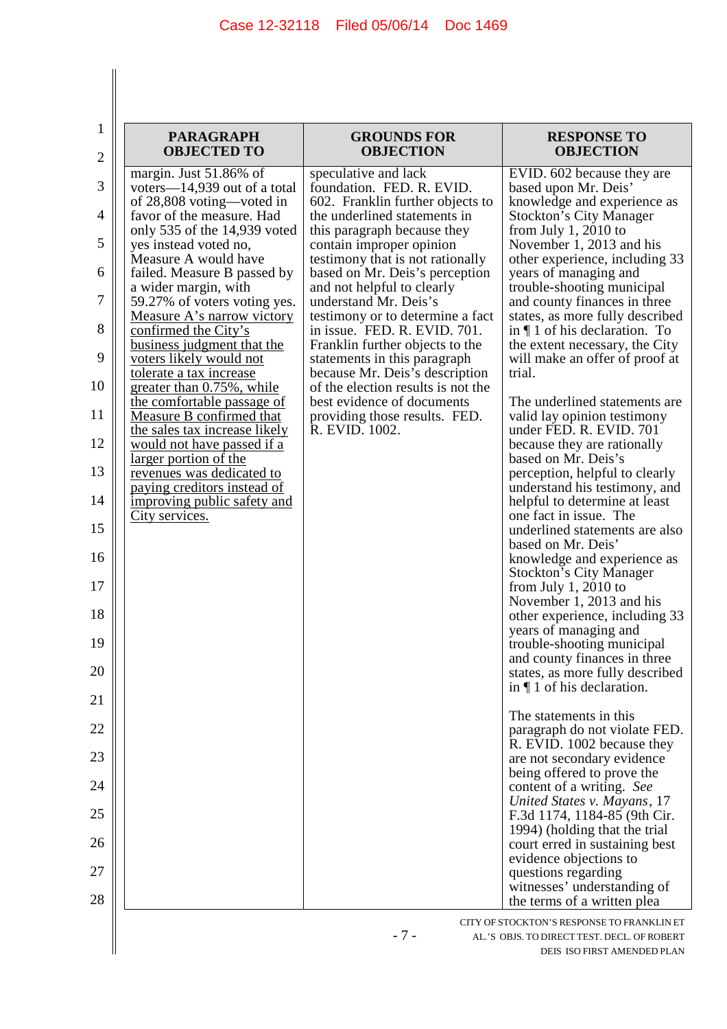| <b>PARAGRAPH</b><br><b>OBJECTED TO</b>                                                                                                                                                                                                                                                                                                                                                                                                                                                                                                                                                                                                                                                                                                | <b>GROUNDS FOR</b><br><b>OBJECTION</b>                                                                                                                                                                                                                                                                                                                                                                                                                                                                                                                                                                        | <b>RESPONSE TO</b><br><b>OBJECTION</b>                                                                                                                                                                                                                                                                                                                                                                                                                                                                                                                                                                                                                                                                                                                                                                                                                                                                                                                                                                                                                                                                         |
|---------------------------------------------------------------------------------------------------------------------------------------------------------------------------------------------------------------------------------------------------------------------------------------------------------------------------------------------------------------------------------------------------------------------------------------------------------------------------------------------------------------------------------------------------------------------------------------------------------------------------------------------------------------------------------------------------------------------------------------|---------------------------------------------------------------------------------------------------------------------------------------------------------------------------------------------------------------------------------------------------------------------------------------------------------------------------------------------------------------------------------------------------------------------------------------------------------------------------------------------------------------------------------------------------------------------------------------------------------------|----------------------------------------------------------------------------------------------------------------------------------------------------------------------------------------------------------------------------------------------------------------------------------------------------------------------------------------------------------------------------------------------------------------------------------------------------------------------------------------------------------------------------------------------------------------------------------------------------------------------------------------------------------------------------------------------------------------------------------------------------------------------------------------------------------------------------------------------------------------------------------------------------------------------------------------------------------------------------------------------------------------------------------------------------------------------------------------------------------------|
| margin. Just 51.86% of<br>voters—14,939 out of a total<br>of 28,808 voting—voted in<br>favor of the measure. Had<br>only 535 of the 14,939 voted<br>yes instead voted no,<br>Measure A would have<br>failed. Measure B passed by<br>a wider margin, with<br>59.27% of voters voting yes.<br><u>Measure A's narrow victory</u><br>confirmed the City's<br>business judgment that the<br>voters likely would not<br>tolerate a tax increase<br>greater than 0.75%, while<br>the comfortable passage of<br>Measure B confirmed that<br>the sales tax increase likely<br>would not have passed if a<br>larger portion of the<br>revenues was dedicated to<br>paying creditors instead of<br>improving public safety and<br>City services. | speculative and lack<br>foundation. FED. R. EVID.<br>602. Franklin further objects to<br>the underlined statements in<br>this paragraph because they<br>contain improper opinion<br>testimony that is not rationally<br>based on Mr. Deis's perception<br>and not helpful to clearly<br>understand Mr. Deis's<br>testimony or to determine a fact<br>in issue. FED. R. EVID. 701.<br>Franklin further objects to the<br>statements in this paragraph<br>because Mr. Deis's description<br>of the election results is not the<br>best evidence of documents<br>providing those results. FED.<br>R. EVID. 1002. | EVID. 602 because they are<br>based upon Mr. Deis'<br>knowledge and experience as<br><b>Stockton's City Manager</b><br>from July 1, 2010 to<br>November 1, 2013 and his<br>other experience, including 33<br>years of managing and<br>trouble-shooting municipal<br>and county finances in three<br>states, as more fully described<br>in $\P$ 1 of his declaration. To<br>the extent necessary, the City<br>will make an offer of proof at<br>trial.<br>The underlined statements are<br>valid lay opinion testimony<br>under FED. R. EVID. 701<br>because they are rationally<br>based on Mr. Deis's<br>perception, helpful to clearly<br>understand his testimony, and<br>helpful to determine at least<br>one fact in issue. The<br>underlined statements are also<br>based on Mr. Deis'<br>knowledge and experience as<br><b>Stockton's City Manager</b><br>from July 1, 2010 to<br>November 1, 2013 and his<br>other experience, including 33<br>years of managing and<br>trouble-shooting municipal<br>and county finances in three<br>states, as more fully described<br>in $\P$ 1 of his declaration. |
|                                                                                                                                                                                                                                                                                                                                                                                                                                                                                                                                                                                                                                                                                                                                       |                                                                                                                                                                                                                                                                                                                                                                                                                                                                                                                                                                                                               | The statements in this<br>paragraph do not violate FED.                                                                                                                                                                                                                                                                                                                                                                                                                                                                                                                                                                                                                                                                                                                                                                                                                                                                                                                                                                                                                                                        |
|                                                                                                                                                                                                                                                                                                                                                                                                                                                                                                                                                                                                                                                                                                                                       |                                                                                                                                                                                                                                                                                                                                                                                                                                                                                                                                                                                                               | R. EVID. 1002 because they<br>are not secondary evidence<br>being offered to prove the                                                                                                                                                                                                                                                                                                                                                                                                                                                                                                                                                                                                                                                                                                                                                                                                                                                                                                                                                                                                                         |
|                                                                                                                                                                                                                                                                                                                                                                                                                                                                                                                                                                                                                                                                                                                                       |                                                                                                                                                                                                                                                                                                                                                                                                                                                                                                                                                                                                               | content of a writing. See<br>United States v. Mayans, 17                                                                                                                                                                                                                                                                                                                                                                                                                                                                                                                                                                                                                                                                                                                                                                                                                                                                                                                                                                                                                                                       |
|                                                                                                                                                                                                                                                                                                                                                                                                                                                                                                                                                                                                                                                                                                                                       |                                                                                                                                                                                                                                                                                                                                                                                                                                                                                                                                                                                                               | F.3d 1174, 1184-85 (9th Cir.<br>1994) (holding that the trial                                                                                                                                                                                                                                                                                                                                                                                                                                                                                                                                                                                                                                                                                                                                                                                                                                                                                                                                                                                                                                                  |
|                                                                                                                                                                                                                                                                                                                                                                                                                                                                                                                                                                                                                                                                                                                                       |                                                                                                                                                                                                                                                                                                                                                                                                                                                                                                                                                                                                               | court erred in sustaining best<br>evidence objections to                                                                                                                                                                                                                                                                                                                                                                                                                                                                                                                                                                                                                                                                                                                                                                                                                                                                                                                                                                                                                                                       |
|                                                                                                                                                                                                                                                                                                                                                                                                                                                                                                                                                                                                                                                                                                                                       |                                                                                                                                                                                                                                                                                                                                                                                                                                                                                                                                                                                                               | questions regarding<br>witnesses' understanding of<br>the terms of a written plea                                                                                                                                                                                                                                                                                                                                                                                                                                                                                                                                                                                                                                                                                                                                                                                                                                                                                                                                                                                                                              |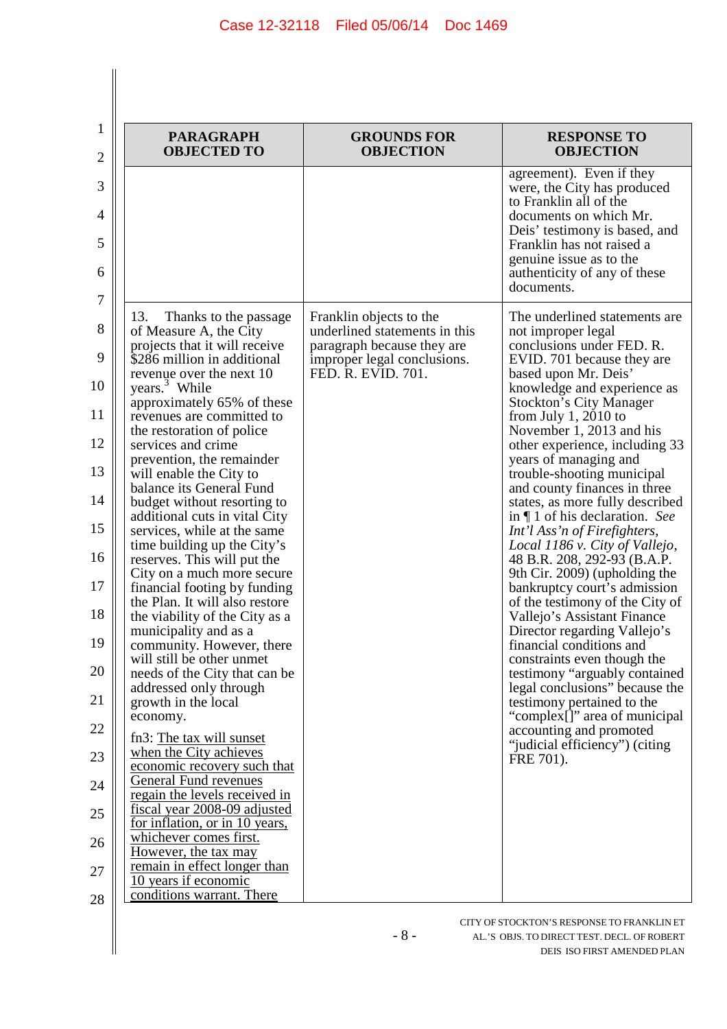| <b>PARAGRAPH</b><br><b>OBJECTED TO</b>                                                                                                                                                                                                                                                                                                                                                                                                                                                                                                                                                                                                                                                                                                                                                                                                                                                                                                                                                                                                                                                                                                | <b>GROUNDS FOR</b><br><b>OBJECTION</b>                                                                                                      | <b>RESPONSE TO</b><br><b>OBJECTION</b>                                                                                                                                                                                                                                                                                                                                                                                                                                                                                                                                                                                                                                                                                                                                                                                                                                                                                                                                                                  |
|---------------------------------------------------------------------------------------------------------------------------------------------------------------------------------------------------------------------------------------------------------------------------------------------------------------------------------------------------------------------------------------------------------------------------------------------------------------------------------------------------------------------------------------------------------------------------------------------------------------------------------------------------------------------------------------------------------------------------------------------------------------------------------------------------------------------------------------------------------------------------------------------------------------------------------------------------------------------------------------------------------------------------------------------------------------------------------------------------------------------------------------|---------------------------------------------------------------------------------------------------------------------------------------------|---------------------------------------------------------------------------------------------------------------------------------------------------------------------------------------------------------------------------------------------------------------------------------------------------------------------------------------------------------------------------------------------------------------------------------------------------------------------------------------------------------------------------------------------------------------------------------------------------------------------------------------------------------------------------------------------------------------------------------------------------------------------------------------------------------------------------------------------------------------------------------------------------------------------------------------------------------------------------------------------------------|
|                                                                                                                                                                                                                                                                                                                                                                                                                                                                                                                                                                                                                                                                                                                                                                                                                                                                                                                                                                                                                                                                                                                                       |                                                                                                                                             | agreement). Even if they<br>were, the City has produced<br>to Franklin all of the<br>documents on which Mr.<br>Deis' testimony is based, and<br>Franklin has not raised a<br>genuine issue as to the<br>authenticity of any of these<br>documents.                                                                                                                                                                                                                                                                                                                                                                                                                                                                                                                                                                                                                                                                                                                                                      |
| 13.<br>Thanks to the passage.<br>of Measure A, the City<br>projects that it will receive<br>\$286 million in additional<br>revenue over the next 10<br>years. <sup>3</sup> While<br>approximately 65% of these<br>revenues are committed to<br>the restoration of police<br>services and crime<br>prevention, the remainder<br>will enable the City to<br>balance its General Fund<br>budget without resorting to<br>additional cuts in vital City<br>services, while at the same<br>time building up the City's<br>reserves. This will put the<br>City on a much more secure<br>financial footing by funding<br>the Plan. It will also restore<br>the viability of the City as a<br>municipality and as a<br>community. However, there<br>will still be other unmet<br>needs of the City that can be<br>addressed only through<br>growth in the local<br>economy.<br>fn3: The tax will sunset<br>when the City achieves<br>economic recovery such that<br>General Fund revenues<br>regain the levels received in<br>fiscal year 2008-09 adjusted<br>for inflation, or in 10 years,<br>whichever comes first.<br>However, the tax may | Franklin objects to the<br>underlined statements in this<br>paragraph because they are<br>improper legal conclusions.<br>FED. R. EVID. 701. | The underlined statements are<br>not improper legal<br>conclusions under FED. R.<br>EVID. 701 because they are<br>based upon Mr. Deis'<br>knowledge and experience as<br><b>Stockton's City Manager</b><br>from July 1, 2010 to<br>November 1, 2013 and his<br>other experience, including 33<br>years of managing and<br>trouble-shooting municipal<br>and county finances in three<br>states, as more fully described<br>in $\P$ 1 of his declaration. See<br>Int'l Ass'n of Firefighters,<br>Local 1186 v. City of Vallejo,<br>48 B.R. 208, 292-93 (B.A.P.<br>9th Cir. 2009) (upholding the<br>bankruptcy court's admission<br>of the testimony of the City of<br>Vallejo's Assistant Finance<br>Director regarding Vallejo's<br>financial conditions and<br>constraints even though the<br>testimony "arguably contained<br>legal conclusions" because the<br>testimony pertained to the<br>"complex[]" area of municipal<br>accounting and promoted<br>"judicial efficiency") (citing<br>FRE 701). |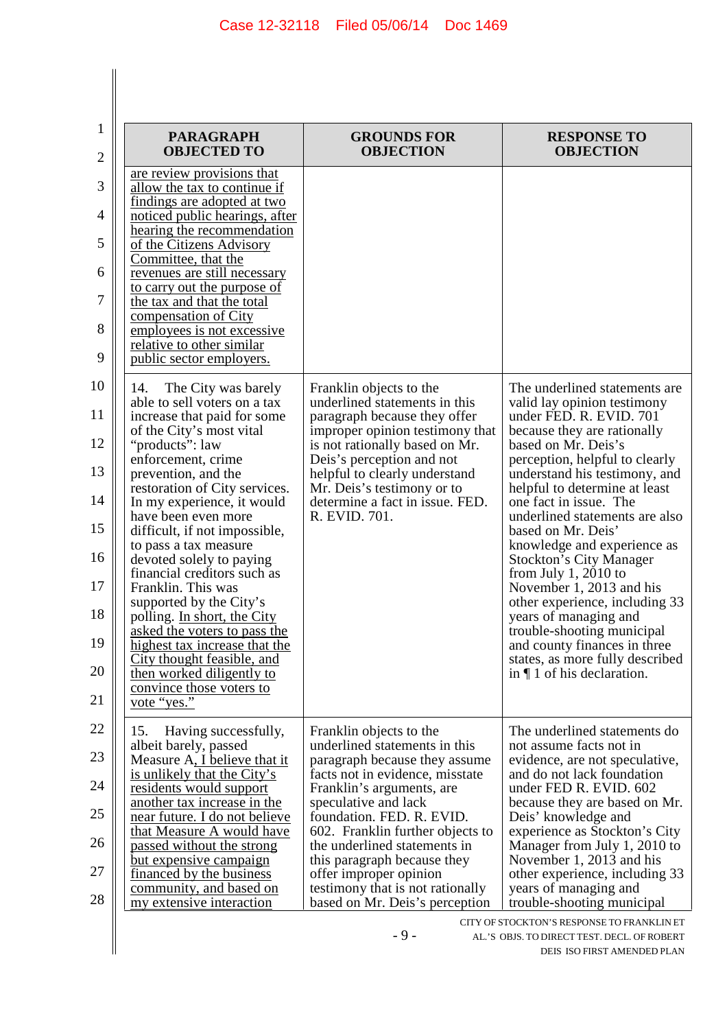| <b>PARAGRAPH</b><br><b>OBJECTED TO</b>                                                                                                                                                                                                                                                                                                                                                                                                                                                                                                                                                                                                                                                                                                                                                                                                                                                                                                                                                                                                                                              | <b>GROUNDS FOR</b><br><b>OBJECTION</b>                                                                                                                                                                                                                                                                                                                                                                            | <b>RESPONSE TO</b><br><b>OBJECTION</b>                                                                                                                                                                                                                                                                                                                                                                                                                                                                                                                                                                                                                  |
|-------------------------------------------------------------------------------------------------------------------------------------------------------------------------------------------------------------------------------------------------------------------------------------------------------------------------------------------------------------------------------------------------------------------------------------------------------------------------------------------------------------------------------------------------------------------------------------------------------------------------------------------------------------------------------------------------------------------------------------------------------------------------------------------------------------------------------------------------------------------------------------------------------------------------------------------------------------------------------------------------------------------------------------------------------------------------------------|-------------------------------------------------------------------------------------------------------------------------------------------------------------------------------------------------------------------------------------------------------------------------------------------------------------------------------------------------------------------------------------------------------------------|---------------------------------------------------------------------------------------------------------------------------------------------------------------------------------------------------------------------------------------------------------------------------------------------------------------------------------------------------------------------------------------------------------------------------------------------------------------------------------------------------------------------------------------------------------------------------------------------------------------------------------------------------------|
| are review provisions that<br>allow the tax to continue if<br>findings are adopted at two<br>noticed public hearings, after<br>hearing the recommendation<br>of the Citizens Advisory<br>Committee, that the<br>revenues are still necessary<br>to carry out the purpose of<br>the tax and that the total<br>compensation of City<br>employees is not excessive<br>relative to other similar<br>public sector employers.<br>The City was barely<br>14.<br>able to sell voters on a tax<br>increase that paid for some<br>of the City's most vital<br>"products": law<br>enforcement, crime<br>prevention, and the<br>restoration of City services.<br>In my experience, it would<br>have been even more<br>difficult, if not impossible,<br>to pass a tax measure<br>devoted solely to paying<br>financial creditors such as<br>Franklin. This was<br>supported by the City's<br>polling. In short, the City<br>asked the voters to pass the<br>highest tax increase that the<br>City thought feasible, and<br>then worked diligently to<br>convince those voters to<br>vote "yes." | Franklin objects to the<br>underlined statements in this<br>paragraph because they offer<br>improper opinion testimony that<br>is not rationally based on Mr.<br>Deis's perception and not<br>helpful to clearly understand<br>Mr. Deis's testimony or to<br>determine a fact in issue. FED.<br>R. EVID. 701.                                                                                                     | The underlined statements are<br>valid lay opinion testimony<br>under FED. R. EVID. 701<br>because they are rationally<br>based on Mr. Deis's<br>perception, helpful to clearly<br>understand his testimony, and<br>helpful to determine at least<br>one fact in issue. The<br>underlined statements are also<br>based on Mr. Deis'<br>knowledge and experience as<br><b>Stockton's City Manager</b><br>from July $1, 2010$ to<br>November 1, 2013 and his<br>other experience, including 33<br>years of managing and<br>trouble-shooting municipal<br>and county finances in three<br>states, as more fully described<br>in $\P$ 1 of his declaration. |
| Having successfully,<br>15.<br>albeit barely, passed<br>Measure A, I believe that it<br>is unlikely that the City's<br>residents would support<br>another tax increase in the<br>near future. I do not believe<br>that Measure A would have<br>passed without the strong<br><u>but expensive campaign</u><br>financed by the business<br>community, and based on<br>my extensive interaction                                                                                                                                                                                                                                                                                                                                                                                                                                                                                                                                                                                                                                                                                        | Franklin objects to the<br>underlined statements in this<br>paragraph because they assume<br>facts not in evidence, misstate<br>Franklin's arguments, are<br>speculative and lack<br>foundation. FED. R. EVID.<br>602. Franklin further objects to<br>the underlined statements in<br>this paragraph because they<br>offer improper opinion<br>testimony that is not rationally<br>based on Mr. Deis's perception | The underlined statements do<br>not assume facts not in<br>evidence, are not speculative,<br>and do not lack foundation<br>under FED R. EVID. 602<br>because they are based on Mr.<br>Deis' knowledge and<br>experience as Stockton's City<br>Manager from July 1, 2010 to<br>November 1, 2013 and his<br>other experience, including 33<br>years of managing and<br>trouble-shooting municipal                                                                                                                                                                                                                                                         |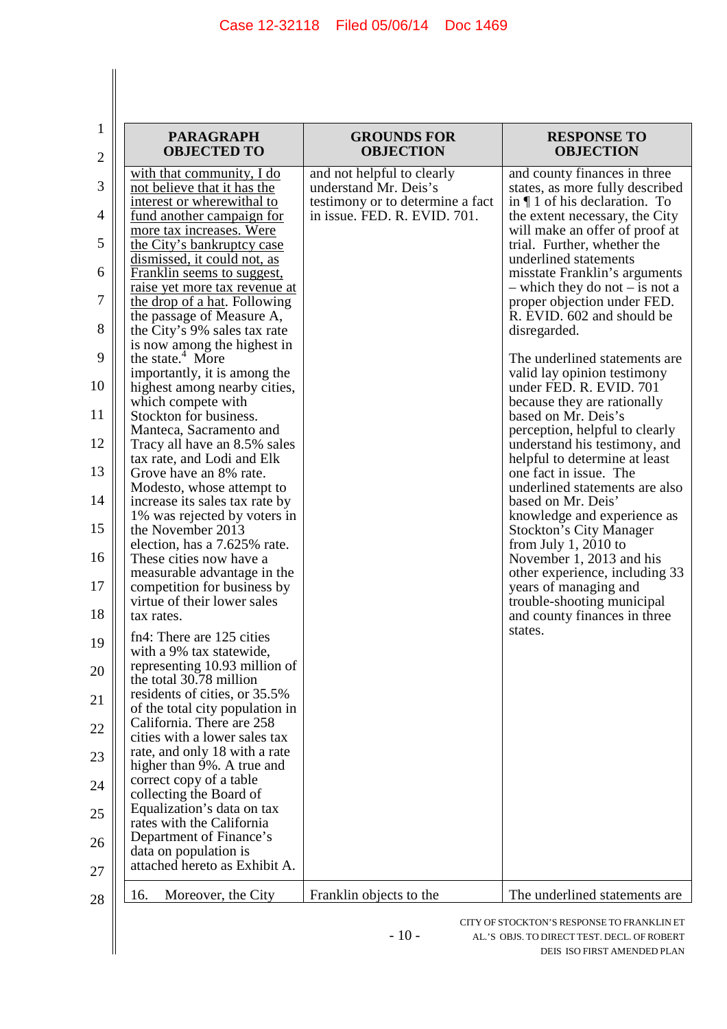| <b>PARAGRAPH</b><br><b>OBJECTED TO</b>                                                 | <b>GROUNDS FOR</b><br><b>OBJECTION</b>                           | <b>RESPONSE TO</b><br><b>OBJECTION</b>                                                   |
|----------------------------------------------------------------------------------------|------------------------------------------------------------------|------------------------------------------------------------------------------------------|
| with that community, I do<br>not believe that it has the                               | and not helpful to clearly<br>understand Mr. Deis's              | and county finances in three<br>states, as more fully described                          |
| interest or wherewithal to<br><u>fund another campaign for</u>                         | testimony or to determine a fact<br>in issue. FED. R. EVID. 701. | in $\P$ 1 of his declaration. To<br>the extent necessary, the City                       |
| more tax increases. Were<br>the City's bankruptcy case<br>dismissed, it could not, as  |                                                                  | will make an offer of proof at<br>trial. Further, whether the<br>underlined statements   |
| Franklin seems to suggest,<br><u>raise yet more tax revenue at</u>                     |                                                                  | misstate Franklin's arguments<br>$-$ which they do not $-$ is not a                      |
| the drop of a hat. Following<br>the passage of Measure A,                              |                                                                  | proper objection under FED.<br>R. EVID. 602 and should be                                |
| the City's 9% sales tax rate<br>is now among the highest in                            |                                                                  | disregarded.                                                                             |
| the state. <sup>4</sup> More<br>importantly, it is among the                           |                                                                  | The underlined statements are<br>valid lay opinion testimony                             |
| highest among nearby cities,<br>which compete with                                     |                                                                  | under FED. R. EVID. 701<br>because they are rationally                                   |
| Stockton for business.<br>Manteca, Sacramento and                                      |                                                                  | based on Mr. Deis's<br>perception, helpful to clearly                                    |
| Tracy all have an 8.5% sales<br>tax rate, and Lodi and Elk<br>Grove have an 8% rate.   |                                                                  | understand his testimony, and<br>helpful to determine at least<br>one fact in issue. The |
| Modesto, whose attempt to<br>increase its sales tax rate by                            |                                                                  | underlined statements are also<br>based on Mr. Deis'                                     |
| 1% was rejected by voters in<br>the November 2013                                      |                                                                  | knowledge and experience as<br><b>Stockton's City Manager</b>                            |
| election, has a 7.625% rate.<br>These cities now have a                                |                                                                  | from July $1, 2010$ to<br>November 1, 2013 and his                                       |
| measurable advantage in the<br>competition for business by                             |                                                                  | other experience, including 33<br>years of managing and                                  |
| virtue of their lower sales<br>tax rates.                                              |                                                                  | trouble-shooting municipal<br>and county finances in three                               |
| fn4: There are 125 cities<br>with a 9% tax statewide,                                  |                                                                  | states.                                                                                  |
| representing 10.93 million of<br>the total 30.78 million                               |                                                                  |                                                                                          |
| residents of cities, or 35.5%<br>of the total city population in                       |                                                                  |                                                                                          |
| California. There are 258<br>cities with a lower sales tax                             |                                                                  |                                                                                          |
| rate, and only 18 with a rate<br>higher than 9%. A true and<br>correct copy of a table |                                                                  |                                                                                          |
| collecting the Board of<br>Equalization's data on tax                                  |                                                                  |                                                                                          |
| rates with the California<br>Department of Finance's                                   |                                                                  |                                                                                          |
| data on population is<br>attached hereto as Exhibit A.                                 |                                                                  |                                                                                          |
| Moreover, the City<br>16.                                                              | Franklin objects to the                                          | The underlined statements are                                                            |

 $\Big\|$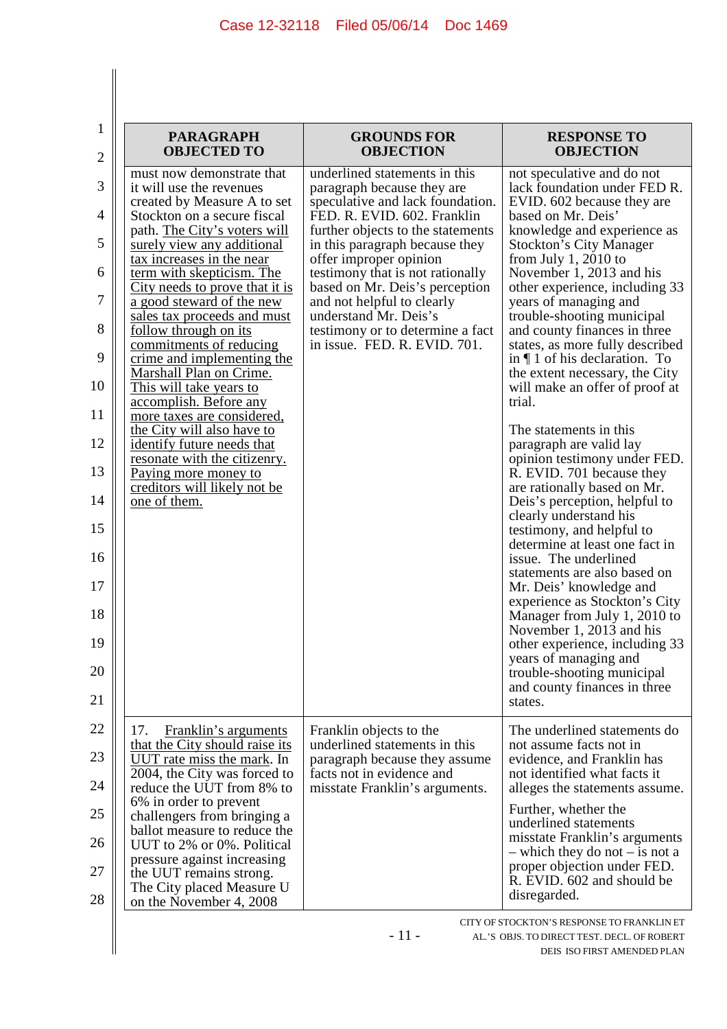| <b>PARAGRAPH</b><br><b>OBJECTED TO</b>                                                                                                                                                                                                                                                                                                                                                                                                                                                                                                                                                                                                                                                                               | <b>GROUNDS FOR</b><br><b>OBJECTION</b>                                                                                                                                                                                                                                                                                                                                                                                           | <b>RESPONSE TO</b><br><b>OBJECTION</b>                                                                                                                                                                                                                                                                                                                                                                                                                                                                                                                                                                                                                                                                                                                                                                                                                                                                                                                                                                                                                                                                            |
|----------------------------------------------------------------------------------------------------------------------------------------------------------------------------------------------------------------------------------------------------------------------------------------------------------------------------------------------------------------------------------------------------------------------------------------------------------------------------------------------------------------------------------------------------------------------------------------------------------------------------------------------------------------------------------------------------------------------|----------------------------------------------------------------------------------------------------------------------------------------------------------------------------------------------------------------------------------------------------------------------------------------------------------------------------------------------------------------------------------------------------------------------------------|-------------------------------------------------------------------------------------------------------------------------------------------------------------------------------------------------------------------------------------------------------------------------------------------------------------------------------------------------------------------------------------------------------------------------------------------------------------------------------------------------------------------------------------------------------------------------------------------------------------------------------------------------------------------------------------------------------------------------------------------------------------------------------------------------------------------------------------------------------------------------------------------------------------------------------------------------------------------------------------------------------------------------------------------------------------------------------------------------------------------|
| must now demonstrate that<br>it will use the revenues<br>created by Measure A to set<br>Stockton on a secure fiscal<br>path. The City's voters will<br>surely view any additional<br>tax increases in the near<br>term with skepticism. The<br><u>City needs to prove that it is</u><br>a good steward of the new<br>sales tax proceeds and must<br>follow through on its<br>commitments of reducing<br>crime and implementing the<br>Marshall Plan on Crime.<br>This will take years to<br>accomplish. Before any<br>more taxes are considered,<br>the City will also have to<br>identify future needs that<br>resonate with the citizenry.<br>Paying more money to<br>creditors will likely not be<br>one of them. | underlined statements in this<br>paragraph because they are<br>speculative and lack foundation.<br>FED. R. EVID. 602. Franklin<br>further objects to the statements<br>in this paragraph because they<br>offer improper opinion<br>testimony that is not rationally<br>based on Mr. Deis's perception<br>and not helpful to clearly<br>understand Mr. Deis's<br>testimony or to determine a fact<br>in issue. FED. R. EVID. 701. | not speculative and do not<br>lack foundation under FED R.<br>EVID. 602 because they are<br>based on Mr. Deis'<br>knowledge and experience as<br><b>Stockton's City Manager</b><br>from July 1, 2010 to<br>November 1, 2013 and his<br>other experience, including 33<br>years of managing and<br>trouble-shooting municipal<br>and county finances in three<br>states, as more fully described<br>in $\P$ 1 of his declaration. To<br>the extent necessary, the City<br>will make an offer of proof at<br>trial.<br>The statements in this<br>paragraph are valid lay<br>opinion testimony under FED.<br>R. EVID. 701 because they<br>are rationally based on Mr.<br>Deis's perception, helpful to<br>clearly understand his<br>testimony, and helpful to<br>determine at least one fact in<br>issue. The underlined<br>statements are also based on<br>Mr. Deis' knowledge and<br>experience as Stockton's City<br>Manager from July 1, 2010 to<br>November 1, 2013 and his<br>other experience, including 33<br>years of managing and<br>trouble-shooting municipal<br>and county finances in three<br>states. |
| 17.<br>Franklin's arguments<br>that the City should raise its<br>UUT rate miss the mark. In<br>2004, the City was forced to<br>reduce the UUT from 8% to                                                                                                                                                                                                                                                                                                                                                                                                                                                                                                                                                             | Franklin objects to the<br>underlined statements in this<br>paragraph because they assume<br>facts not in evidence and<br>misstate Franklin's arguments.                                                                                                                                                                                                                                                                         | The underlined statements do<br>not assume facts not in<br>evidence, and Franklin has<br>not identified what facts it<br>alleges the statements assume.                                                                                                                                                                                                                                                                                                                                                                                                                                                                                                                                                                                                                                                                                                                                                                                                                                                                                                                                                           |
| 6% in order to prevent<br>challengers from bringing a<br>ballot measure to reduce the<br>UUT to 2% or 0%. Political<br>pressure against increasing<br>the UUT remains strong.<br>The City placed Measure U<br>on the November 4, 2008                                                                                                                                                                                                                                                                                                                                                                                                                                                                                |                                                                                                                                                                                                                                                                                                                                                                                                                                  | Further, whether the<br>underlined statements<br>misstate Franklin's arguments<br>$-$ which they do not $-$ is not a<br>proper objection under FED.<br>R. EVID. 602 and should be<br>disregarded.                                                                                                                                                                                                                                                                                                                                                                                                                                                                                                                                                                                                                                                                                                                                                                                                                                                                                                                 |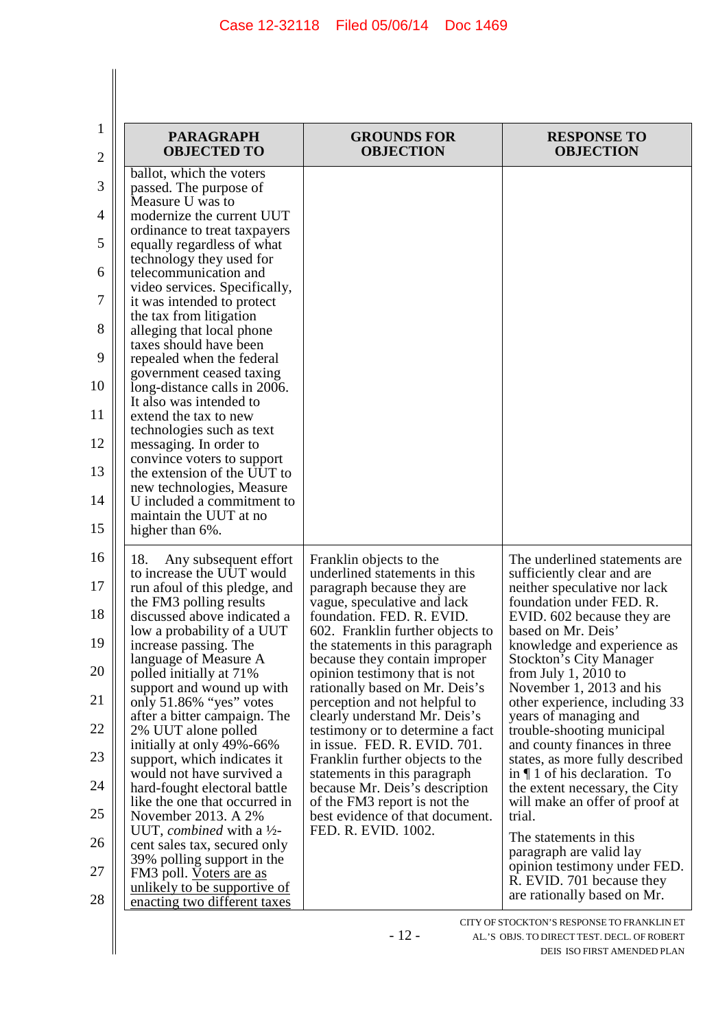$\begin{array}{c} \hline \end{array}$ 

| $\mathbf{1}$   | <b>PARAGRAPH</b><br><b>OBJECTED TO</b>                      | <b>GROUNDS FOR</b><br><b>OBJECTION</b>                          | <b>RESPONSE TO</b><br><b>OBJECTION</b>                   |
|----------------|-------------------------------------------------------------|-----------------------------------------------------------------|----------------------------------------------------------|
| $\overline{c}$ | ballot, which the voters                                    |                                                                 |                                                          |
| 3              | passed. The purpose of                                      |                                                                 |                                                          |
|                | Measure U was to                                            |                                                                 |                                                          |
| 4              | modernize the current UUT                                   |                                                                 |                                                          |
|                | ordinance to treat taxpayers                                |                                                                 |                                                          |
| 5              | equally regardless of what                                  |                                                                 |                                                          |
|                | technology they used for                                    |                                                                 |                                                          |
| 6              | telecommunication and                                       |                                                                 |                                                          |
| 7              | video services. Specifically,<br>it was intended to protect |                                                                 |                                                          |
|                | the tax from litigation                                     |                                                                 |                                                          |
| 8              | alleging that local phone                                   |                                                                 |                                                          |
|                | taxes should have been                                      |                                                                 |                                                          |
| 9              | repealed when the federal                                   |                                                                 |                                                          |
|                | government ceased taxing                                    |                                                                 |                                                          |
| 10             | long-distance calls in 2006.                                |                                                                 |                                                          |
| 11             | It also was intended to                                     |                                                                 |                                                          |
|                | extend the tax to new<br>technologies such as text          |                                                                 |                                                          |
| 12             | messaging. In order to                                      |                                                                 |                                                          |
|                | convince voters to support                                  |                                                                 |                                                          |
| 13             | the extension of the UUT to                                 |                                                                 |                                                          |
|                | new technologies, Measure                                   |                                                                 |                                                          |
| 14             | U included a commitment to                                  |                                                                 |                                                          |
|                | maintain the UUT at no                                      |                                                                 |                                                          |
| 15             | higher than 6%.                                             |                                                                 |                                                          |
| 16             | 18.<br>Any subsequent effort                                | Franklin objects to the                                         | The underlined statements are                            |
|                | to increase the UUT would                                   | underlined statements in this                                   | sufficiently clear and are                               |
| 17             | run afoul of this pledge, and                               | paragraph because they are                                      | neither speculative nor lack                             |
|                | the FM3 polling results                                     | vague, speculative and lack                                     | foundation under FED. R.                                 |
| 18             | discussed above indicated a                                 | foundation. FED. R. EVID.                                       | EVID. 602 because they are                               |
|                | low a probability of a UUT                                  | 602. Franklin further objects to                                | based on Mr. Deis'                                       |
| 19             | increase passing. The                                       | the statements in this paragraph                                | knowledge and experience as                              |
| 20             | language of Measure A                                       | because they contain improper                                   | <b>Stockton's City Manager</b>                           |
|                | polled initially at 71%<br>support and wound up with        | opinion testimony that is not<br>rationally based on Mr. Deis's | from July $1,2010$ to<br>November 1, 2013 and his        |
| 21             | only 51.86% "yes" votes                                     | perception and not helpful to                                   | other experience, including 33                           |
|                | after a bitter campaign. The                                | clearly understand Mr. Deis's                                   | years of managing and                                    |
| 22             | 2% UUT alone polled                                         | testimony or to determine a fact                                | trouble-shooting municipal                               |
|                | initially at only 49%-66%                                   | in issue. FED. R. EVID. 701.                                    | and county finances in three                             |
| 23             | support, which indicates it                                 | Franklin further objects to the                                 | states, as more fully described                          |
|                | would not have survived a                                   | statements in this paragraph                                    | in $\P$ 1 of his declaration. To                         |
| 24             | hard-fought electoral battle                                | because Mr. Deis's description                                  | the extent necessary, the City                           |
| 25             | like the one that occurred in<br>November 2013. A 2%        | of the FM3 report is not the<br>best evidence of that document. | will make an offer of proof at<br>trial.                 |
|                | UUT, combined with a $\frac{1}{2}$ -                        | FED. R. EVID. 1002.                                             |                                                          |
| 26             | cent sales tax, secured only                                |                                                                 | The statements in this                                   |
|                | 39% polling support in the                                  |                                                                 | paragraph are valid lay                                  |
| 27             | FM3 poll. Voters are as                                     |                                                                 | opinion testimony under FED.                             |
| 28             | <u>unlikely to be supportive of</u>                         |                                                                 | R. EVID. 701 because they<br>are rationally based on Mr. |
|                | enacting two different taxes                                |                                                                 |                                                          |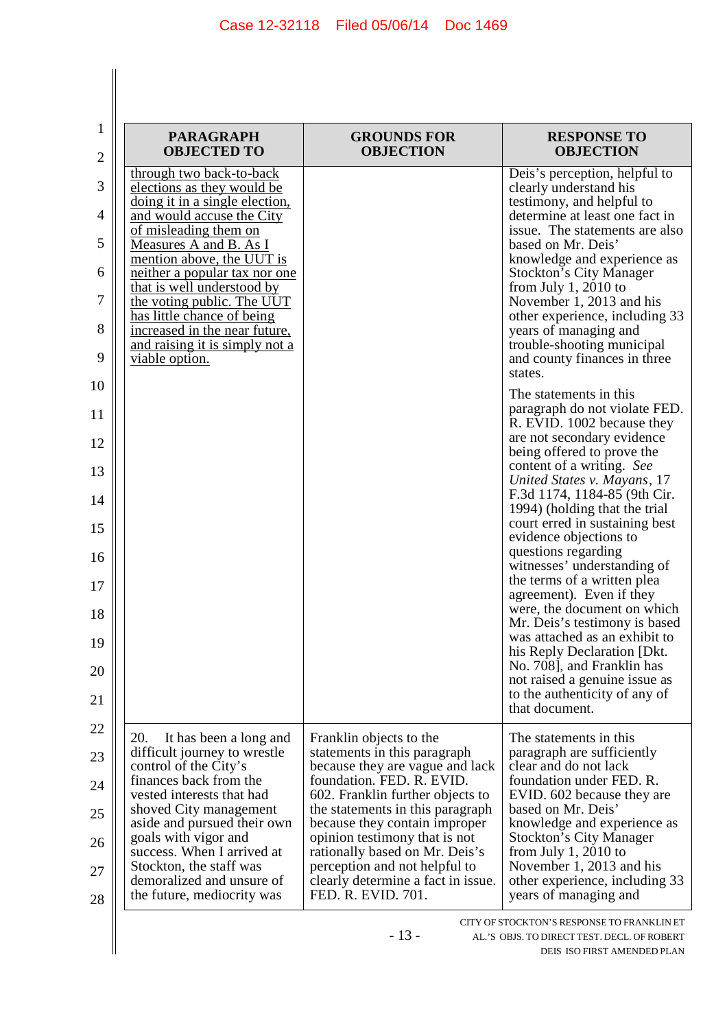| <b>PARAGRAPH</b><br><b>OBJECTED TO</b>                                                                                                                                   | <b>GROUNDS FOR</b><br><b>OBJECTION</b>                                                                                                                                                          | <b>RESPONSE TO</b><br><b>OBJECTION</b>                                                                                                                                         |
|--------------------------------------------------------------------------------------------------------------------------------------------------------------------------|-------------------------------------------------------------------------------------------------------------------------------------------------------------------------------------------------|--------------------------------------------------------------------------------------------------------------------------------------------------------------------------------|
| through two back-to-back<br>elections as they would be<br>doing it in a single election,<br>and would accuse the City<br>of misleading them on<br>Measures A and B. As I |                                                                                                                                                                                                 | Deis's perception, helpful to<br>clearly understand his<br>testimony, and helpful to<br>determine at least one fact in<br>issue. The statements are also<br>based on Mr. Deis' |
| mention above, the UUT is<br>neither a popular tax nor one<br>that is well understood by<br>the voting public. The UUT<br>has little chance of being                     |                                                                                                                                                                                                 | knowledge and experience as<br><b>Stockton's City Manager</b><br>from July $1, 2010$ to<br>November 1, 2013 and his<br>other experience, including 33                          |
| increased in the near future,<br>and raising it is simply not a<br>viable option.                                                                                        |                                                                                                                                                                                                 | years of managing and<br>trouble-shooting municipal<br>and county finances in three<br>states.                                                                                 |
|                                                                                                                                                                          |                                                                                                                                                                                                 | The statements in this<br>paragraph do not violate FED.<br>R. EVID. 1002 because they<br>are not secondary evidence                                                            |
|                                                                                                                                                                          |                                                                                                                                                                                                 | being offered to prove the<br>content of a writing. See<br>United States v. Mayans, 17                                                                                         |
|                                                                                                                                                                          |                                                                                                                                                                                                 | F.3d 1174, 1184-85 (9th Cir.<br>1994) (holding that the trial<br>court erred in sustaining best<br>evidence objections to                                                      |
|                                                                                                                                                                          |                                                                                                                                                                                                 | questions regarding<br>witnesses' understanding of<br>the terms of a written plea<br>agreement). Even if they                                                                  |
|                                                                                                                                                                          |                                                                                                                                                                                                 | were, the document on which<br>Mr. Deis's testimony is based<br>was attached as an exhibit to<br>his Reply Declaration [Dkt.                                                   |
|                                                                                                                                                                          |                                                                                                                                                                                                 | No. 708], and Franklin has<br>not raised a genuine issue as<br>to the authenticity of any of<br>that document.                                                                 |
| 20.<br>It has been a long and<br>difficult journey to wrestle<br>control of the City's<br>finances back from the<br>vested interests that had<br>shoved City management  | Franklin objects to the<br>statements in this paragraph<br>because they are vague and lack<br>foundation. FED. R. EVID.<br>602. Franklin further objects to<br>the statements in this paragraph | The statements in this<br>paragraph are sufficiently<br>clear and do not lack<br>foundation under FED. R.<br>EVID. 602 because they are<br>based on Mr. Deis'                  |
| aside and pursued their own<br>goals with vigor and<br>success. When I arrived at<br>Stockton, the staff was<br>demoralized and unsure of<br>the future, mediocrity was  | because they contain improper<br>opinion testimony that is not<br>rationally based on Mr. Deis's<br>perception and not helpful to<br>clearly determine a fact in issue.<br>FED. R. EVID. 701.   | knowledge and experience as<br><b>Stockton's City Manager</b><br>from July 1, 2010 to<br>November 1, 2013 and his<br>other experience, including 33<br>years of managing and   |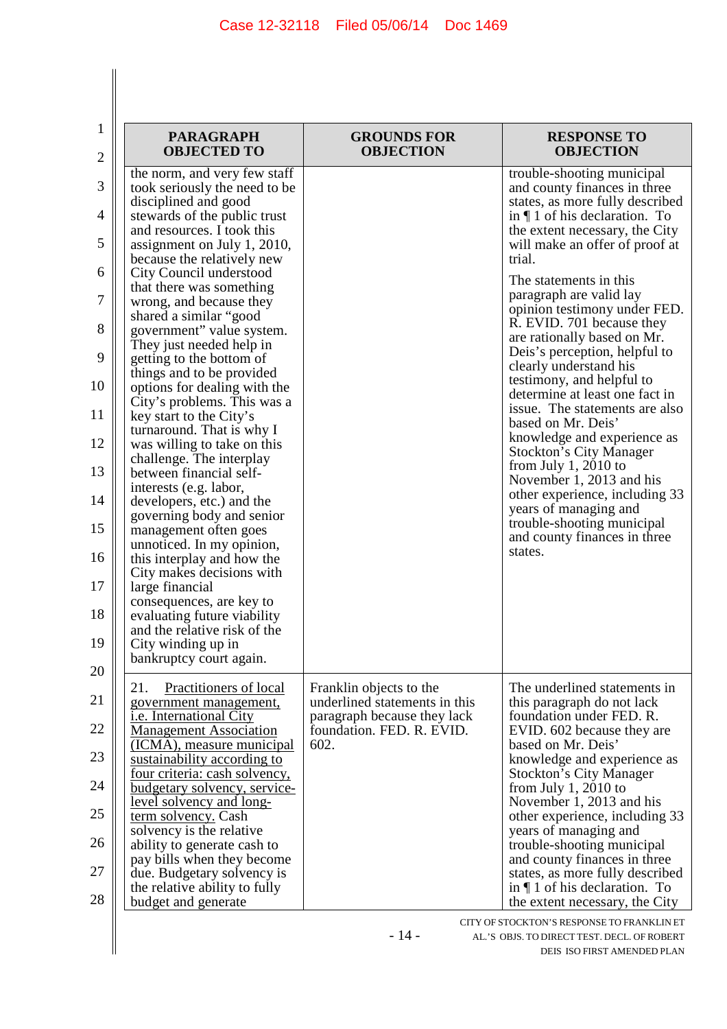$\begin{array}{c} \hline \end{array}$ 

| $\mathbf{1}$ | <b>PARAGRAPH</b>                                            | <b>GROUNDS FOR</b>                                       | <b>RESPONSE TO</b>                                         |
|--------------|-------------------------------------------------------------|----------------------------------------------------------|------------------------------------------------------------|
| 2            | <b>OBJECTED TO</b>                                          | <b>OBJECTION</b>                                         | <b>OBJECTION</b>                                           |
|              | the norm, and very few staff                                |                                                          | trouble-shooting municipal                                 |
| 3            | took seriously the need to be                               |                                                          | and county finances in three                               |
|              | disciplined and good                                        |                                                          | states, as more fully described                            |
| 4            | stewards of the public trust                                |                                                          | in $\P$ 1 of his declaration. To                           |
|              | and resources. I took this                                  |                                                          | the extent necessary, the City                             |
| 5            | assignment on July 1, 2010,                                 |                                                          | will make an offer of proof at<br>trial.                   |
| 6            | because the relatively new<br>City Council understood       |                                                          |                                                            |
|              | that there was something                                    |                                                          | The statements in this                                     |
| 7            | wrong, and because they                                     |                                                          | paragraph are valid lay                                    |
|              | shared a similar "good                                      |                                                          | opinion testimony under FED.                               |
| 8            | government" value system.                                   |                                                          | R. EVID. 701 because they                                  |
|              | They just needed help in                                    |                                                          | are rationally based on Mr.                                |
| 9            | getting to the bottom of                                    |                                                          | Deis's perception, helpful to                              |
|              | things and to be provided                                   |                                                          | clearly understand his<br>testimony, and helpful to        |
| 10           | options for dealing with the                                |                                                          | determine at least one fact in                             |
|              | City's problems. This was a                                 |                                                          | issue. The statements are also                             |
| 11           | key start to the City's                                     |                                                          | based on Mr. Deis'                                         |
|              | turnaround. That is why I                                   |                                                          | knowledge and experience as                                |
| 12           | was willing to take on this                                 |                                                          | <b>Stockton's City Manager</b>                             |
| 13           | challenge. The interplay<br>between financial self-         |                                                          | from July 1, 2010 to                                       |
|              | interests (e.g. labor,                                      |                                                          | November 1, 2013 and his                                   |
| 14           | developers, etc.) and the                                   |                                                          | other experience, including 33                             |
|              | governing body and senior                                   |                                                          | years of managing and                                      |
| 15           | management often goes                                       |                                                          | trouble-shooting municipal                                 |
|              | unnoticed. In my opinion,                                   |                                                          | and county finances in three                               |
| 16           | this interplay and how the                                  |                                                          | states.                                                    |
|              | City makes decisions with                                   |                                                          |                                                            |
| 17           | large financial                                             |                                                          |                                                            |
|              | consequences, are key to                                    |                                                          |                                                            |
| 18           | evaluating future viability<br>and the relative risk of the |                                                          |                                                            |
| 19           | City winding up in                                          |                                                          |                                                            |
|              | bankruptcy court again.                                     |                                                          |                                                            |
| 20           |                                                             |                                                          |                                                            |
| 21           | 21.<br>Practitioners of local                               | Franklin objects to the<br>underlined statements in this | The underlined statements in<br>this paragraph do not lack |
|              | government management,<br><i>i.e.</i> International City    | paragraph because they lack                              | foundation under FED. R.                                   |
| 22           | <b>Management Association</b>                               | foundation. FED. R. EVID.                                | EVID. 602 because they are                                 |
|              | (ICMA), measure municipal                                   | 602.                                                     | based on Mr. Deis'                                         |
| 23           | sustainability according to                                 |                                                          | knowledge and experience as                                |
|              | four criteria: cash solvency,                               |                                                          | <b>Stockton's City Manager</b>                             |
| 24           | budgetary solvency, service-                                |                                                          | from July 1, $2010$ to                                     |
| 25           | level solvency and long-                                    |                                                          | November 1, 2013 and his                                   |
|              | term solvency. Cash                                         |                                                          | other experience, including 33                             |
| 26           | solvency is the relative<br>ability to generate cash to     |                                                          | years of managing and<br>trouble-shooting municipal        |
|              | pay bills when they become                                  |                                                          | and county finances in three                               |
| 27           | due. Budgetary solvency is                                  |                                                          | states, as more fully described                            |
|              | the relative ability to fully                               |                                                          | in $\P$ 1 of his declaration. To                           |
| 28           | budget and generate                                         |                                                          | the extent necessary, the City                             |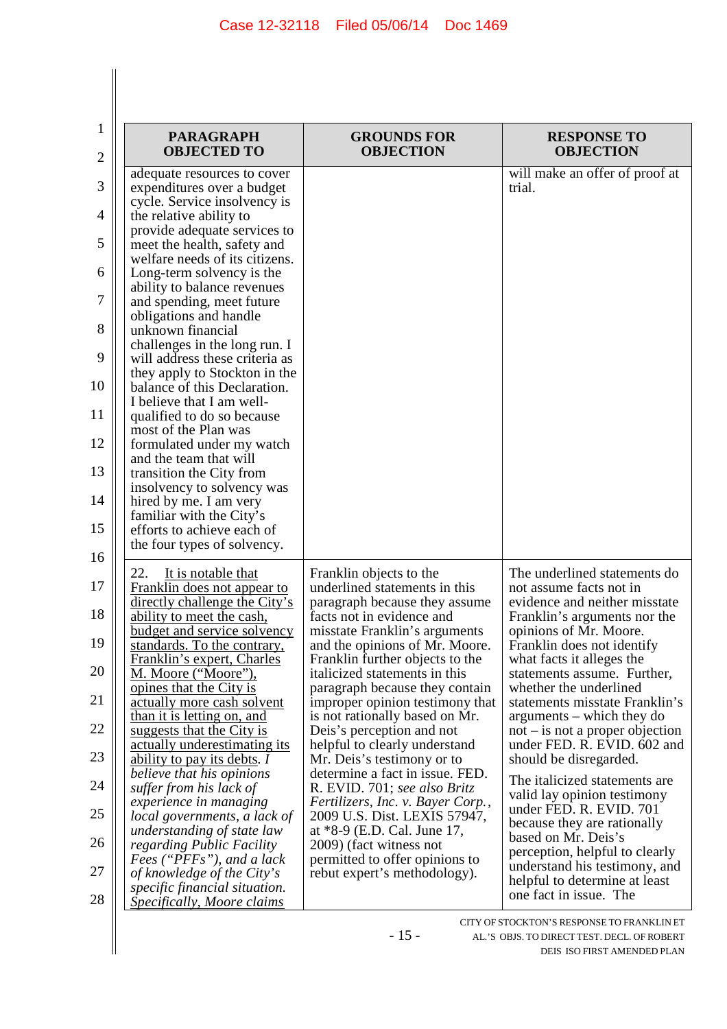$\begin{array}{c} \hline \end{array}$ 

| 1  | <b>PARAGRAPH</b>                                                | <b>GROUNDS FOR</b>                                                | <b>RESPONSE TO</b>                                              |
|----|-----------------------------------------------------------------|-------------------------------------------------------------------|-----------------------------------------------------------------|
| 2  | <b>OBJECTED TO</b>                                              | <b>OBJECTION</b>                                                  | <b>OBJECTION</b>                                                |
|    | adequate resources to cover                                     |                                                                   | will make an offer of proof at                                  |
| 3  | expenditures over a budget                                      |                                                                   | trial.                                                          |
| 4  | cycle. Service insolvency is                                    |                                                                   |                                                                 |
|    | the relative ability to<br>provide adequate services to         |                                                                   |                                                                 |
| 5  | meet the health, safety and                                     |                                                                   |                                                                 |
|    | welfare needs of its citizens.                                  |                                                                   |                                                                 |
| 6  | Long-term solvency is the                                       |                                                                   |                                                                 |
|    | ability to balance revenues                                     |                                                                   |                                                                 |
| 7  | and spending, meet future                                       |                                                                   |                                                                 |
|    | obligations and handle                                          |                                                                   |                                                                 |
| 8  | unknown financial                                               |                                                                   |                                                                 |
| 9  | challenges in the long run. I<br>will address these criteria as |                                                                   |                                                                 |
|    | they apply to Stockton in the                                   |                                                                   |                                                                 |
| 10 | balance of this Declaration.                                    |                                                                   |                                                                 |
|    | I believe that I am well-                                       |                                                                   |                                                                 |
| 11 | qualified to do so because                                      |                                                                   |                                                                 |
|    | most of the Plan was                                            |                                                                   |                                                                 |
| 12 | formulated under my watch                                       |                                                                   |                                                                 |
| 13 | and the team that will<br>transition the City from              |                                                                   |                                                                 |
|    | insolvency to solvency was                                      |                                                                   |                                                                 |
| 14 | hired by me. I am very                                          |                                                                   |                                                                 |
|    | familiar with the City's                                        |                                                                   |                                                                 |
| 15 | efforts to achieve each of                                      |                                                                   |                                                                 |
|    | the four types of solvency.                                     |                                                                   |                                                                 |
| 16 | 22.                                                             |                                                                   | The underlined statements do                                    |
| 17 | It is notable that<br>Franklin does not appear to               | Franklin objects to the<br>underlined statements in this          | not assume facts not in                                         |
|    | directly challenge the City's                                   | paragraph because they assume                                     | evidence and neither misstate                                   |
| 18 | ability to meet the cash,                                       | facts not in evidence and                                         | Franklin's arguments nor the                                    |
|    | <b>budget and service solvency</b>                              | misstate Franklin's arguments                                     | opinions of Mr. Moore.                                          |
| 19 | standards. To the contrary,                                     | and the opinions of Mr. Moore.                                    | Franklin does not identify                                      |
| 20 | Franklin's expert, Charles                                      | Franklin further objects to the                                   | what facts it alleges the                                       |
|    | M. Moore ("Moore"),                                             | italicized statements in this<br>paragraph because they contain   | statements assume. Further,<br>whether the underlined           |
| 21 | opines that the City is<br>actually more cash solvent           | improper opinion testimony that                                   | statements misstate Franklin's                                  |
|    | than it is letting on, and                                      | is not rationally based on Mr.                                    | arguments – which they do                                       |
| 22 | suggests that the City is                                       | Deis's perception and not                                         | $not - is not a proper objection$                               |
|    | actually underestimating its                                    | helpful to clearly understand                                     | under FED. R. EVID. 602 and                                     |
| 23 | ability to pay its debts. I                                     | Mr. Deis's testimony or to                                        | should be disregarded.                                          |
|    | believe that his opinions                                       | determine a fact in issue. FED.                                   | The italicized statements are                                   |
| 24 | suffer from his lack of                                         | R. EVID. 701; see also Britz                                      | valid lay opinion testimony                                     |
| 25 | experience in managing<br>local governments, a lack of          | Fertilizers, Inc. v. Bayer Corp.,<br>2009 U.S. Dist. LEXIS 57947, | under FED. R. EVID. 701                                         |
|    | understanding of state law                                      | at *8-9 (E.D. Cal. June 17,                                       | because they are rationally                                     |
| 26 | regarding Public Facility                                       | 2009) (fact witness not                                           | based on Mr. Deis's                                             |
|    | Fees ("PFFs"), and a lack                                       | permitted to offer opinions to                                    | perception, helpful to clearly<br>understand his testimony, and |
| 27 | of knowledge of the City's                                      | rebut expert's methodology).                                      | helpful to determine at least                                   |
| 28 | specific financial situation.                                   |                                                                   | one fact in issue. The                                          |
|    | Specifically, Moore claims                                      |                                                                   |                                                                 |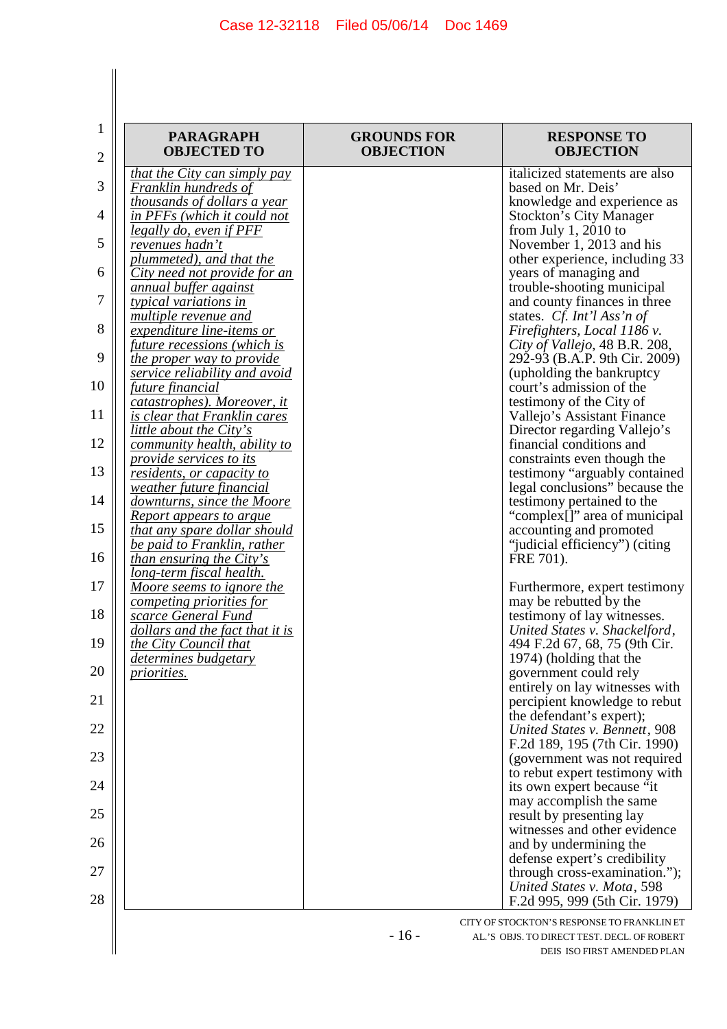| <b>PARAGRAPH</b><br><b>OBJECTED TO</b>                     | <b>GROUNDS FOR</b><br><b>OBJECTION</b> | <b>RESPONSE TO</b><br><b>OBJECTION</b>                           |
|------------------------------------------------------------|----------------------------------------|------------------------------------------------------------------|
| that the City can simply pay                               |                                        | italicized statements are also                                   |
| Franklin hundreds of                                       |                                        | based on Mr. Deis'                                               |
| thousands of dollars a year                                |                                        | knowledge and experience as                                      |
| in PFFs (which it could not                                |                                        | <b>Stockton's City Manager</b>                                   |
| legally do, even if PFF<br>revenues hadn't                 |                                        | from July 1, 2010 to<br>November 1, 2013 and his                 |
| plummeted), and that the                                   |                                        | other experience, including 33                                   |
| City need not provide for an                               |                                        | years of managing and                                            |
| annual buffer against                                      |                                        | trouble-shooting municipal                                       |
| typical variations in                                      |                                        | and county finances in three                                     |
| multiple revenue and                                       |                                        | states. Cf. Int'l Ass'n of                                       |
| expenditure line-items or                                  |                                        | Firefighters, Local 1186 v.                                      |
| <i>future recessions (which is</i>                         |                                        | City of Vallejo, 48 B.R. 208,                                    |
| the proper way to provide<br>service reliability and avoid |                                        | 292-93 (B.A.P. 9th Cir. 2009)<br>(upholding the bankruptcy       |
| future financial                                           |                                        | court's admission of the                                         |
| catastrophes). Moreover, it                                |                                        | testimony of the City of                                         |
| is clear that Franklin cares                               |                                        | Vallejo's Assistant Finance                                      |
| <i>little about the City's</i>                             |                                        | Director regarding Vallejo's                                     |
| community health, ability to                               |                                        | financial conditions and                                         |
| provide services to its                                    |                                        | constraints even though the                                      |
| residents, or capacity to<br>weather future financial      |                                        | testimony "arguably contained"<br>legal conclusions" because the |
| downturns, since the Moore                                 |                                        | testimony pertained to the                                       |
| <b>Report appears to argue</b>                             |                                        | "complex[]" area of municipal                                    |
| <u>that any spare dollar should</u>                        |                                        | accounting and promoted                                          |
| be paid to Franklin, rather                                |                                        | "judicial efficiency") (citing                                   |
| <i>than ensuring the City's</i>                            |                                        | FRE 701).                                                        |
| long-term fiscal health.<br>Moore seems to ignore the      |                                        |                                                                  |
| competing priorities for                                   |                                        | Furthermore, expert testimony<br>may be rebutted by the          |
| scarce General Fund                                        |                                        | testimony of lay witnesses.                                      |
| dollars and the fact that it is                            |                                        | United States v. Shackelford,                                    |
| the City Council that                                      |                                        | 494 F.2d 67, 68, 75 (9th Cir.                                    |
| determines budgetary                                       |                                        | 1974) (holding that the                                          |
| <u>priorities.</u>                                         |                                        | government could rely                                            |
|                                                            |                                        | entirely on lay witnesses with<br>percipient knowledge to rebut  |
|                                                            |                                        | the defendant's expert);                                         |
|                                                            |                                        | United States v. Bennett, 908                                    |
|                                                            |                                        | F.2d 189, 195 (7th Cir. 1990)                                    |
|                                                            |                                        | (government was not required                                     |
|                                                            |                                        | to rebut expert testimony with                                   |
|                                                            |                                        | its own expert because "it                                       |
|                                                            |                                        | may accomplish the same                                          |
|                                                            |                                        | result by presenting lay<br>witnesses and other evidence         |
|                                                            |                                        | and by undermining the                                           |
|                                                            |                                        | defense expert's credibility                                     |
|                                                            |                                        | through cross-examination.");                                    |
|                                                            |                                        | United States v. Mota, 598                                       |
|                                                            |                                        | F.2d 995, 999 (5th Cir. 1979)                                    |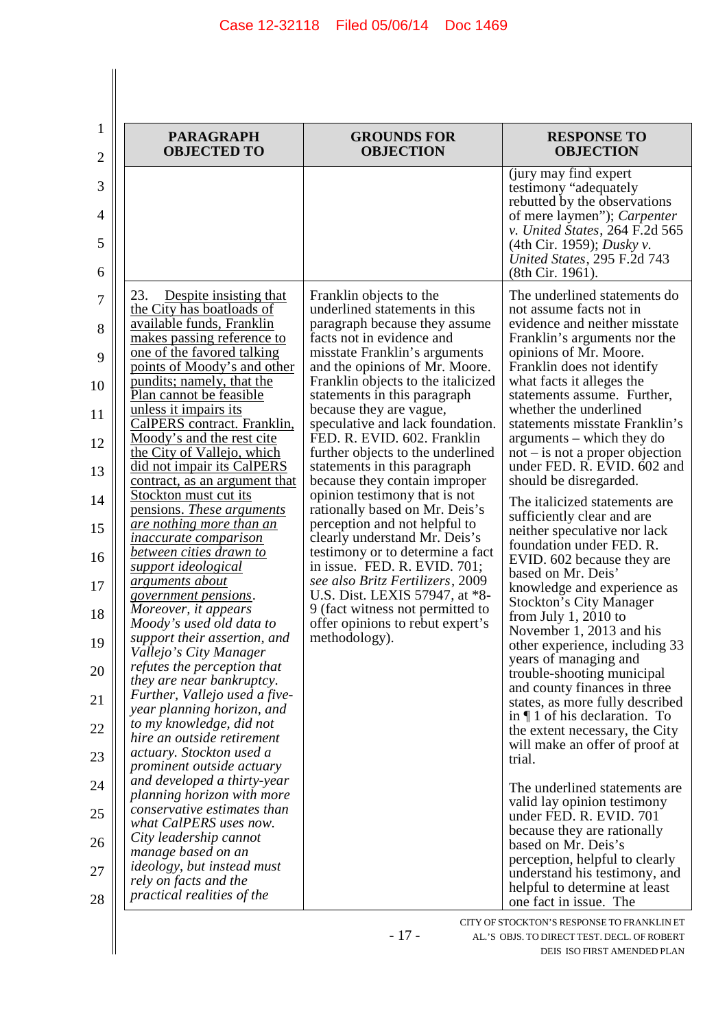| 23.<br>Despite insisting that<br>the City has boatloads of<br>available funds, Franklin<br>makes passing reference to<br>one of the favored talking<br>points of Moody's and other<br>pundits; namely, that the<br>Plan cannot be feasible<br>unless it impairs its                                                                                                                                                                                                                                                                                                                                                                                                                                                                                                                                                                                                                                                                                                                                       | Franklin objects to the<br>underlined statements in this<br>paragraph because they assume<br>facts not in evidence and<br>misstate Franklin's arguments<br>and the opinions of Mr. Moore.                                                                                                                                                                                                                                                                                                                                                                                                                                                      | (jury may find expert)<br>testimony "adequately"<br>rebutted by the observations<br>of mere laymen"); Carpenter<br>v. United States, 264 F.2d 565<br>(4th Cir. 1959); <i>Dusky v.</i><br>United States, 295 F.2d 743<br>(8th Cir. 1961).<br>The underlined statements do<br>not assume facts not in<br>evidence and neither misstate<br>Franklin's arguments nor the                                                                                                                                                                                                                                                                                                                                                                                                                                                                                                                                                                                                                                                                                                                                                                             |
|-----------------------------------------------------------------------------------------------------------------------------------------------------------------------------------------------------------------------------------------------------------------------------------------------------------------------------------------------------------------------------------------------------------------------------------------------------------------------------------------------------------------------------------------------------------------------------------------------------------------------------------------------------------------------------------------------------------------------------------------------------------------------------------------------------------------------------------------------------------------------------------------------------------------------------------------------------------------------------------------------------------|------------------------------------------------------------------------------------------------------------------------------------------------------------------------------------------------------------------------------------------------------------------------------------------------------------------------------------------------------------------------------------------------------------------------------------------------------------------------------------------------------------------------------------------------------------------------------------------------------------------------------------------------|--------------------------------------------------------------------------------------------------------------------------------------------------------------------------------------------------------------------------------------------------------------------------------------------------------------------------------------------------------------------------------------------------------------------------------------------------------------------------------------------------------------------------------------------------------------------------------------------------------------------------------------------------------------------------------------------------------------------------------------------------------------------------------------------------------------------------------------------------------------------------------------------------------------------------------------------------------------------------------------------------------------------------------------------------------------------------------------------------------------------------------------------------|
|                                                                                                                                                                                                                                                                                                                                                                                                                                                                                                                                                                                                                                                                                                                                                                                                                                                                                                                                                                                                           |                                                                                                                                                                                                                                                                                                                                                                                                                                                                                                                                                                                                                                                |                                                                                                                                                                                                                                                                                                                                                                                                                                                                                                                                                                                                                                                                                                                                                                                                                                                                                                                                                                                                                                                                                                                                                  |
| CalPERS contract. Franklin,<br>Moody's and the rest cite<br>the City of Vallejo, which<br>did not impair its CalPERS<br>contract, as an argument that<br>Stockton must cut its<br>pensions. These arguments<br>are nothing more than an<br><i>inaccurate comparison</i><br>between cities drawn to<br>support ideological<br>arguments about<br><u>government pensions.</u><br>Moreover, it appears<br>Moody's used old data to<br>support their assertion, and<br>Vallejo's City Manager<br>refutes the perception that<br>they are near bankruptcy.<br>Further, Vallejo used a five-<br>year planning horizon, and<br>to my knowledge, did not<br>hire an outside retirement<br>actuary. Stockton used a<br>prominent outside actuary<br>and developed a thirty-year<br>planning horizon with more<br>conservative estimates than<br>what CalPERS uses now.<br>City leadership cannot<br>manage based on an<br><i>ideology, but instead must</i><br>rely on facts and the<br>practical realities of the | Franklin objects to the italicized<br>statements in this paragraph<br>because they are vague,<br>speculative and lack foundation.<br>FED. R. EVID. 602. Franklin<br>further objects to the underlined<br>statements in this paragraph<br>because they contain improper<br>opinion testimony that is not<br>rationally based on Mr. Deis's<br>perception and not helpful to<br>clearly understand Mr. Deis's<br>testimony or to determine a fact<br>in issue. FED. R. EVID. 701;<br>see also Britz Fertilizers, 2009<br>U.S. Dist. LEXIS 57947, at *8-<br>9 (fact witness not permitted to<br>offer opinions to rebut expert's<br>methodology). | opinions of Mr. Moore.<br>Franklin does not identify<br>what facts it alleges the<br>statements assume. Further,<br>whether the underlined<br>statements misstate Franklin's<br>arguments – which they do<br>$not - is not a proper objection$<br>under FED. R. EVID. 602 and<br>should be disregarded.<br>The italicized statements are<br>sufficiently clear and are<br>neither speculative nor lack<br>foundation under FED. R.<br>EVID. 602 because they are<br>based on Mr. Deis'<br>knowledge and experience as<br><b>Stockton's City Manager</b><br>from July 1, $2010$ to<br>November 1, 2013 and his<br>other experience, including 33<br>years of managing and<br>trouble-shooting municipal<br>and county finances in three<br>states, as more fully described<br>in $\P$ 1 of his declaration. To<br>the extent necessary, the City<br>will make an offer of proof at<br>trial.<br>The underlined statements are<br>valid lay opinion testimony<br>under FED. R. EVID. 701<br>because they are rationally<br>based on Mr. Deis's<br>perception, helpful to clearly<br>understand his testimony, and<br>helpful to determine at least |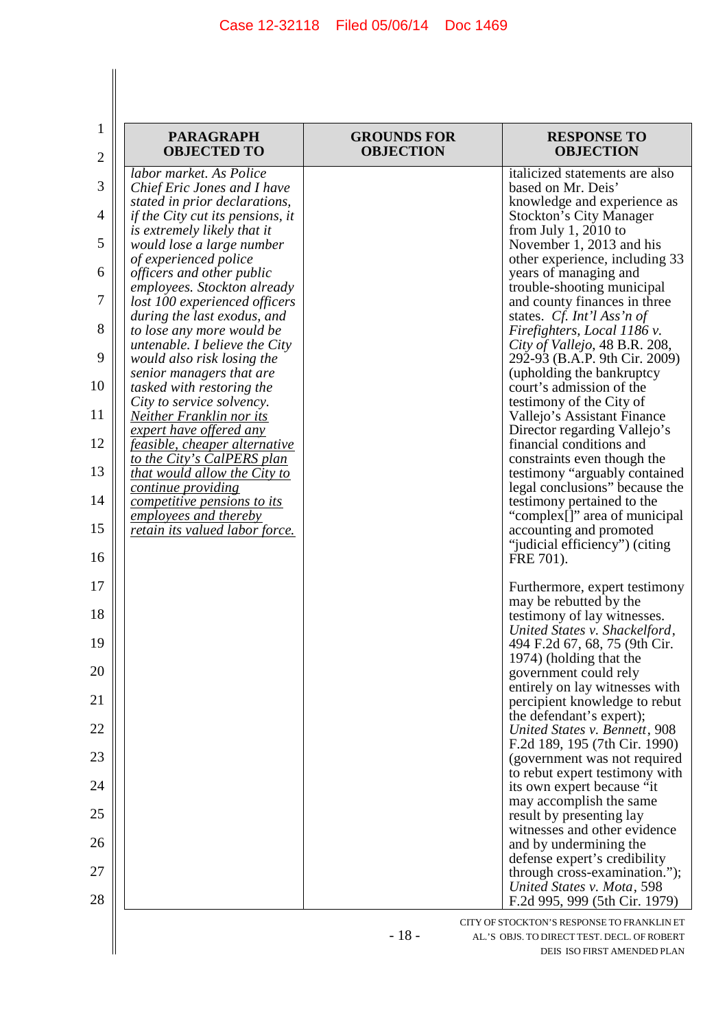$\begin{array}{c} \hline \end{array}$  $\parallel$ 

| 1<br>2         | <b>PARAGRAPH</b><br><b>OBJECTED TO</b>                       | <b>GROUNDS FOR</b><br><b>OBJECTION</b> | <b>RESPONSE TO</b><br><b>OBJECTION</b>                                                    |
|----------------|--------------------------------------------------------------|----------------------------------------|-------------------------------------------------------------------------------------------|
| 3              | labor market. As Police                                      |                                        | italicized statements are also                                                            |
|                | Chief Eric Jones and I have<br>stated in prior declarations, |                                        | based on Mr. Deis'<br>knowledge and experience as                                         |
| $\overline{4}$ | <i>if the City cut its pensions, it</i>                      |                                        | <b>Stockton's City Manager</b>                                                            |
| 5              | is extremely likely that it<br>would lose a large number     |                                        | from July 1, 2010 to<br>November 1, 2013 and his                                          |
| 6              | of experienced police<br><i>officers and other public</i>    |                                        | other experience, including 33<br>years of managing and                                   |
| 7              | employees. Stockton already<br>lost 100 experienced officers |                                        | trouble-shooting municipal<br>and county finances in three                                |
| 8              | during the last exodus, and<br>to lose any more would be     |                                        | states. Cf. Int'l Ass'n of<br>Firefighters, Local 1186 v.                                 |
| 9              | untenable. I believe the City<br>would also risk losing the  |                                        | City of Vallejo, 48 B.R. 208,<br>292-93 (B.A.P. 9th Cir. 2009)                            |
| 10             | senior managers that are<br>tasked with restoring the        |                                        | (upholding the bankruptcy<br>court's admission of the                                     |
| 11             | City to service solvency.<br><b>Neither Franklin nor its</b> |                                        | testimony of the City of<br>Vallejo's Assistant Finance                                   |
| 12             | expert have offered any<br>feasible, cheaper alternative     |                                        | Director regarding Vallejo's<br>financial conditions and                                  |
| 13             | to the City's CalPERS plan<br>that would allow the City to   |                                        | constraints even though the<br>testimony "arguably contained                              |
|                | <i>continue providing</i>                                    |                                        | legal conclusions" because the                                                            |
| 14             | <i>competitive pensions to its</i><br>employees and thereby  |                                        | testimony pertained to the<br>"complex[]" area of municipal                               |
| 15             | retain its valued labor force.                               |                                        | accounting and promoted<br>"judicial efficiency") (citing                                 |
| 16             |                                                              |                                        | FRE 701).                                                                                 |
| 17             |                                                              |                                        | Furthermore, expert testimony<br>may be rebutted by the                                   |
| 18             |                                                              |                                        | testimony of lay witnesses.<br>United States v. Shackelford,                              |
| 19             |                                                              |                                        | 494 F.2d 67, 68, 75 (9th Cir.<br>1974) (holding that the                                  |
| 20             |                                                              |                                        | government could rely                                                                     |
| 21             |                                                              |                                        | entirely on lay witnesses with<br>percipient knowledge to rebut                           |
| 22             |                                                              |                                        | the defendant's expert);<br>United States v. Bennett, 908                                 |
| 23             |                                                              |                                        | F.2d 189, 195 (7th Cir. 1990)<br>(government was not required                             |
| 24             |                                                              |                                        | to rebut expert testimony with<br>its own expert because "it                              |
|                |                                                              |                                        | may accomplish the same                                                                   |
| 25             |                                                              |                                        | result by presenting lay<br>witnesses and other evidence                                  |
| 26             |                                                              |                                        | and by undermining the                                                                    |
| 27             |                                                              |                                        | defense expert's credibility<br>through cross-examination.");                             |
| 28             |                                                              |                                        | United States v. Mota, 598<br>F.2d 995, 999 (5th Cir. 1979)                               |
|                |                                                              | $-18-$                                 | CITY OF STOCKTON'S RESPONSE TO FRANKLIN ET<br>AL.'S OBJS. TO DIRECT TEST. DECL. OF ROBERT |
|                |                                                              |                                        | DEIS ISO FIRST AMENDED PLAN                                                               |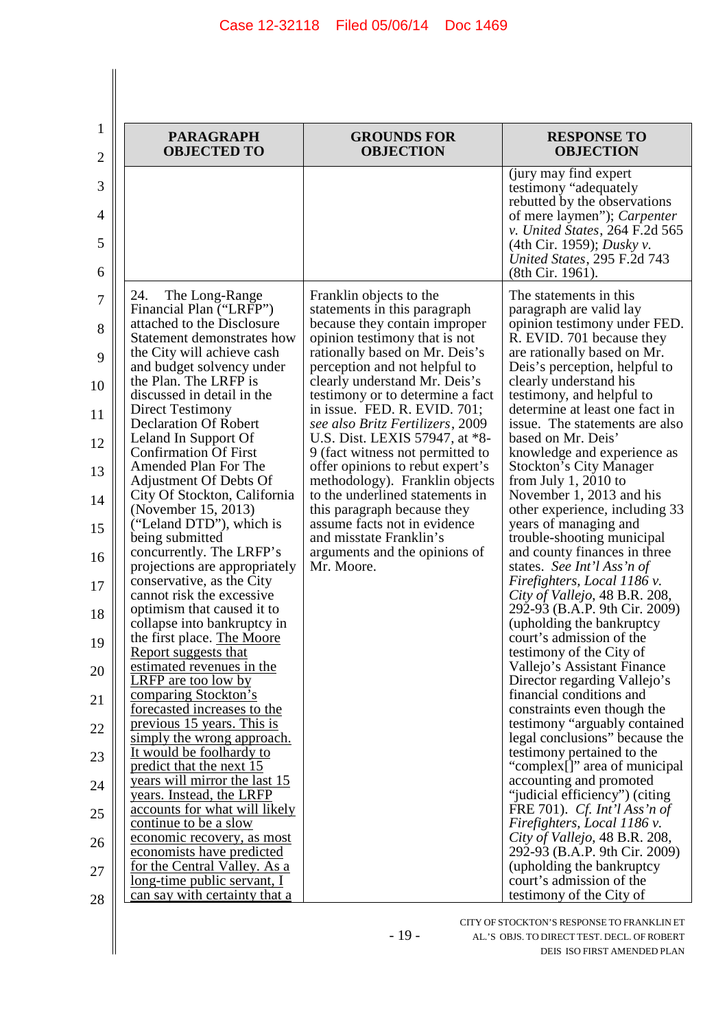| 1              |                                                                                         |                                                                                                         |                                                                                               |
|----------------|-----------------------------------------------------------------------------------------|---------------------------------------------------------------------------------------------------------|-----------------------------------------------------------------------------------------------|
| $\overline{2}$ | <b>PARAGRAPH</b><br><b>OBJECTED TO</b>                                                  | <b>GROUNDS FOR</b><br><b>OBJECTION</b>                                                                  | <b>RESPONSE TO</b><br><b>OBJECTION</b>                                                        |
| 3              |                                                                                         |                                                                                                         | (jury may find expert)<br>testimony "adequately"<br>rebutted by the observations              |
| 4              |                                                                                         |                                                                                                         | of mere laymen"); Carpenter<br>v. United States, 264 F.2d 565                                 |
| 5<br>6         |                                                                                         |                                                                                                         | (4th Cir. 1959); <i>Dusky v.</i><br>United States, 295 F.2d 743<br>(8th Cir. 1961).           |
| 7              | 24.<br>The Long-Range<br>Financial Plan ("LRFP")                                        | Franklin objects to the<br>statements in this paragraph                                                 | The statements in this<br>paragraph are valid lay                                             |
| 8<br>9         | attached to the Disclosure<br>Statement demonstrates how<br>the City will achieve cash  | because they contain improper<br>opinion testimony that is not<br>rationally based on Mr. Deis's        | opinion testimony under FED.<br>R. EVID. 701 because they<br>are rationally based on Mr.      |
| 10             | and budget solvency under<br>the Plan. The LRFP is                                      | perception and not helpful to<br>clearly understand Mr. Deis's                                          | Deis's perception, helpful to<br>clearly understand his                                       |
| 11             | discussed in detail in the<br>Direct Testimony<br><b>Declaration Of Robert</b>          | testimony or to determine a fact<br>in issue. FED. R. EVID. $701$ ;<br>see also Britz Fertilizers, 2009 | testimony, and helpful to<br>determine at least one fact in<br>issue. The statements are also |
| 12             | Leland In Support Of<br><b>Confirmation Of First</b>                                    | U.S. Dist. LEXIS 57947, at *8-<br>9 (fact witness not permitted to                                      | based on Mr. Deis'<br>knowledge and experience as                                             |
| 13             | Amended Plan For The<br>Adjustment Of Debts Of                                          | offer opinions to rebut expert's<br>methodology). Franklin objects                                      | <b>Stockton's City Manager</b><br>from July 1, 2010 to                                        |
| 14<br>15       | City Of Stockton, California<br>(November 15, 2013)<br>("Leland DTD"), which is         | to the underlined statements in<br>this paragraph because they<br>assume facts not in evidence          | November 1, 2013 and his<br>other experience, including 33<br>years of managing and           |
| 16             | being submitted<br>concurrently. The LRFP's                                             | and misstate Franklin's<br>arguments and the opinions of                                                | trouble-shooting municipal<br>and county finances in three                                    |
| 17             | projections are appropriately<br>conservative, as the City<br>cannot risk the excessive | Mr. Moore.                                                                                              | states. See Int'l Ass'n of<br>Firefighters, Local 1186 v.<br>City of Vallejo, 48 B.R. 208,    |
| 18             | optimism that caused it to<br>collapse into bankruptcy in                               |                                                                                                         | 292-93 (B.A.P. 9th Cir. 2009)<br>(upholding the bankruptcy)                                   |
| 19             | the first place. The Moore<br>Report suggests that<br>estimated revenues in the         |                                                                                                         | court's admission of the<br>testimony of the City of<br>Vallejo's Assistant Finance           |
| 20<br>21       | <b>LRFP</b> are too low by<br>comparing Stockton's                                      |                                                                                                         | Director regarding Vallejo's<br>financial conditions and                                      |
| 22             | forecasted increases to the<br>previous 15 years. This is                               |                                                                                                         | constraints even though the<br>testimony "arguably contained                                  |
| 23             | simply the wrong approach.<br>It would be foolhardy to<br>predict that the next 15      |                                                                                                         | legal conclusions" because the<br>testimony pertained to the<br>"complex[]" area of municipal |
| 24             | years will mirror the last 15<br>years. Instead, the LRFP                               |                                                                                                         | accounting and promoted<br>"judicial efficiency") (citing                                     |
| 25             | accounts for what will likely<br>continue to be a slow<br>economic recovery, as most    |                                                                                                         | FRE 701). Cf. Int'l Ass'n of<br>Firefighters, Local 1186 v.<br>City of Vallejo, 48 B.R. 208,  |
| 26<br>27       | economists have predicted<br>for the Central Valley. As a                               |                                                                                                         | 292-93 (B.A.P. 9th Cir. 2009)<br>(upholding the bankruptcy                                    |
| 28             | <u>long-time</u> public servant, I<br>can say with certainty that a                     |                                                                                                         | court's admission of the<br>testimony of the City of                                          |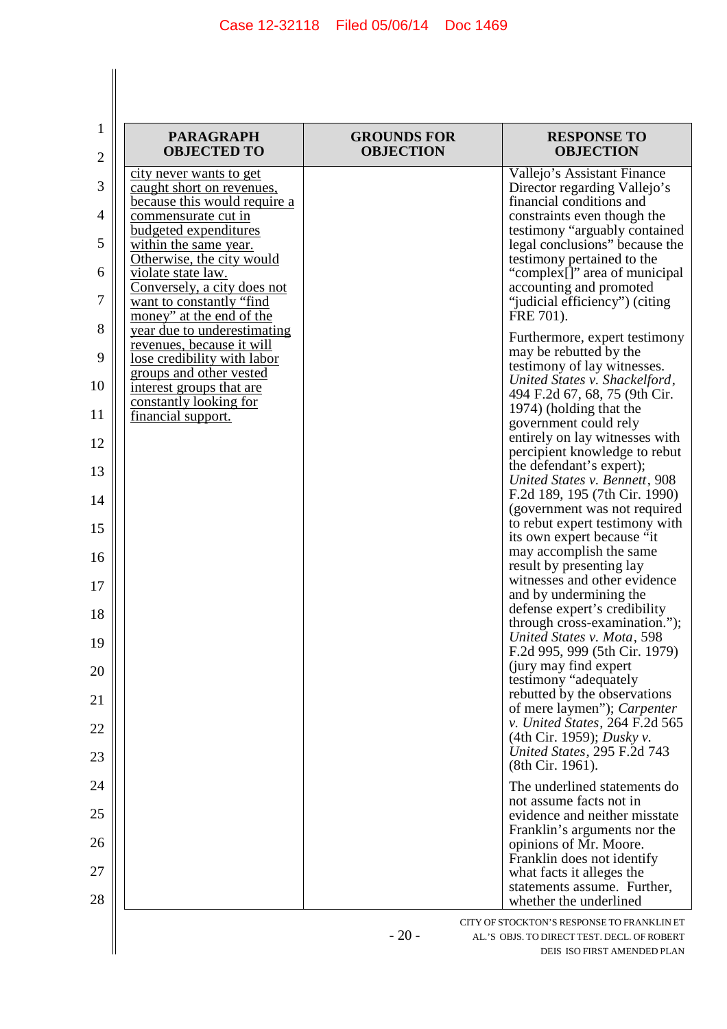| <b>PARAGRAPH</b><br><b>OBJECTED TO</b>                                                  | <b>GROUNDS FOR</b><br><b>OBJECTION</b> | <b>RESPONSE TO</b><br><b>OBJECTION</b>                                                        |
|-----------------------------------------------------------------------------------------|----------------------------------------|-----------------------------------------------------------------------------------------------|
| city never wants to get<br>caught short on revenues,<br>because this would require a    |                                        | Vallejo's Assistant Finance<br>Director regarding Vallejo's<br>financial conditions and       |
| commensurate cut in                                                                     |                                        | constraints even though the                                                                   |
| budgeted expenditures<br>within the same year.<br>Otherwise, the city would             |                                        | testimony "arguably contained<br>legal conclusions" because the<br>testimony pertained to the |
| violate state law.<br>Conversely, a city does not                                       |                                        | "complex[]" area of municipal<br>accounting and promoted                                      |
| want to constantly "find<br>money" at the end of the                                    |                                        | "judicial efficiency") (citing<br>FRE 701).                                                   |
| year due to underestimating<br>revenues, because it will<br>lose credibility with labor |                                        | Furthermore, expert testimony<br>may be rebutted by the                                       |
| groups and other vested<br>interest groups that are                                     |                                        | testimony of lay witnesses.<br>United States v. Shackelford,<br>494 F.2d 67, 68, 75 (9th Cir. |
| constantly looking for<br>financial support.                                            |                                        | 1974) (holding that the<br>government could rely                                              |
|                                                                                         |                                        | entirely on lay witnesses with<br>percipient knowledge to rebut                               |
|                                                                                         |                                        | the defendant's expert);<br>United States v. Bennett, 908                                     |
|                                                                                         |                                        | F.2d 189, 195 (7th Cir. 1990)<br>(government was not required                                 |
|                                                                                         |                                        | to rebut expert testimony with<br>its own expert because "it<br>may accomplish the same       |
|                                                                                         |                                        | result by presenting lay<br>witnesses and other evidence                                      |
|                                                                                         |                                        | and by undermining the<br>defense expert's credibility                                        |
|                                                                                         |                                        | through cross-examination.");<br>United States v. Mota, 598                                   |
|                                                                                         |                                        | F.2d 995, 999 (5th Cir. 1979)<br>(jury may find expert)                                       |
|                                                                                         |                                        | testimony "adequately<br>rebutted by the observations<br>of mere laymen"); Carpenter          |
|                                                                                         |                                        | v. United States, 264 F.2d 565<br>(4th Cir. 1959); <i>Dusky v.</i>                            |
|                                                                                         |                                        | United States, 295 F.2d 743<br>(8th Cir. 1961).                                               |
|                                                                                         |                                        | The underlined statements do<br>not assume facts not in                                       |
|                                                                                         |                                        | evidence and neither misstate<br>Franklin's arguments nor the                                 |
|                                                                                         |                                        | opinions of Mr. Moore.<br>Franklin does not identify                                          |
|                                                                                         |                                        | what facts it alleges the<br>statements assume. Further,                                      |

AL.'S OBJS. TO DIRECT TEST. DECL. OF ROBERT DEIS ISO FIRST AMENDED PLAN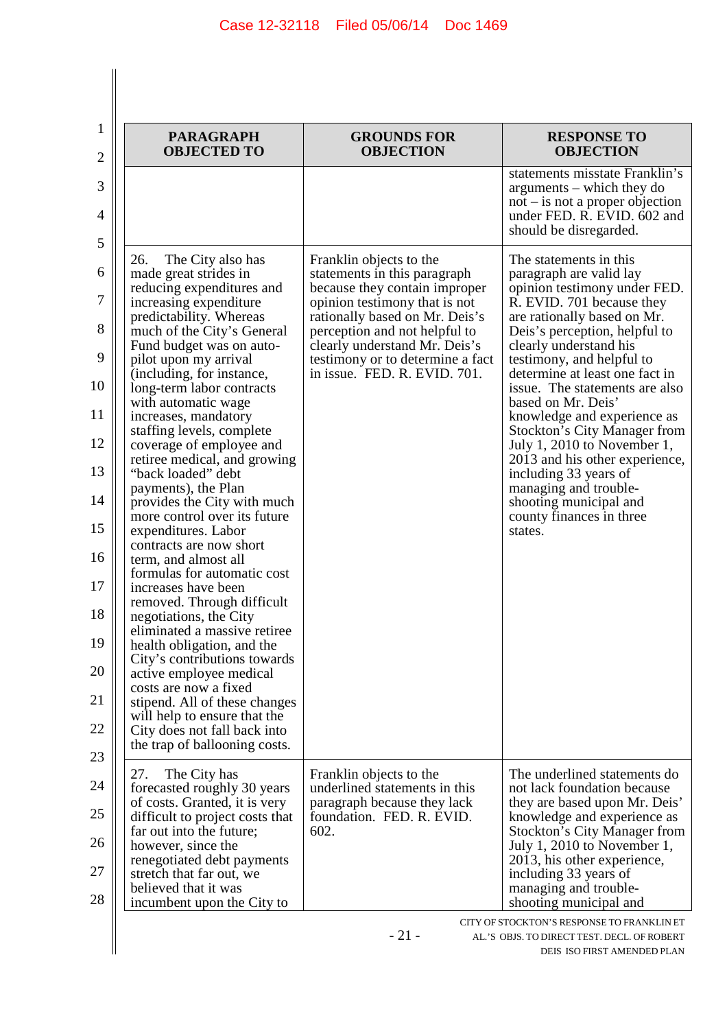| <b>PARAGRAPH</b><br><b>OBJECTED TO</b>                                                                                                                                                                                                                                                                                                                                                                                                                                                                                                                                                                                                                                                                                                                                                                                                                                                                                                                                                                           | <b>GROUNDS FOR</b><br><b>OBJECTION</b>                                                                                                                                                                                                                                                            | <b>RESPONSE TO</b><br><b>OBJECTION</b>                                                                                                                                                                                                                                                                                                                                                                                                                                                                                                                                                    |
|------------------------------------------------------------------------------------------------------------------------------------------------------------------------------------------------------------------------------------------------------------------------------------------------------------------------------------------------------------------------------------------------------------------------------------------------------------------------------------------------------------------------------------------------------------------------------------------------------------------------------------------------------------------------------------------------------------------------------------------------------------------------------------------------------------------------------------------------------------------------------------------------------------------------------------------------------------------------------------------------------------------|---------------------------------------------------------------------------------------------------------------------------------------------------------------------------------------------------------------------------------------------------------------------------------------------------|-------------------------------------------------------------------------------------------------------------------------------------------------------------------------------------------------------------------------------------------------------------------------------------------------------------------------------------------------------------------------------------------------------------------------------------------------------------------------------------------------------------------------------------------------------------------------------------------|
|                                                                                                                                                                                                                                                                                                                                                                                                                                                                                                                                                                                                                                                                                                                                                                                                                                                                                                                                                                                                                  |                                                                                                                                                                                                                                                                                                   | statements misstate Franklin's<br>arguments – which they do<br>$not - is not a proper objection$<br>under FED. R. EVID. 602 and<br>should be disregarded.                                                                                                                                                                                                                                                                                                                                                                                                                                 |
| 26.<br>The City also has<br>made great strides in<br>reducing expenditures and<br>increasing expenditure<br>predictability. Whereas<br>much of the City's General<br>Fund budget was on auto-<br>pilot upon my arrival<br>(including, for instance,<br>long-term labor contracts<br>with automatic wage<br>increases, mandatory<br>staffing levels, complete<br>coverage of employee and<br>retiree medical, and growing<br>"back loaded" debt<br>payments), the Plan<br>provides the City with much<br>more control over its future<br>expenditures. Labor<br>contracts are now short<br>term, and almost all<br>formulas for automatic cost<br>increases have been<br>removed. Through difficult<br>negotiations, the City<br>eliminated a massive retiree<br>health obligation, and the<br>City's contributions towards<br>active employee medical<br>costs are now a fixed<br>stipend. All of these changes<br>will help to ensure that the<br>City does not fall back into<br>the trap of ballooning costs. | Franklin objects to the<br>statements in this paragraph<br>because they contain improper<br>opinion testimony that is not<br>rationally based on Mr. Deis's<br>perception and not helpful to<br>clearly understand Mr. Deis's<br>testimony or to determine a fact<br>in issue. FED. R. EVID. 701. | The statements in this<br>paragraph are valid lay<br>opinion testimony under FED.<br>R. EVID. 701 because they<br>are rationally based on Mr.<br>Deis's perception, helpful to<br>clearly understand his<br>testimony, and helpful to<br>determine at least one fact in<br>issue. The statements are also<br>based on Mr. Deis'<br>knowledge and experience as<br><b>Stockton's City Manager from</b><br>July 1, 2010 to November 1,<br>2013 and his other experience,<br>including 33 years of<br>managing and trouble-<br>shooting municipal and<br>county finances in three<br>states. |
| 27.<br>The City has<br>forecasted roughly 30 years<br>of costs. Granted, it is very<br>difficult to project costs that<br>far out into the future;<br>however, since the                                                                                                                                                                                                                                                                                                                                                                                                                                                                                                                                                                                                                                                                                                                                                                                                                                         | Franklin objects to the<br>underlined statements in this<br>paragraph because they lack<br>foundation. FED. R. EVID.<br>602.                                                                                                                                                                      | The underlined statements do<br>not lack foundation because<br>they are based upon Mr. Deis'<br>knowledge and experience as<br><b>Stockton's City Manager from</b><br>July 1, 2010 to November 1,                                                                                                                                                                                                                                                                                                                                                                                         |
| renegotiated debt payments<br>stretch that far out, we<br>believed that it was<br>incumbent upon the City to                                                                                                                                                                                                                                                                                                                                                                                                                                                                                                                                                                                                                                                                                                                                                                                                                                                                                                     |                                                                                                                                                                                                                                                                                                   | 2013, his other experience,<br>including 33 years of<br>managing and trouble-<br>shooting municipal and                                                                                                                                                                                                                                                                                                                                                                                                                                                                                   |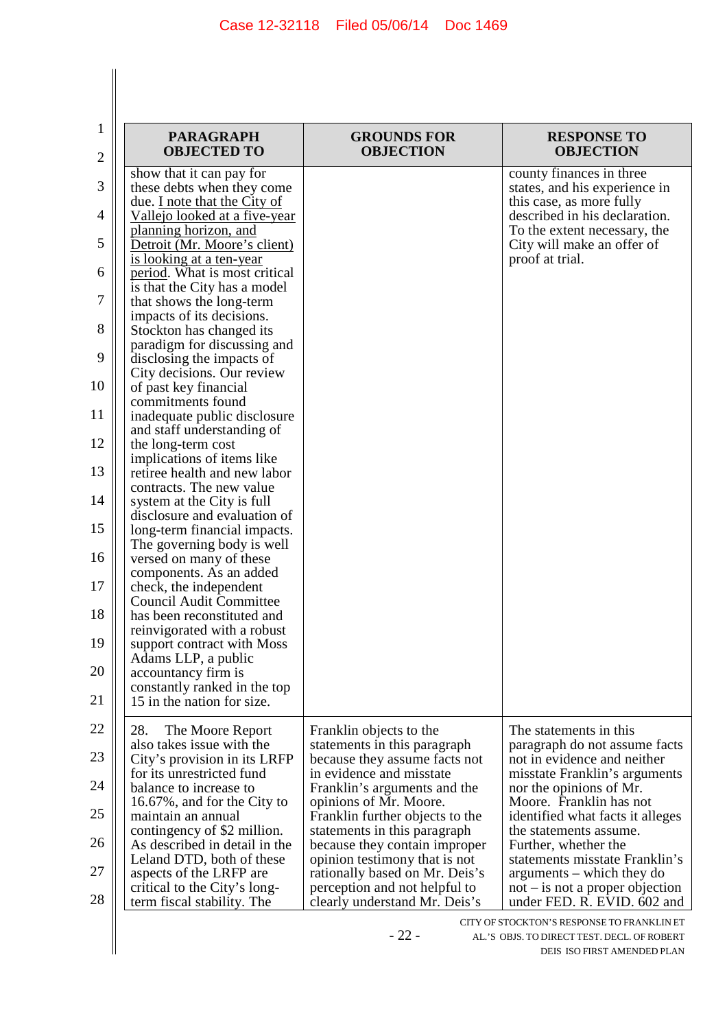| <b>PARAGRAPH</b><br><b>OBJECTED TO</b>                        | <b>GROUNDS FOR</b><br><b>OBJECTION</b>                          | <b>RESPONSE TO</b><br><b>OBJECTION</b>                         |
|---------------------------------------------------------------|-----------------------------------------------------------------|----------------------------------------------------------------|
| show that it can pay for                                      |                                                                 | county finances in three                                       |
| these debts when they come<br>due. I note that the City of    |                                                                 | states, and his experience in<br>this case, as more fully      |
| Vallejo looked at a five-year                                 |                                                                 | described in his declaration.                                  |
| planning horizon, and                                         |                                                                 | To the extent necessary, the                                   |
| Detroit (Mr. Moore's client)                                  |                                                                 | City will make an offer of                                     |
| is looking at a ten-year                                      |                                                                 | proof at trial.                                                |
| period. What is most critical<br>is that the City has a model |                                                                 |                                                                |
| that shows the long-term                                      |                                                                 |                                                                |
| impacts of its decisions.                                     |                                                                 |                                                                |
| Stockton has changed its                                      |                                                                 |                                                                |
| paradigm for discussing and                                   |                                                                 |                                                                |
| disclosing the impacts of<br>City decisions. Our review       |                                                                 |                                                                |
| of past key financial                                         |                                                                 |                                                                |
| commitments found                                             |                                                                 |                                                                |
| inadequate public disclosure                                  |                                                                 |                                                                |
| and staff understanding of<br>the long-term cost              |                                                                 |                                                                |
| implications of items like                                    |                                                                 |                                                                |
| retiree health and new labor                                  |                                                                 |                                                                |
| contracts. The new value                                      |                                                                 |                                                                |
| system at the City is full                                    |                                                                 |                                                                |
| disclosure and evaluation of<br>long-term financial impacts.  |                                                                 |                                                                |
| The governing body is well                                    |                                                                 |                                                                |
| versed on many of these                                       |                                                                 |                                                                |
| components. As an added                                       |                                                                 |                                                                |
| check, the independent<br><b>Council Audit Committee</b>      |                                                                 |                                                                |
| has been reconstituted and                                    |                                                                 |                                                                |
| reinvigorated with a robust                                   |                                                                 |                                                                |
| support contract with Moss                                    |                                                                 |                                                                |
| Adams LLP, a public<br>accountancy firm is                    |                                                                 |                                                                |
| constantly ranked in the top                                  |                                                                 |                                                                |
| 15 in the nation for size.                                    |                                                                 |                                                                |
| 28.                                                           |                                                                 | The statements in this                                         |
| The Moore Report<br>also takes issue with the                 | Franklin objects to the<br>statements in this paragraph         | paragraph do not assume facts                                  |
| City's provision in its LRFP                                  | because they assume facts not                                   | not in evidence and neither                                    |
| for its unrestricted fund                                     | in evidence and misstate                                        | misstate Franklin's arguments                                  |
| balance to increase to                                        | Franklin's arguments and the                                    | nor the opinions of Mr.                                        |
| 16.67%, and for the City to<br>maintain an annual             | opinions of Mr. Moore.<br>Franklin further objects to the       | Moore. Franklin has not<br>identified what facts it alleges    |
| contingency of \$2 million.                                   | statements in this paragraph                                    | the statements assume.                                         |
| As described in detail in the                                 | because they contain improper                                   | Further, whether the                                           |
| Leland DTD, both of these                                     | opinion testimony that is not                                   | statements misstate Franklin's                                 |
| aspects of the LRFP are<br>critical to the City's long-       | rationally based on Mr. Deis's<br>perception and not helpful to | arguments – which they do<br>$not$ – is not a proper objection |
| term fiscal stability. The                                    | clearly understand Mr. Deis's                                   | under FED. R. EVID. 602 and                                    |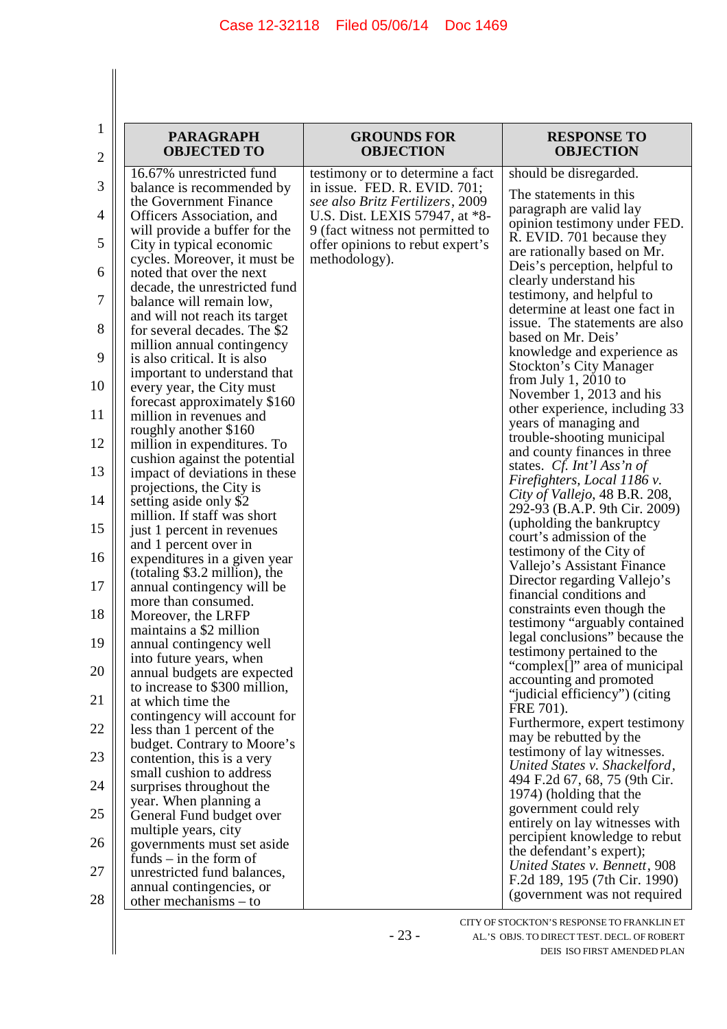| 1<br>2   | <b>PARAGRAPH</b><br><b>OBJECTED TO</b>                                                     | <b>GROUNDS FOR</b><br><b>OBJECTION</b>                                                                 | <b>RESPONSE TO</b><br><b>OBJECTION</b>                                                  |
|----------|--------------------------------------------------------------------------------------------|--------------------------------------------------------------------------------------------------------|-----------------------------------------------------------------------------------------|
|          | 16.67% unrestricted fund                                                                   | testimony or to determine a fact                                                                       | should be disregarded.                                                                  |
| 3        | balance is recommended by<br>the Government Finance                                        | in issue. FED. R. EVID. 701;<br>see also Britz Fertilizers, 2009                                       | The statements in this<br>paragraph are valid lay                                       |
| 4<br>5   | Officers Association, and<br>will provide a buffer for the<br>City in typical economic     | U.S. Dist. LEXIS 57947, at *8-<br>9 (fact witness not permitted to<br>offer opinions to rebut expert's | opinion testimony under FED.<br>R. EVID. 701 because they                               |
| 6        | cycles. Moreover, it must be<br>noted that over the next                                   | methodology).                                                                                          | are rationally based on Mr.<br>Deis's perception, helpful to                            |
| 7        | decade, the unrestricted fund<br>balance will remain low,                                  |                                                                                                        | clearly understand his<br>testimony, and helpful to<br>determine at least one fact in   |
| 8        | and will not reach its target<br>for several decades. The \$2                              |                                                                                                        | issue. The statements are also<br>based on Mr. Deis'                                    |
| 9        | million annual contingency<br>is also critical. It is also                                 |                                                                                                        | knowledge and experience as<br><b>Stockton's City Manager</b>                           |
| 10       | important to understand that<br>every year, the City must                                  |                                                                                                        | from July 1, 2010 to<br>November 1, 2013 and his                                        |
| 11       | forecast approximately \$160<br>million in revenues and                                    |                                                                                                        | other experience, including 33<br>years of managing and                                 |
| 12       | roughly another \$160<br>million in expenditures. To                                       |                                                                                                        | trouble-shooting municipal<br>and county finances in three                              |
| 13       | cushion against the potential<br>impact of deviations in these<br>projections, the City is |                                                                                                        | states. Cf. Int'l Ass'n of<br>Firefighters, Local 1186 v.                               |
| 14       | setting aside only \$2<br>million. If staff was short                                      |                                                                                                        | City of Vallejo, 48 B.R. 208,<br>292-93 (B.A.P. 9th Cir. 2009)                          |
| 15       | just 1 percent in revenues<br>and 1 percent over in                                        |                                                                                                        | (upholding the bankruptcy<br>court's admission of the                                   |
| 16       | expenditures in a given year<br>(totaling $$3.2$ million), the                             |                                                                                                        | testimony of the City of<br>Vallejo's Assistant Finance<br>Director regarding Vallejo's |
| 17       | annual contingency will be<br>more than consumed.                                          |                                                                                                        | financial conditions and<br>constraints even though the                                 |
| 18       | Moreover, the LRFP<br>maintains a \$2 million                                              |                                                                                                        | testimony "arguably contained<br>legal conclusions" because the                         |
| 19       | annual contingency well<br>into future years, when                                         |                                                                                                        | testimony pertained to the<br>"complex[]" area of municipal                             |
| 20<br>21 | annual budgets are expected<br>to increase to \$300 million,                               |                                                                                                        | accounting and promoted<br>"judicial efficiency") (citing                               |
| 22       | at which time the<br>contingency will account for<br>less than 1 percent of the            |                                                                                                        | FRE 701).<br>Furthermore, expert testimony                                              |
| 23       | budget. Contrary to Moore's<br>contention, this is a very                                  |                                                                                                        | may be rebutted by the<br>testimony of lay witnesses.                                   |
| 24       | small cushion to address<br>surprises throughout the                                       |                                                                                                        | United States v. Shackelford,<br>494 F.2d 67, 68, 75 (9th Cir.                          |
| 25       | year. When planning a<br>General Fund budget over                                          |                                                                                                        | 1974) (holding that the<br>government could rely                                        |
| 26       | multiple years, city<br>governments must set aside                                         |                                                                                                        | entirely on lay witnesses with<br>percipient knowledge to rebut                         |
| 27       | funds $-$ in the form of<br>unrestricted fund balances,                                    |                                                                                                        | the defendant's expert);<br>United States v. Bennett, 908                               |
| 28       | annual contingencies, or<br>other mechanisms $-$ to                                        |                                                                                                        | F.2d 189, 195 (7th Cir. 1990)<br>(government was not required                           |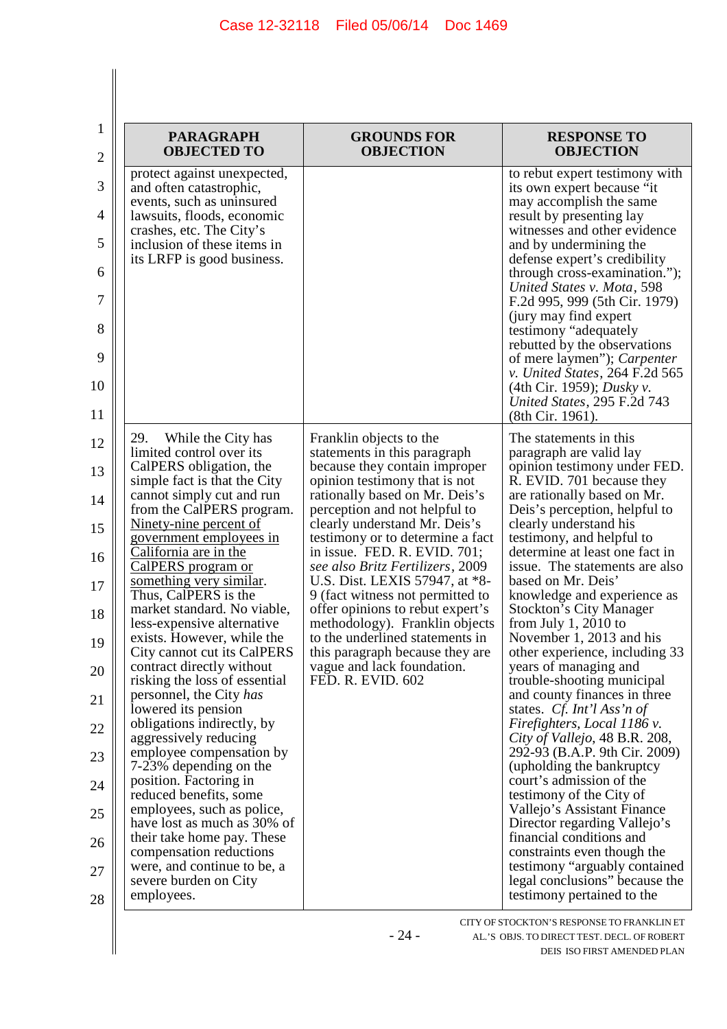$\begin{array}{c} \hline \end{array}$ 

| $\mathbf{1}$ | <b>PARAGRAPH</b>                                                                      | <b>GROUNDS FOR</b>                                                                                   | <b>RESPONSE TO</b>                                                                            |
|--------------|---------------------------------------------------------------------------------------|------------------------------------------------------------------------------------------------------|-----------------------------------------------------------------------------------------------|
| 2            | <b>OBJECTED TO</b>                                                                    | <b>OBJECTION</b>                                                                                     | <b>OBJECTION</b>                                                                              |
| 3            | protect against unexpected,<br>and often catastrophic,                                |                                                                                                      | to rebut expert testimony with<br>its own expert because "it                                  |
| 4            | events, such as uninsured<br>lawsuits, floods, economic                               |                                                                                                      | may accomplish the same<br>result by presenting lay                                           |
| 5            | crashes, etc. The City's<br>inclusion of these items in<br>its LRFP is good business. |                                                                                                      | witnesses and other evidence<br>and by undermining the<br>defense expert's credibility        |
| 6            |                                                                                       |                                                                                                      | through cross-examination.");                                                                 |
| 7            |                                                                                       |                                                                                                      | United States v. Mota, 598<br>F.2d 995, 999 (5th Cir. 1979)                                   |
| 8            |                                                                                       |                                                                                                      | (jury may find expert)<br>testimony "adequately<br>rebutted by the observations               |
| 9            |                                                                                       |                                                                                                      | of mere laymen"); <i>Carpenter</i><br>v. United States, 264 F.2d 565                          |
| 10<br>11     |                                                                                       |                                                                                                      | (4th Cir. 1959); Dusky v.<br>United States, 295 F.2d 743<br>(8th Cir. 1961).                  |
| 12           | 29.<br>While the City has                                                             | Franklin objects to the                                                                              | The statements in this                                                                        |
| 13           | limited control over its<br>CalPERS obligation, the<br>simple fact is that the City   | statements in this paragraph<br>because they contain improper<br>opinion testimony that is not       | paragraph are valid lay<br>opinion testimony under FED.<br>R. EVID. 701 because they          |
| 14           | cannot simply cut and run<br>from the CalPERS program.                                | rationally based on Mr. Deis's<br>perception and not helpful to                                      | are rationally based on Mr.<br>Deis's perception, helpful to                                  |
| 15           | <u>Ninety-nine percent of</u>                                                         | clearly understand Mr. Deis's                                                                        | clearly understand his                                                                        |
| 16           | <u>government</u> employees in<br>California are in the<br>CalPERS program or         | testimony or to determine a fact<br>in issue. FED. R. EVID. 701;<br>see also Britz Fertilizers, 2009 | testimony, and helpful to<br>determine at least one fact in<br>issue. The statements are also |
| 17           | something very similar.<br>Thus, CalPERS is the                                       | U.S. Dist. LEXIS 57947, at *8-<br>9 (fact witness not permitted to                                   | based on Mr. Deis'<br>knowledge and experience as                                             |
| 18           | market standard. No viable,<br>less-expensive alternative                             | offer opinions to rebut expert's<br>methodology). Franklin objects                                   | <b>Stockton's City Manager</b><br>from July 1, 2010 to                                        |
| 19           | exists. However, while the<br>City cannot cut its CalPERS                             | to the underlined statements in<br>this paragraph because they are                                   | November 1, 2013 and his<br>other experience, including 33                                    |
| 20           | contract directly without<br>risking the loss of essential                            | vague and lack foundation.<br>FED. R. EVID. 602                                                      | years of managing and<br>trouble-shooting municipal                                           |
| 21           | personnel, the City has<br>lowered its pension                                        |                                                                                                      | and county finances in three<br>states. Cf. Int'l Ass'n of                                    |
| 22           | obligations indirectly, by                                                            |                                                                                                      | Firefighters, Local 1186 v.                                                                   |
| 23           | aggressively reducing<br>employee compensation by<br>7-23% depending on the           |                                                                                                      | City of Vallejo, 48 B.R. 208,<br>292-93 (B.A.P. 9th Cir. 2009)<br>(upholding the bankruptcy)  |
| 24           | position. Factoring in<br>reduced benefits, some                                      |                                                                                                      | court's admission of the<br>testimony of the City of                                          |
| 25           | employees, such as police,<br>have lost as much as 30% of                             |                                                                                                      | Vallejo's Assistant Finance                                                                   |
| 26           | their take home pay. These                                                            |                                                                                                      | Director regarding Vallejo's<br>financial conditions and                                      |
| 27           | compensation reductions<br>were, and continue to be, a                                |                                                                                                      | constraints even though the<br>testimony "arguably contained                                  |
| 28           | severe burden on City<br>employees.                                                   |                                                                                                      | legal conclusions" because the<br>testimony pertained to the                                  |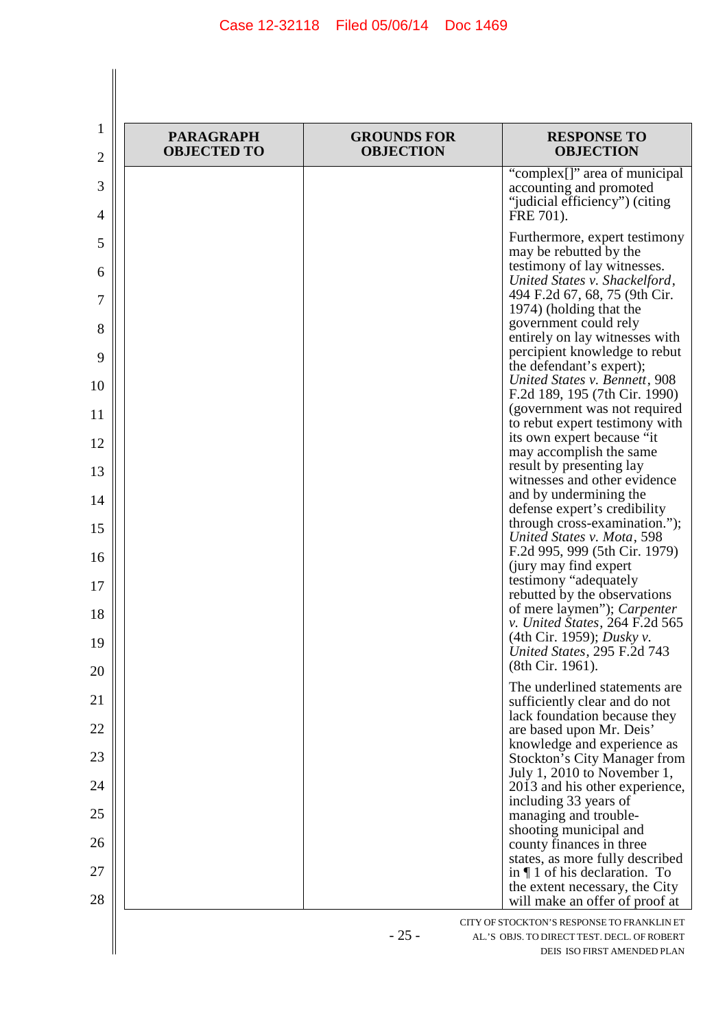| <b>PARAGRAPH</b><br><b>OBJECTED TO</b> | <b>GROUNDS FOR</b><br><b>OBJECTION</b> | <b>RESPONSE TO</b><br><b>OBJECTION</b>                                                                                                                                                                                                                                                                                                                                        |
|----------------------------------------|----------------------------------------|-------------------------------------------------------------------------------------------------------------------------------------------------------------------------------------------------------------------------------------------------------------------------------------------------------------------------------------------------------------------------------|
|                                        |                                        | "complex[]" area of municipal<br>accounting and promoted<br>"judicial efficiency") (citing<br>FRE 701).                                                                                                                                                                                                                                                                       |
|                                        |                                        | Furthermore, expert testimony<br>may be rebutted by the<br>testimony of lay witnesses.<br>United States v. Shackelford,<br>494 F.2d 67, 68, 75 (9th Cir.<br>1974) (holding that the<br>government could rely<br>entirely on lay witnesses with<br>percipient knowledge to rebut<br>the defendant's expert);<br>United States v. Bennett, 908<br>F.2d 189, 195 (7th Cir. 1990) |
|                                        |                                        | (government was not required<br>to rebut expert testimony with<br>its own expert because "it                                                                                                                                                                                                                                                                                  |
|                                        |                                        | may accomplish the same<br>result by presenting lay<br>witnesses and other evidence                                                                                                                                                                                                                                                                                           |
|                                        |                                        | and by undermining the<br>defense expert's credibility                                                                                                                                                                                                                                                                                                                        |
|                                        |                                        | through cross-examination.");<br>United States v. Mota, 598<br>F.2d 995, 999 (5th Cir. 1979)                                                                                                                                                                                                                                                                                  |
|                                        |                                        | (jury may find expert)<br>testimony "adequately<br>rebutted by the observations                                                                                                                                                                                                                                                                                               |
|                                        |                                        | of mere laymen"); Carpenter<br>v. United States, 264 F.2d 565<br>(4th Cir. 1959); <i>Dusky v.</i>                                                                                                                                                                                                                                                                             |
|                                        |                                        | United States, 295 F.2d 743<br>(8th Cir. 1961).                                                                                                                                                                                                                                                                                                                               |
|                                        |                                        | The underlined statements are<br>sufficiently clear and do not                                                                                                                                                                                                                                                                                                                |
|                                        |                                        | lack foundation because they<br>are based upon Mr. Deis'                                                                                                                                                                                                                                                                                                                      |
|                                        |                                        | knowledge and experience as<br><b>Stockton's City Manager from</b><br>July 1, 2010 to November 1,                                                                                                                                                                                                                                                                             |
|                                        |                                        | 2013 and his other experience,<br>including 33 years of                                                                                                                                                                                                                                                                                                                       |
|                                        |                                        | managing and trouble-<br>shooting municipal and                                                                                                                                                                                                                                                                                                                               |
|                                        |                                        | county finances in three<br>states, as more fully described                                                                                                                                                                                                                                                                                                                   |
|                                        |                                        | in $\P$ 1 of his declaration. To<br>the extent necessary, the City                                                                                                                                                                                                                                                                                                            |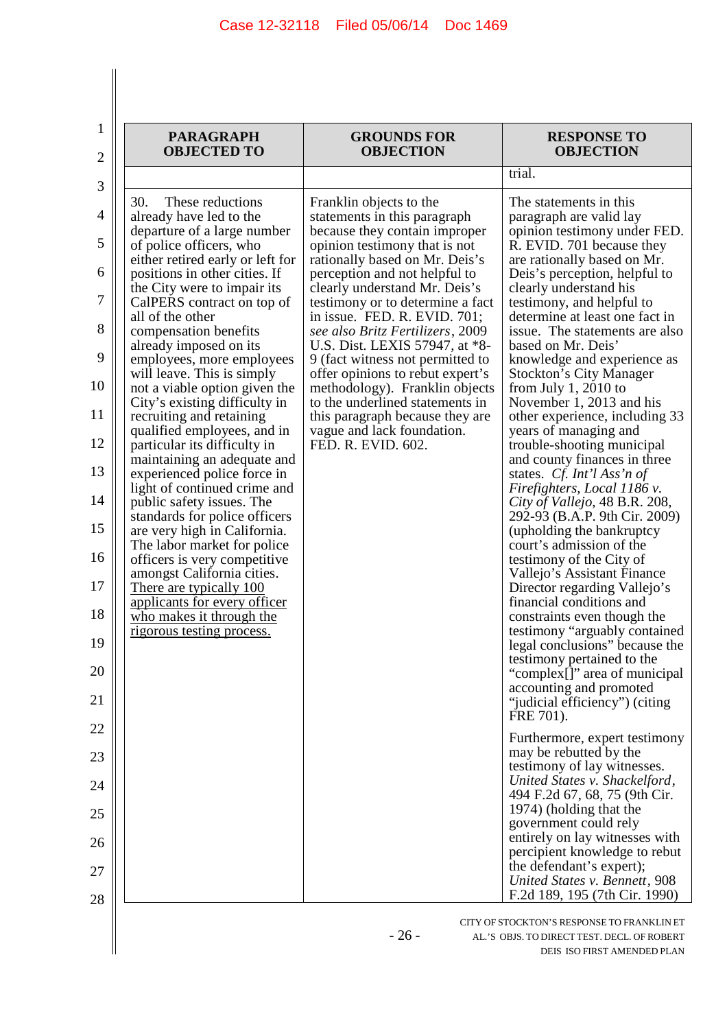| <b>PARAGRAPH</b><br><b>OBJECTED TO</b>                                                                                                                                                                                                                                                                                                                                                                                                                                                                                                                                                                                                                                                                                                                                                                                                                                                                                                                     | <b>GROUNDS FOR</b><br><b>OBJECTION</b>                                                                                                                                                                                                                                                                                                                                                                                                                                                                                                                                                                      | <b>RESPONSE TO</b><br><b>OBJECTION</b>                                                                                                                                                                                                                                                                                                                                                                                                                                                                                                                                                                                                                                                                                                                                                                                                                                                                                                                                                                                                                                                                                                                                                                                                                                                                                                                                                                                                                                                                                     |
|------------------------------------------------------------------------------------------------------------------------------------------------------------------------------------------------------------------------------------------------------------------------------------------------------------------------------------------------------------------------------------------------------------------------------------------------------------------------------------------------------------------------------------------------------------------------------------------------------------------------------------------------------------------------------------------------------------------------------------------------------------------------------------------------------------------------------------------------------------------------------------------------------------------------------------------------------------|-------------------------------------------------------------------------------------------------------------------------------------------------------------------------------------------------------------------------------------------------------------------------------------------------------------------------------------------------------------------------------------------------------------------------------------------------------------------------------------------------------------------------------------------------------------------------------------------------------------|----------------------------------------------------------------------------------------------------------------------------------------------------------------------------------------------------------------------------------------------------------------------------------------------------------------------------------------------------------------------------------------------------------------------------------------------------------------------------------------------------------------------------------------------------------------------------------------------------------------------------------------------------------------------------------------------------------------------------------------------------------------------------------------------------------------------------------------------------------------------------------------------------------------------------------------------------------------------------------------------------------------------------------------------------------------------------------------------------------------------------------------------------------------------------------------------------------------------------------------------------------------------------------------------------------------------------------------------------------------------------------------------------------------------------------------------------------------------------------------------------------------------------|
|                                                                                                                                                                                                                                                                                                                                                                                                                                                                                                                                                                                                                                                                                                                                                                                                                                                                                                                                                            |                                                                                                                                                                                                                                                                                                                                                                                                                                                                                                                                                                                                             | trial.                                                                                                                                                                                                                                                                                                                                                                                                                                                                                                                                                                                                                                                                                                                                                                                                                                                                                                                                                                                                                                                                                                                                                                                                                                                                                                                                                                                                                                                                                                                     |
| These reductions<br>30.<br>already have led to the<br>departure of a large number<br>of police officers, who<br>either retired early or left for<br>positions in other cities. If<br>the City were to impair its<br>CalPERS contract on top of<br>all of the other<br>compensation benefits<br>already imposed on its<br>employees, more employees<br>will leave. This is simply<br>not a viable option given the<br>City's existing difficulty in<br>recruiting and retaining<br>qualified employees, and in<br>particular its difficulty in<br>maintaining an adequate and<br>experienced police force in<br>light of continued crime and<br>public safety issues. The<br>standards for police officers<br>are very high in California.<br>The labor market for police<br>officers is very competitive<br>amongst California cities.<br>There are typically 100<br>applicants for every officer<br>who makes it through the<br>rigorous testing process. | Franklin objects to the<br>statements in this paragraph<br>because they contain improper<br>opinion testimony that is not<br>rationally based on Mr. Deis's<br>perception and not helpful to<br>clearly understand Mr. Deis's<br>testimony or to determine a fact<br>in issue. FED. R. EVID. 701;<br>see also Britz Fertilizers, 2009<br>U.S. Dist. LEXIS 57947, at *8-<br>9 (fact witness not permitted to<br>offer opinions to rebut expert's<br>methodology). Franklin objects<br>to the underlined statements in<br>this paragraph because they are<br>vague and lack foundation.<br>FED. R. EVID. 602. | The statements in this.<br>paragraph are valid lay<br>opinion testimony under FED.<br>R. EVID. 701 because they<br>are rationally based on Mr.<br>Deis's perception, helpful to<br>clearly understand his<br>testimony, and helpful to<br>determine at least one fact in<br>issue. The statements are also<br>based on Mr. Deis'<br>knowledge and experience as<br><b>Stockton's City Manager</b><br>from July 1, 2010 to<br>November 1, 2013 and his<br>other experience, including 33<br>years of managing and<br>trouble-shooting municipal<br>and county finances in three<br>states. Cf. Int'l Ass'n of<br>Firefighters, Local 1186 v.<br>City of Vallejo, 48 B.R. 208,<br>292-93 (B.A.P. 9th Cir. 2009)<br>(upholding the bankruptcy)<br>court's admission of the<br>testimony of the City of<br>Vallejo's Assistant Finance<br>Director regarding Vallejo's<br>financial conditions and<br>constraints even though the<br>testimony "arguably contained<br>legal conclusions" because the<br>testimony pertained to the<br>"complex[]" area of municipal<br>accounting and promoted<br>"judicial efficiency") (citing<br>FRE 701).<br>Furthermore, expert testimony<br>may be rebutted by the<br>testimony of lay witnesses.<br>United States v. Shackelford,<br>494 F.2d 67, 68, 75 (9th Cir.<br>1974) (holding that the<br>government could rely<br>entirely on lay witnesses with<br>percipient knowledge to rebut<br>the defendant's expert);<br>United States v. Bennett, 908<br>F.2d 189, 195 (7th Cir. 1990) |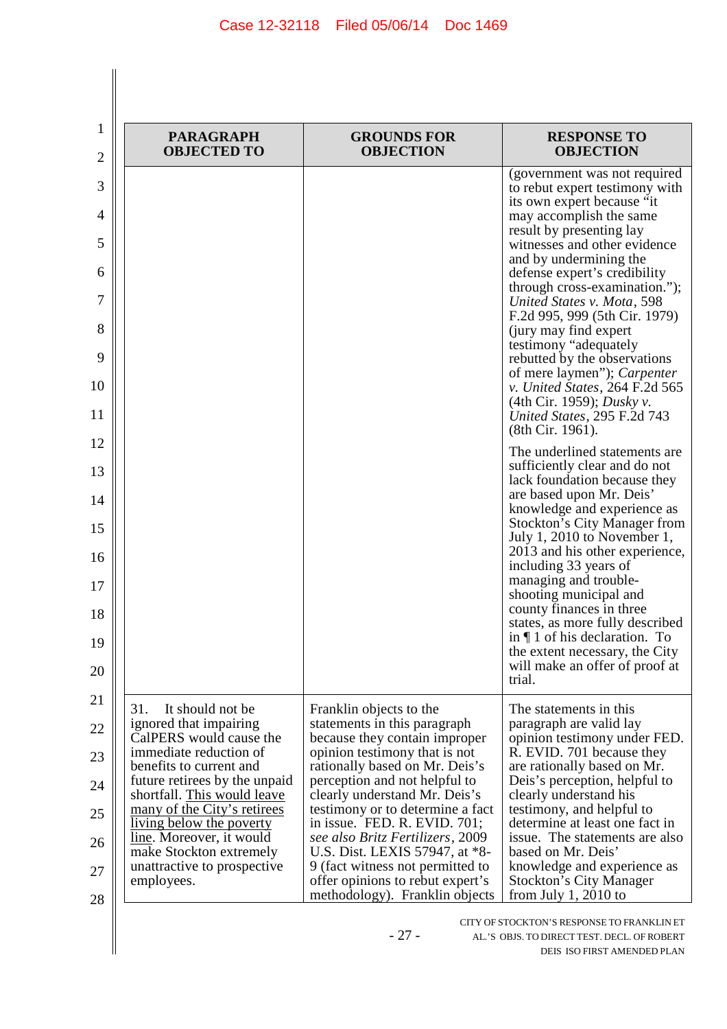| <b>PARAGRAPH</b><br><b>OBJECTED TO</b>                       | <b>GROUNDS FOR</b><br><b>OBJECTION</b>                                                                 | <b>RESPONSE TO</b><br><b>OBJECTION</b>                                                  |
|--------------------------------------------------------------|--------------------------------------------------------------------------------------------------------|-----------------------------------------------------------------------------------------|
|                                                              |                                                                                                        | (government was not required<br>to rebut expert testimony with                          |
|                                                              |                                                                                                        | its own expert because "it<br>may accomplish the same                                   |
|                                                              |                                                                                                        | result by presenting lay<br>witnesses and other evidence                                |
|                                                              |                                                                                                        | and by undermining the<br>defense expert's credibility<br>through cross-examination."); |
|                                                              |                                                                                                        | United States v. Mota, 598<br>F.2d 995, 999 (5th Cir. 1979)                             |
|                                                              |                                                                                                        | (jury may find expert)<br>testimony "adequately                                         |
|                                                              |                                                                                                        | rebutted by the observations<br>of mere laymen"); Carpenter                             |
|                                                              |                                                                                                        | v. United States, 264 F.2d 565<br>(4th Cir. 1959); <i>Dusky v.</i>                      |
|                                                              |                                                                                                        | United States, 295 F.2d 743<br>(8th Cir. 1961).                                         |
|                                                              |                                                                                                        | The underlined statements are<br>sufficiently clear and do not                          |
|                                                              |                                                                                                        | lack foundation because they<br>are based upon Mr. Deis'                                |
|                                                              |                                                                                                        | knowledge and experience as<br><b>Stockton's City Manager from</b>                      |
|                                                              |                                                                                                        | July 1, 2010 to November 1,<br>2013 and his other experience,                           |
|                                                              |                                                                                                        | including 33 years of<br>managing and trouble-                                          |
|                                                              |                                                                                                        | shooting municipal and<br>county finances in three                                      |
|                                                              |                                                                                                        | states, as more fully described<br>in $\P$ 1 of his declaration. To                     |
|                                                              |                                                                                                        | the extent necessary, the City<br>will make an offer of proof at<br>trial.              |
| It should not be<br>31.                                      | Franklin objects to the                                                                                | The statements in this                                                                  |
| ignored that impairing<br>CalPERS would cause the            | statements in this paragraph<br>because they contain improper                                          | paragraph are valid lay<br>opinion testimony under FED.                                 |
| immediate reduction of<br>benefits to current and            | opinion testimony that is not<br>rationally based on Mr. Deis's                                        | R. EVID. 701 because they<br>are rationally based on Mr.                                |
| future retirees by the unpaid<br>shortfall. This would leave | perception and not helpful to<br>clearly understand Mr. Deis's                                         | Deis's perception, helpful to<br>clearly understand his                                 |
| many of the City's retirees<br>living below the poverty      | testimony or to determine a fact<br>in issue. FED. R. EVID. 701;                                       | testimony, and helpful to<br>determine at least one fact in                             |
| line. Moreover, it would<br>make Stockton extremely          | see also Britz Fertilizers, 2009<br>U.S. Dist. LEXIS 57947, at *8-                                     | issue. The statements are also<br>based on Mr. Deis'                                    |
| unattractive to prospective<br>employees.                    | 9 (fact witness not permitted to<br>offer opinions to rebut expert's<br>methodology). Franklin objects | knowledge and experience as<br><b>Stockton's City Manager</b><br>from July 1, 2010 to   |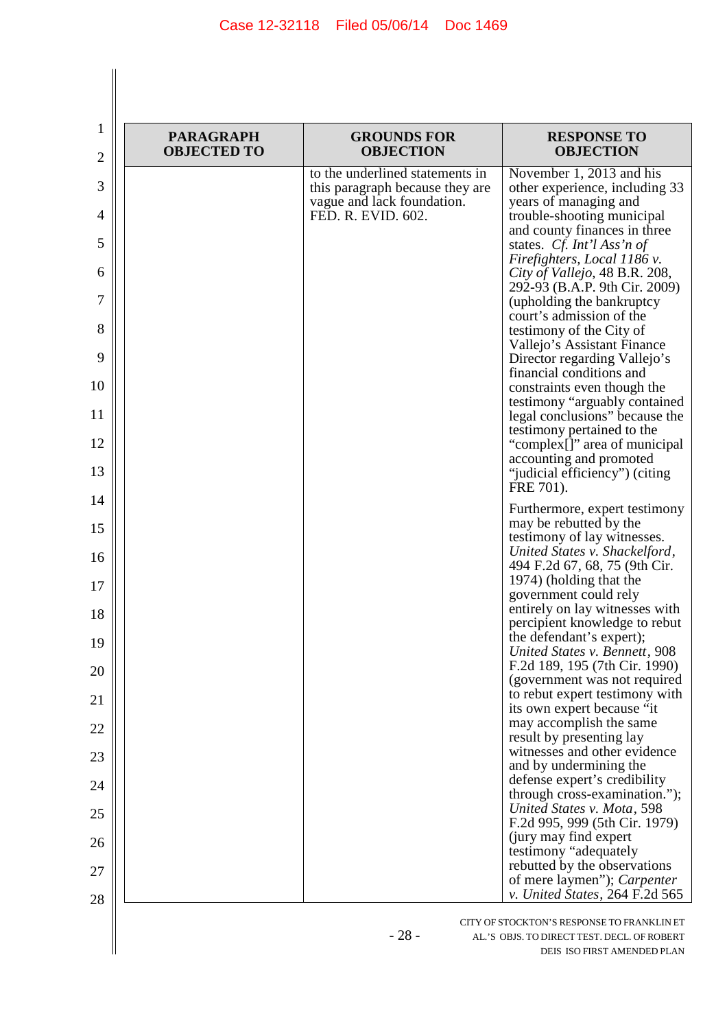| <b>PARAGRAPH</b><br><b>OBJECTED TO</b> | <b>GROUNDS FOR</b><br><b>OBJECTION</b>                                                                                 | <b>RESPONSE TO</b><br><b>OBJECTION</b>                                                                                                                                                                                                                                                                                                                                                                                                                                                                                                                                                                                                                                                          |
|----------------------------------------|------------------------------------------------------------------------------------------------------------------------|-------------------------------------------------------------------------------------------------------------------------------------------------------------------------------------------------------------------------------------------------------------------------------------------------------------------------------------------------------------------------------------------------------------------------------------------------------------------------------------------------------------------------------------------------------------------------------------------------------------------------------------------------------------------------------------------------|
|                                        | to the underlined statements in<br>this paragraph because they are<br>vague and lack foundation.<br>FED. R. EVID. 602. | November 1, 2013 and his<br>other experience, including 33<br>years of managing and<br>trouble-shooting municipal<br>and county finances in three<br>states. Cf. Int'l Ass'n of<br>Firefighters, Local 1186 v.<br>City of Vallejo, 48 B.R. 208,<br>292-93 (B.A.P. 9th Cir. 2009)<br>(upholding the bankruptcy)<br>court's admission of the<br>testimony of the City of<br>Vallejo's Assistant Finance<br>Director regarding Vallejo's<br>financial conditions and<br>constraints even though the<br>testimony "arguably contained<br>legal conclusions" because the<br>testimony pertained to the<br>"complex[]" area of municipal<br>accounting and promoted<br>"judicial efficiency") (citing |
|                                        |                                                                                                                        | FRE 701).<br>Furthermore, expert testimony<br>may be rebutted by the<br>testimony of lay witnesses.<br>United States v. Shackelford,                                                                                                                                                                                                                                                                                                                                                                                                                                                                                                                                                            |
|                                        |                                                                                                                        | 494 F.2d 67, 68, 75 (9th Cir.<br>1974) (holding that the<br>government could rely                                                                                                                                                                                                                                                                                                                                                                                                                                                                                                                                                                                                               |
|                                        |                                                                                                                        | entirely on lay witnesses with<br>percipient knowledge to rebut<br>the defendant's expert);<br>United States v. Bennett, 908                                                                                                                                                                                                                                                                                                                                                                                                                                                                                                                                                                    |
|                                        |                                                                                                                        | F.2d 189, 195 (7th Cir. 1990)<br>(government was not required<br>to rebut expert testimony with                                                                                                                                                                                                                                                                                                                                                                                                                                                                                                                                                                                                 |
|                                        |                                                                                                                        | its own expert because "it<br>may accomplish the same<br>result by presenting lay                                                                                                                                                                                                                                                                                                                                                                                                                                                                                                                                                                                                               |
|                                        |                                                                                                                        | witnesses and other evidence<br>and by undermining the                                                                                                                                                                                                                                                                                                                                                                                                                                                                                                                                                                                                                                          |
|                                        |                                                                                                                        | defense expert's credibility<br>through cross-examination.");                                                                                                                                                                                                                                                                                                                                                                                                                                                                                                                                                                                                                                   |
|                                        |                                                                                                                        | United States v. Mota, 598<br>F.2d 995, 999 (5th Cir. 1979)                                                                                                                                                                                                                                                                                                                                                                                                                                                                                                                                                                                                                                     |
|                                        |                                                                                                                        | (jury may find expert)<br>testimony "adequately                                                                                                                                                                                                                                                                                                                                                                                                                                                                                                                                                                                                                                                 |
|                                        |                                                                                                                        | rebutted by the observations<br>of mere laymen"); Carpenter<br>v. United States, 264 F.2d 565                                                                                                                                                                                                                                                                                                                                                                                                                                                                                                                                                                                                   |

- 28 - AL.'S OBJS. TO DIRECT TEST. DECL. OF ROBERT DEIS ISO FIRST AMENDED PLAN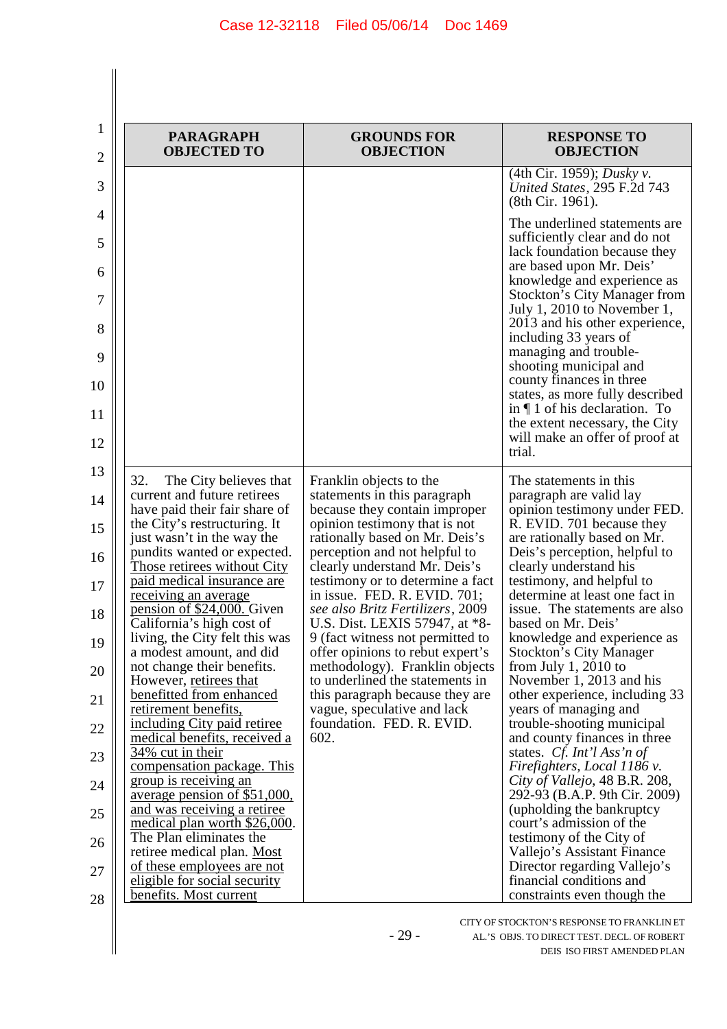| 1<br>$\overline{2}$ | <b>PARAGRAPH</b><br><b>OBJECTED TO</b>                                                                                   | <b>GROUNDS FOR</b><br><b>OBJECTION</b>                                                                                            | <b>RESPONSE TO</b><br><b>OBJECTION</b>                                                                                                                       |
|---------------------|--------------------------------------------------------------------------------------------------------------------------|-----------------------------------------------------------------------------------------------------------------------------------|--------------------------------------------------------------------------------------------------------------------------------------------------------------|
| 3                   |                                                                                                                          |                                                                                                                                   | (4th Cir. 1959); Dusky v.<br>United States, 295 F.2d 743<br>(8th Cir. 1961).                                                                                 |
| 4<br>5<br>6         |                                                                                                                          |                                                                                                                                   | The underlined statements are<br>sufficiently clear and do not<br>lack foundation because they<br>are based upon Mr. Deis'                                   |
| 7<br>8              |                                                                                                                          |                                                                                                                                   | knowledge and experience as<br><b>Stockton's City Manager from</b><br>July 1, 2010 to November 1,<br>2013 and his other experience,<br>including 33 years of |
| 9<br>10             |                                                                                                                          |                                                                                                                                   | managing and trouble-<br>shooting municipal and<br>county finances in three<br>states, as more fully described                                               |
| 11<br>12            |                                                                                                                          |                                                                                                                                   | in $\P$ 1 of his declaration. To<br>the extent necessary, the City<br>will make an offer of proof at<br>trial.                                               |
| 13<br>14            | 32.<br>The City believes that<br>current and future retirees<br>have paid their fair share of                            | Franklin objects to the<br>statements in this paragraph<br>because they contain improper                                          | The statements in this<br>paragraph are valid lay<br>opinion testimony under FED.                                                                            |
| 15<br>16            | the City's restructuring. It<br>just wasn't in the way the<br>pundits wanted or expected.<br>Those retirees without City | opinion testimony that is not<br>rationally based on Mr. Deis's<br>perception and not helpful to<br>clearly understand Mr. Deis's | R. EVID. 701 because they<br>are rationally based on Mr.<br>Deis's perception, helpful to<br>clearly understand his                                          |
| 17                  | paid medical insurance are<br><u>receiving an average</u><br>pension of \$24,000. Given                                  | testimony or to determine a fact<br>in issue. FED. R. EVID. 701;<br>see also Britz Fertilizers, 2009                              | testimony, and helpful to<br>determine at least one fact in<br>issue. The statements are also                                                                |
| $18\,$<br>19        | California's high cost of<br>living, the City felt this was<br>a modest amount, and did                                  | U.S. Dist. LEXIS 57947, at *8-<br>9 (fact witness not permitted to<br>offer opinions to rebut expert's                            | based on Mr. Deis'<br>knowledge and experience as<br><b>Stockton's City Manager</b>                                                                          |
| 20                  | not change their benefits.<br>However, retirees that<br>benefitted from enhanced                                         | methodology). Franklin objects<br>to underlined the statements in<br>this paragraph because they are                              | from July 1, 2010 to<br>November 1, 2013 and his<br>other experience, including 33                                                                           |
| 21<br>22            | retirement benefits,<br>including City paid retiree<br>medical benefits, received a                                      | vague, speculative and lack<br>foundation. FED. R. EVID.<br>602.                                                                  | years of managing and<br>trouble-shooting municipal<br>and county finances in three                                                                          |
| 23                  | 34% cut in their<br>compensation package. This                                                                           |                                                                                                                                   | states. Cf. Int'l Ass'n of<br>Firefighters, Local 1186 v.                                                                                                    |
| 24<br>25            | group is receiving an<br>average pension of \$51,000,<br>and was receiving a retiree                                     |                                                                                                                                   | City of Vallejo, 48 B.R. 208,<br>292-93 (B.A.P. 9th Cir. 2009)<br>(upholding the bankruptcy)                                                                 |
| 26                  | medical plan worth \$26,000.<br>The Plan eliminates the                                                                  |                                                                                                                                   | court's admission of the<br>testimony of the City of                                                                                                         |
| 27                  | retiree medical plan. Most<br>of these employees are not<br>eligible for social security                                 |                                                                                                                                   | Vallejo's Assistant Finance<br>Director regarding Vallejo's<br>financial conditions and                                                                      |
| 28                  | benefits. Most current                                                                                                   |                                                                                                                                   | constraints even though the                                                                                                                                  |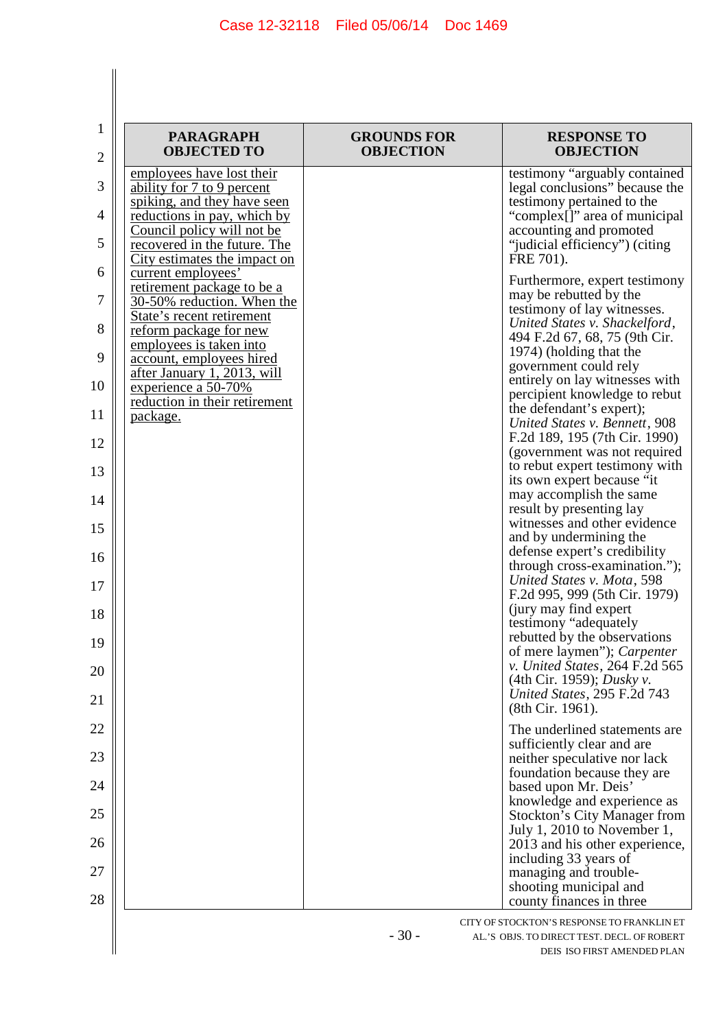$\begin{array}{c} \hline \end{array}$ 

| $\mathbf{1}$        | <b>PARAGRAPH</b><br><b>OBJECTED TO</b>                                                   | <b>GROUNDS FOR</b><br><b>OBJECTION</b> | <b>RESPONSE TO</b><br><b>OBJECTION</b>                                                                                   |
|---------------------|------------------------------------------------------------------------------------------|----------------------------------------|--------------------------------------------------------------------------------------------------------------------------|
| $\overline{2}$      | employees have lost their                                                                |                                        | testimony "arguably contained                                                                                            |
| 3<br>$\overline{4}$ | ability for 7 to 9 percent<br>spiking, and they have seen<br>reductions in pay, which by |                                        | legal conclusions" because the<br>testimony pertained to the<br>"complex[]" area of municipal                            |
| 5                   | Council policy will not be<br>recovered in the future. The                               |                                        | accounting and promoted<br>"judicial efficiency") (citing                                                                |
| 6                   | City estimates the impact on<br>current employees'                                       |                                        | FRE 701).<br>Furthermore, expert testimony                                                                               |
| 7                   | retirement package to be a<br>30-50% reduction. When the<br>State's recent retirement    |                                        | may be rebutted by the<br>testimony of lay witnesses.                                                                    |
| 8                   | <u>reform</u> package for new<br>employees is taken into                                 |                                        | United States v. Shackelford,<br>494 F.2d 67, 68, 75 (9th Cir.                                                           |
| 9                   | account, employees hired<br>after January 1, 2013, will                                  |                                        | 1974) (holding that the<br>government could rely                                                                         |
| 10                  | experience a 50-70%<br>reduction in their retirement                                     |                                        | entirely on lay witnesses with<br>percipient knowledge to rebut                                                          |
| 11                  | package.                                                                                 |                                        | the defendant's expert);<br>United States v. Bennett, 908                                                                |
| 12                  |                                                                                          |                                        | F.2d 189, 195 (7th Cir. 1990)<br>(government was not required<br>to rebut expert testimony with                          |
| 13                  |                                                                                          |                                        | its own expert because "it<br>may accomplish the same                                                                    |
| 14                  |                                                                                          |                                        | result by presenting lay<br>witnesses and other evidence                                                                 |
| 15                  |                                                                                          |                                        | and by undermining the<br>defense expert's credibility                                                                   |
| 16                  |                                                                                          |                                        | through cross-examination.");<br>United States v. Mota, 598                                                              |
| 17                  |                                                                                          |                                        | F.2d 995, 999 (5th Cir. 1979)<br>(jury may find expert)                                                                  |
| 18<br>19            |                                                                                          |                                        | testimony "adequately<br>rebutted by the observations                                                                    |
| 20                  |                                                                                          |                                        | of mere laymen"); <i>Carpenter</i><br>v. United States, $264$ F.2d 565                                                   |
| 21                  |                                                                                          |                                        | (4th Cir. 1959); <i>Dusky v.</i><br>United States, 295 F.2d 743<br>(8th Cir. 1961).                                      |
| 22                  |                                                                                          |                                        | The underlined statements are                                                                                            |
| 23                  |                                                                                          |                                        | sufficiently clear and are<br>neither speculative nor lack                                                               |
| 24                  |                                                                                          |                                        | foundation because they are<br>based upon Mr. Deis'                                                                      |
| 25                  |                                                                                          |                                        | knowledge and experience as<br><b>Stockton's City Manager from</b>                                                       |
| 26                  |                                                                                          |                                        | July 1, 2010 to November 1,<br>2013 and his other experience,                                                            |
| 27                  |                                                                                          |                                        | including 33 years of<br>managing and trouble-                                                                           |
| 28                  |                                                                                          |                                        | shooting municipal and<br>county finances in three                                                                       |
|                     |                                                                                          | $-30-$                                 | CITY OF STOCKTON'S RESPONSE TO FRANKLIN ET<br>AL.'S OBJS. TO DIRECT TEST. DECL. OF ROBERT<br>DEIS ISO FIRST AMENDED PLAN |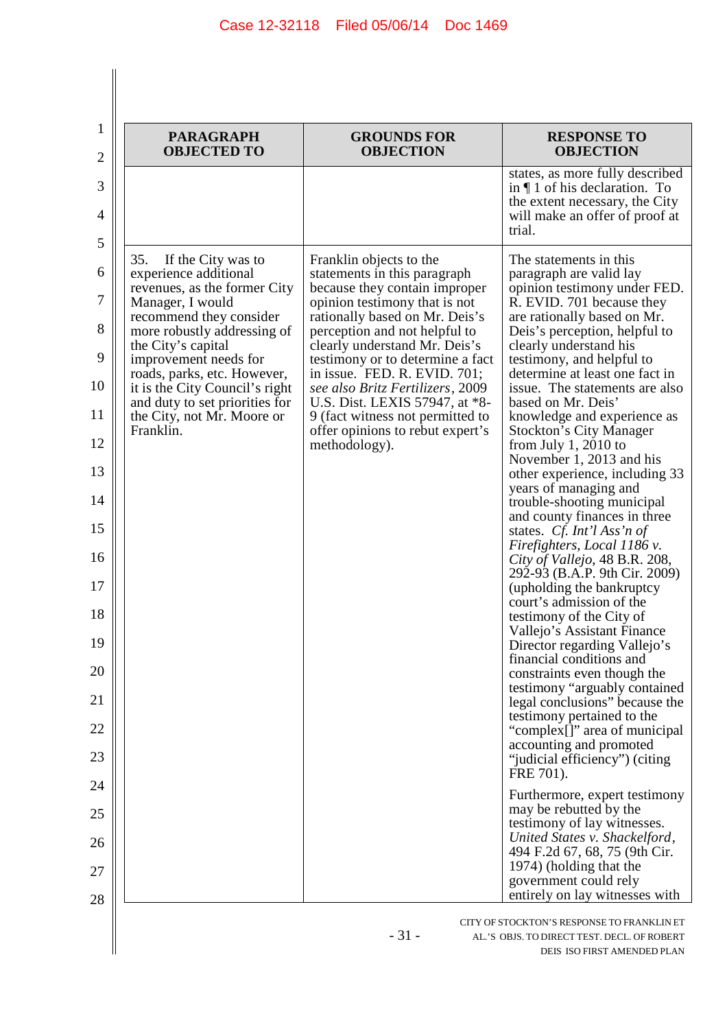| <b>PARAGRAPH</b><br><b>OBJECTED TO</b>                                                                                                                                                                                                                                                                                                                        | <b>GROUNDS FOR</b><br><b>OBJECTION</b>                                                                                                                                                                                                                                                                                                                                                                                                                           | <b>RESPONSE TO</b><br><b>OBJECTION</b>                                                                                                                                                                                                                                                                                                                                                                                                                                                                                                                                                                                                                                                                                                                                                                                                                                                                                                                                                                                                                                                                                                                                                                                                                                                                                                                                                    |
|---------------------------------------------------------------------------------------------------------------------------------------------------------------------------------------------------------------------------------------------------------------------------------------------------------------------------------------------------------------|------------------------------------------------------------------------------------------------------------------------------------------------------------------------------------------------------------------------------------------------------------------------------------------------------------------------------------------------------------------------------------------------------------------------------------------------------------------|-------------------------------------------------------------------------------------------------------------------------------------------------------------------------------------------------------------------------------------------------------------------------------------------------------------------------------------------------------------------------------------------------------------------------------------------------------------------------------------------------------------------------------------------------------------------------------------------------------------------------------------------------------------------------------------------------------------------------------------------------------------------------------------------------------------------------------------------------------------------------------------------------------------------------------------------------------------------------------------------------------------------------------------------------------------------------------------------------------------------------------------------------------------------------------------------------------------------------------------------------------------------------------------------------------------------------------------------------------------------------------------------|
|                                                                                                                                                                                                                                                                                                                                                               |                                                                                                                                                                                                                                                                                                                                                                                                                                                                  | states, as more fully described<br>in $\P$ 1 of his declaration. To<br>the extent necessary, the City<br>will make an offer of proof at<br>trial.                                                                                                                                                                                                                                                                                                                                                                                                                                                                                                                                                                                                                                                                                                                                                                                                                                                                                                                                                                                                                                                                                                                                                                                                                                         |
| 35.<br>If the City was to<br>experience additional<br>revenues, as the former City<br>Manager, I would<br>recommend they consider<br>more robustly addressing of<br>the City's capital<br>improvement needs for<br>roads, parks, etc. However,<br>it is the City Council's right<br>and duty to set priorities for<br>the City, not Mr. Moore or<br>Franklin. | Franklin objects to the<br>statements in this paragraph<br>because they contain improper<br>opinion testimony that is not<br>rationally based on Mr. Deis's<br>perception and not helpful to<br>clearly understand Mr. Deis's<br>testimony or to determine a fact<br>in issue. FED. R. EVID. 701;<br>see also Britz Fertilizers, 2009<br>U.S. Dist. LEXIS 57947, at *8-<br>9 (fact witness not permitted to<br>offer opinions to rebut expert's<br>methodology). | The statements in this<br>paragraph are valid lay<br>opinion testimony under FED.<br>R. EVID. 701 because they<br>are rationally based on Mr.<br>Deis's perception, helpful to<br>clearly understand his<br>testimony, and helpful to<br>determine at least one fact in<br>issue. The statements are also<br>based on Mr. Deis'<br>knowledge and experience as<br><b>Stockton's City Manager</b><br>from July 1, 2010 to<br>November 1, 2013 and his<br>other experience, including 33<br>years of managing and<br>trouble-shooting municipal<br>and county finances in three<br>states. Cf. Int'l Ass'n of<br>Firefighters, Local 1186 v.<br>City of Vallejo, 48 B.R. 208,<br>292-93 (B.A.P. 9th Cir. 2009)<br>(upholding the bankruptcy<br>court's admission of the<br>testimony of the City of<br>Vallejo's Assistant Finance<br>Director regarding Vallejo's<br>financial conditions and<br>constraints even though the<br>testimony "arguably contained<br>legal conclusions" because the<br>testimony pertained to the<br>"complex[]" area of municipal<br>accounting and promoted<br>"judicial efficiency") (citing<br>FRE 701).<br>Furthermore, expert testimony<br>may be rebutted by the<br>testimony of lay witnesses.<br>United States v. Shackelford,<br>494 F.2d 67, 68, 75 (9th Cir.<br>1974) (holding that the<br>government could rely<br>entirely on lay witnesses with |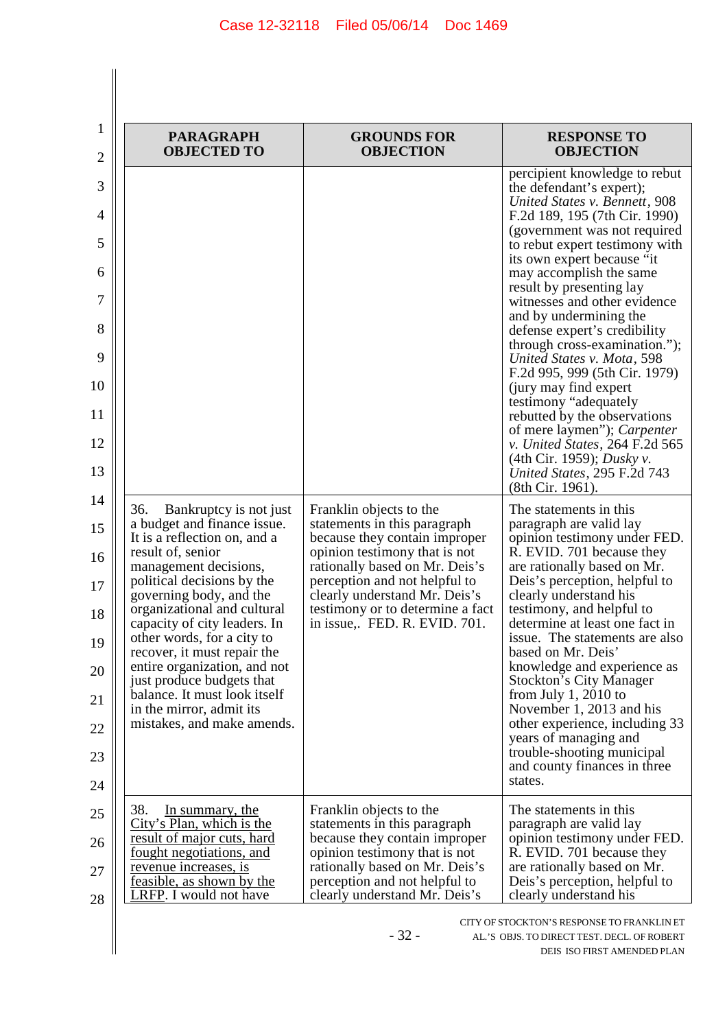| <b>PARAGRAPH</b><br><b>OBJECTED TO</b>                                                                                                                                                                                                                                                                                                                                                                                                                                                 | <b>GROUNDS FOR</b><br><b>OBJECTION</b>                                                                                                                                                                                                                                                            | <b>RESPONSE TO</b><br><b>OBJECTION</b>                                                                                                                                                                                                                                                                                                                                                                                                                                                                                                                                                                                                                                                                                  |
|----------------------------------------------------------------------------------------------------------------------------------------------------------------------------------------------------------------------------------------------------------------------------------------------------------------------------------------------------------------------------------------------------------------------------------------------------------------------------------------|---------------------------------------------------------------------------------------------------------------------------------------------------------------------------------------------------------------------------------------------------------------------------------------------------|-------------------------------------------------------------------------------------------------------------------------------------------------------------------------------------------------------------------------------------------------------------------------------------------------------------------------------------------------------------------------------------------------------------------------------------------------------------------------------------------------------------------------------------------------------------------------------------------------------------------------------------------------------------------------------------------------------------------------|
|                                                                                                                                                                                                                                                                                                                                                                                                                                                                                        |                                                                                                                                                                                                                                                                                                   | percipient knowledge to rebut<br>the defendant's expert);<br>United States v. Bennett, 908<br>F.2d 189, 195 (7th Cir. 1990)<br>(government was not required<br>to rebut expert testimony with<br>its own expert because "it<br>may accomplish the same<br>result by presenting lay<br>witnesses and other evidence<br>and by undermining the<br>defense expert's credibility<br>through cross-examination.");<br>United States v. Mota, 598<br>F.2d 995, 999 (5th Cir. 1979)<br>(jury may find expert)<br>testimony "adequately<br>rebutted by the observations<br>of mere laymen"); Carpenter<br>v. United States, 264 F.2d 565<br>(4th Cir. 1959); <i>Dusky v.</i><br>United States, 295 F.2d 743<br>(8th Cir. 1961). |
| 36.<br>Bankruptcy is not just<br>a budget and finance issue.<br>It is a reflection on, and a<br>result of, senior<br>management decisions,<br>political decisions by the<br>governing body, and the<br>organizational and cultural<br>capacity of city leaders. In<br>other words, for a city to<br>recover, it must repair the<br>entire organization, and not<br>just produce budgets that<br>balance. It must look itself<br>in the mirror, admit its<br>mistakes, and make amends. | Franklin objects to the<br>statements in this paragraph<br>because they contain improper<br>opinion testimony that is not<br>rationally based on Mr. Deis's<br>perception and not helpful to<br>clearly understand Mr. Deis's<br>testimony or to determine a fact<br>in issue, FED. R. EVID. 701. | The statements in this<br>paragraph are valid lay<br>opinion testimony under FED.<br>R. EVID. 701 because they<br>are rationally based on Mr.<br>Deis's perception, helpful to<br>clearly understand his<br>testimony, and helpful to<br>determine at least one fact in<br>issue. The statements are also<br>based on Mr. Deis'<br>knowledge and experience as<br><b>Stockton's City Manager</b><br>from July 1, 2010 to<br>November 1, 2013 and his<br>other experience, including 33<br>years of managing and<br>trouble-shooting municipal<br>and county finances in three<br>states.                                                                                                                                |
| 38.<br>In summary, the<br>City's Plan, which is the<br><u>result of major cuts, hard</u><br><u>fought negotiations, and</u><br><u>revenue increases, is</u><br><u>feasible, as shown by the</u><br>LRFP. I would not have                                                                                                                                                                                                                                                              | Franklin objects to the<br>statements in this paragraph<br>because they contain improper<br>opinion testimony that is not<br>rationally based on Mr. Deis's<br>perception and not helpful to<br>clearly understand Mr. Deis's                                                                     | The statements in this.<br>paragraph are valid lay<br>opinion testimony under FED.<br>R. EVID. 701 because they<br>are rationally based on Mr.<br>Deis's perception, helpful to<br>clearly understand his                                                                                                                                                                                                                                                                                                                                                                                                                                                                                                               |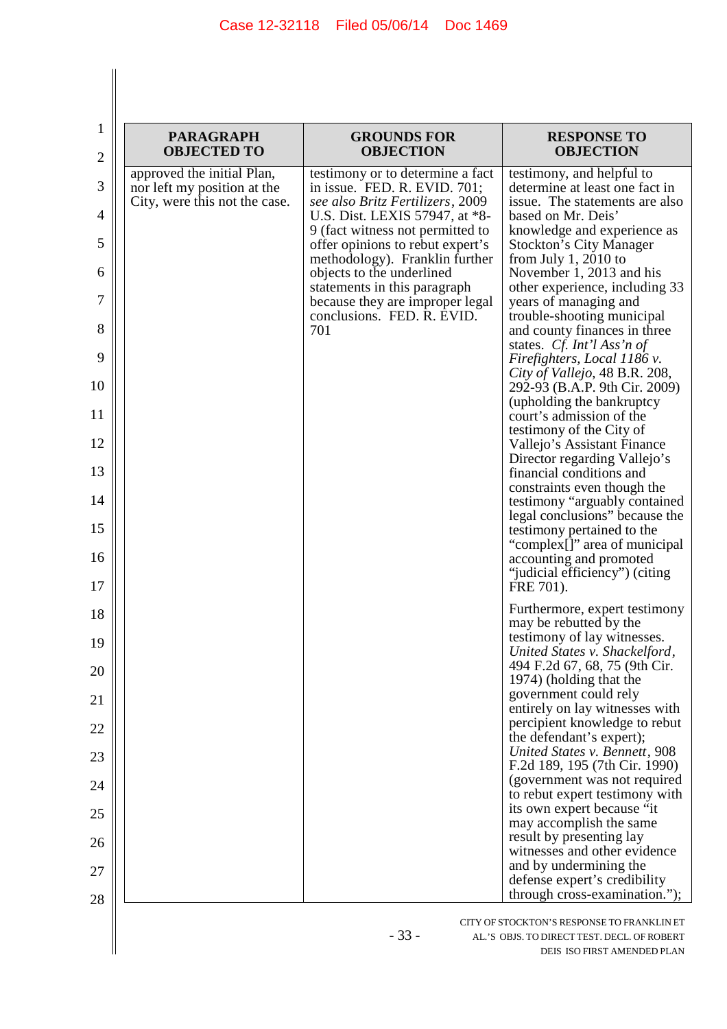| <b>PARAGRAPH</b><br><b>OBJECTED TO</b>                                                     | <b>GROUNDS FOR</b><br><b>OBJECTION</b>                                                               | <b>RESPONSE TO</b><br><b>OBJECTION</b>                                                        |
|--------------------------------------------------------------------------------------------|------------------------------------------------------------------------------------------------------|-----------------------------------------------------------------------------------------------|
| approved the initial Plan,<br>nor left my position at the<br>City, were this not the case. | testimony or to determine a fact<br>in issue. FED. R. EVID. 701;<br>see also Britz Fertilizers, 2009 | testimony, and helpful to<br>determine at least one fact in<br>issue. The statements are also |
|                                                                                            | U.S. Dist. LEXIS 57947, at *8-<br>9 (fact witness not permitted to                                   | based on Mr. Deis'<br>knowledge and experience as                                             |
|                                                                                            | offer opinions to rebut expert's<br>methodology). Franklin further                                   | <b>Stockton's City Manager</b><br>from July 1, 2010 to                                        |
|                                                                                            | objects to the underlined<br>statements in this paragraph                                            | November 1, 2013 and his<br>other experience, including 33                                    |
|                                                                                            | because they are improper legal<br>conclusions. FED. R. EVID.<br>701                                 | years of managing and<br>trouble-shooting municipal<br>and county finances in three           |
|                                                                                            |                                                                                                      | states. Cf. Int'l Ass'n of<br>Firefighters, Local 1186 v.                                     |
|                                                                                            |                                                                                                      | City of Vallejo, 48 B.R. 208,<br>292-93 (B.A.P. 9th Cir. 2009)                                |
|                                                                                            |                                                                                                      | (upholding the bankruptcy                                                                     |
|                                                                                            |                                                                                                      | court's admission of the<br>testimony of the City of                                          |
|                                                                                            |                                                                                                      | Vallejo's Assistant Finance<br>Director regarding Vallejo's                                   |
|                                                                                            |                                                                                                      | financial conditions and<br>constraints even though the                                       |
|                                                                                            |                                                                                                      | testimony "arguably contained"<br>legal conclusions" because the                              |
|                                                                                            |                                                                                                      | testimony pertained to the<br>"complex[]" area of municipal                                   |
|                                                                                            |                                                                                                      | accounting and promoted<br>"judicial efficiency") (citing<br>FRE 701).                        |
|                                                                                            |                                                                                                      | Furthermore, expert testimony                                                                 |
|                                                                                            |                                                                                                      | may be rebutted by the<br>testimony of lay witnesses.                                         |
|                                                                                            |                                                                                                      | United States v. Shackelford,<br>494 F.2d 67, 68, 75 (9th Cir.                                |
|                                                                                            |                                                                                                      | 1974) (holding that the                                                                       |
|                                                                                            |                                                                                                      | government could rely<br>entirely on lay witnesses with                                       |
|                                                                                            |                                                                                                      | percipient knowledge to rebut<br>the defendant's expert);                                     |
|                                                                                            |                                                                                                      | United States v. Bennett, 908<br>F.2d 189, 195 (7th Cir. 1990)                                |
|                                                                                            |                                                                                                      | (government was not required<br>to rebut expert testimony with                                |
|                                                                                            |                                                                                                      | its own expert because "it<br>may accomplish the same                                         |
|                                                                                            |                                                                                                      | result by presenting lay                                                                      |
|                                                                                            |                                                                                                      | witnesses and other evidence<br>and by undermining the                                        |
|                                                                                            |                                                                                                      | defense expert's credibility<br>through cross-examination.");                                 |

- 33 - AL.'S OBJS. TO DIRECT TEST. DECL. OF ROBERT DEIS ISO FIRST AMENDED PLAN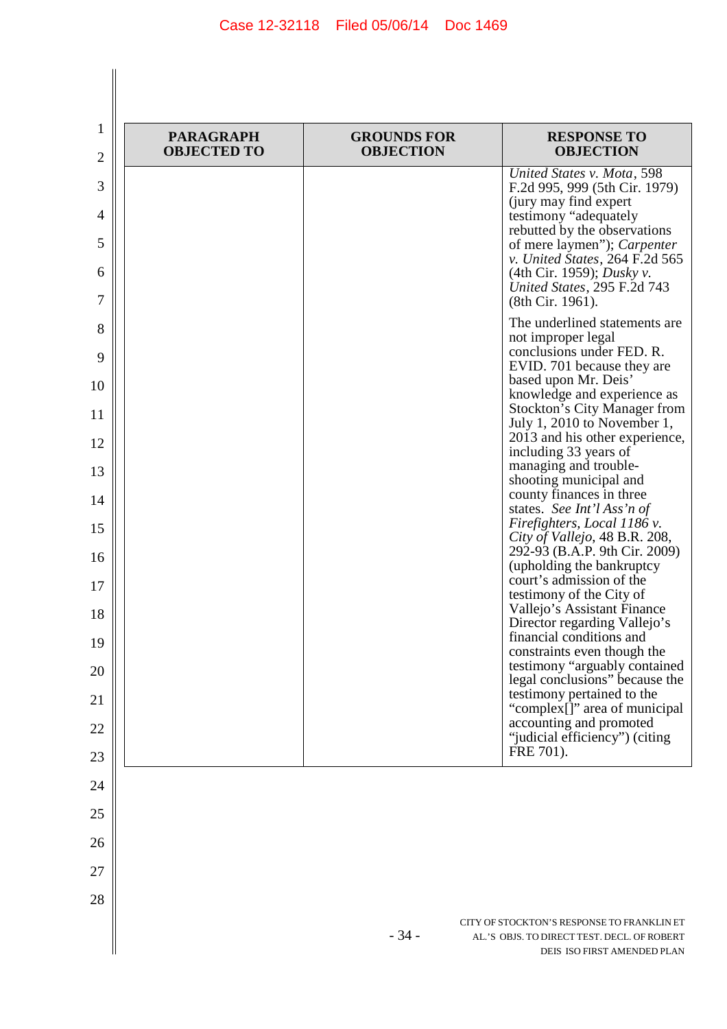| <b>PARAGRAPH</b><br><b>OBJECTED TO</b> | <b>GROUNDS FOR</b><br><b>OBJECTION</b> | <b>RESPONSE TO</b><br><b>OBJECTION</b>                                                                                 |
|----------------------------------------|----------------------------------------|------------------------------------------------------------------------------------------------------------------------|
|                                        |                                        | United States v. Mota, 598<br>F.2d 995, 999 (5th Cir. 1979)<br>(jury may find expert)                                  |
|                                        |                                        | testimony "adequately<br>rebutted by the observations<br>of mere laymen"); Carpenter<br>v. United States, 264 F.2d 565 |
|                                        |                                        | (4th Cir. 1959); <i>Dusky v.</i><br>United States, 295 F.2d 743<br>(8th Cir. 1961).                                    |
|                                        |                                        | The underlined statements are<br>not improper legal<br>conclusions under FED. R.                                       |
|                                        |                                        | EVID. 701 because they are                                                                                             |
|                                        |                                        | based upon Mr. Deis'<br>knowledge and experience as<br><b>Stockton's City Manager from</b>                             |
|                                        |                                        | July 1, 2010 to November 1,                                                                                            |
|                                        |                                        | 2013 and his other experience,<br>including 33 years of                                                                |
|                                        |                                        | managing and trouble-<br>shooting municipal and                                                                        |
|                                        |                                        | county finances in three<br>states. See Int'l Ass'n of                                                                 |
|                                        |                                        | Firefighters, Local 1186 v.<br>City of Vallejo, 48 B.R. 208,                                                           |
|                                        |                                        | 292-93 (B.A.P. 9th Cir. 2009)<br>(upholding the bankruptcy                                                             |
|                                        |                                        | court's admission of the<br>testimony of the City of                                                                   |
|                                        |                                        | Vallejo's Assistant Finance<br>Director regarding Vallejo's                                                            |
|                                        |                                        | financial conditions and<br>constraints even though the                                                                |
|                                        |                                        | testimony "arguably contained<br>legal conclusions" because the                                                        |
|                                        |                                        | testimony pertained to the<br>"complex[]" area of municipal                                                            |
|                                        |                                        | accounting and promoted<br>"judicial efficiency") (citing                                                              |
|                                        |                                        | FRE 701).                                                                                                              |
|                                        |                                        |                                                                                                                        |
|                                        |                                        |                                                                                                                        |
|                                        |                                        |                                                                                                                        |
|                                        |                                        |                                                                                                                        |